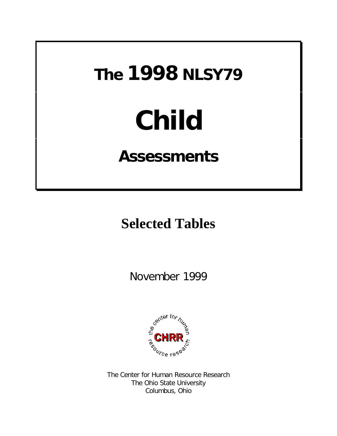# **The 1998 NLSY79**

# **Child**

# **Assessments**

# **Selected Tables**

November 1999



The Center for Human Resource Research The Ohio State University Columbus, Ohio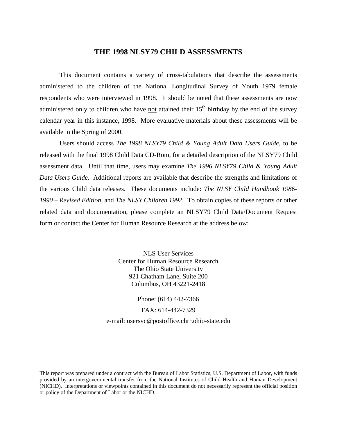#### **THE 1998 NLSY79 CHILD ASSESSMENTS**

This document contains a variety of cross-tabulations that describe the assessments administered to the children of the National Longitudinal Survey of Youth 1979 female respondents who were interviewed in 1998. It should be noted that these assessments are now administered only to children who have not attained their  $15<sup>th</sup>$  birthday by the end of the survey calendar year in this instance, 1998. More evaluative materials about these assessments will be available in the Spring of 2000.

Users should access *The 1998 NLSY79 Child & Young Adult Data Users Guide*, to be released with the final 1998 Child Data CD-Rom, for a detailed description of the NLSY79 Child assessment data. Until that time, users may examine *The 1996 NLSY79 Child & Young Adult Data Users Guide*. Additional reports are available that describe the strengths and limitations of the various Child data releases. These documents include: *The NLSY Child Handbook 1986- 1990 – Revised Edition*, and *The NLSY Children 1992*. To obtain copies of these reports or other related data and documentation, please complete an NLSY79 Child Data/Document Request form or contact the Center for Human Resource Research at the address below:

> NLS User Services Center for Human Resource Research The Ohio State University 921 Chatham Lane, Suite 200 Columbus, OH 43221-2418

Phone: (614) 442-7366 FAX: 614-442-7329 e-mail: usersvc@postoffice.chrr.ohio-state.edu

This report was prepared under a contract with the Bureau of Labor Statistics, U.S. Department of Labor, with funds provided by an intergovernmental transfer from the National Institutes of Child Health and Human Development (NICHD). Interpretations or viewpoints contained in this document do not necessarily represent the official position or policy of the Department of Labor or the NICHD.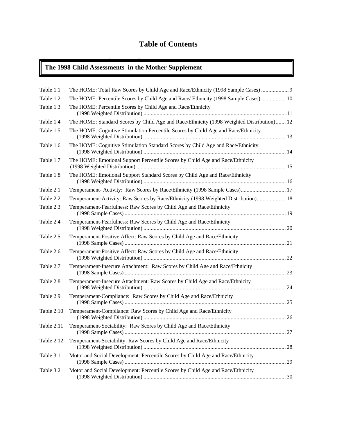#### **Table of Contents**

#### **The 1998 NLSY79 Mother Supplement Assessments The 1998 Child Assessments in the Mother Supplement**

| Table 1.1  | The HOME: Total Raw Scores by Child Age and Race/Ethnicity (1998 Sample Cases)            |  |
|------------|-------------------------------------------------------------------------------------------|--|
| Table 1.2  | The HOME: Percentile Scores by Child Age and Race/ Ethnicity (1998 Sample Cases)  10      |  |
| Table 1.3  | The HOME: Percentile Scores by Child Age and Race/Ethnicity                               |  |
| Table 1.4  | The HOME: Standard Scores by Child Age and Race/Ethnicity (1998 Weighted Distribution) 12 |  |
| Table 1.5  | The HOME: Cognitive Stimulation Percentile Scores by Child Age and Race/Ethnicity         |  |
| Table 1.6  | The HOME: Cognitive Stimulation Standard Scores by Child Age and Race/Ethnicity           |  |
| Table 1.7  | The HOME: Emotional Support Percentile Scores by Child Age and Race/Ethnicity             |  |
| Table 1.8  | The HOME: Emotional Support Standard Scores by Child Age and Race/Ethnicity               |  |
| Table 2.1  | Temperament- Activity: Raw Scores by Race/Ethnicity (1998 Sample Cases) 17                |  |
| Table 2.2  | Temperament-Activity: Raw Scores by Race/Ethnicity (1998 Weighted Distribution) 18        |  |
| Table 2.3  | Temperament-Fearfulness: Raw Scores by Child Age and Race/Ethnicity                       |  |
| Table 2.4  | Temperament-Fearfulness: Raw Scores by Child Age and Race/Ethnicity                       |  |
| Table 2.5  | Temperament-Positive Affect: Raw Scores by Child Age and Race/Ethnicity                   |  |
| Table 2.6  | Temperament-Positive Affect: Raw Scores by Child Age and Race/Ethnicity                   |  |
| Table 2.7  | Temperament-Insecure Attachment: Raw Scores by Child Age and Race/Ethnicity               |  |
| Table 2.8  | Temperament-Insecure Attachment: Raw Scores by Child Age and Race/Ethnicity               |  |
| Table 2.9  | Temperament-Compliance: Raw Scores by Child Age and Race/Ethnicity                        |  |
| Table 2.10 | Temperament-Compliance: Raw Scores by Child Age and Race/Ethnicity                        |  |
| Table 2.11 | Temperament-Sociability: Raw Scores by Child Age and Race/Ethnicity                       |  |
| Table 2.12 | Temperament-Sociability: Raw Scores by Child Age and Race/Ethnicity                       |  |
| Table 3.1  | Motor and Social Development: Percentile Scores by Child Age and Race/Ethnicity           |  |
| Table 3.2  | Motor and Social Development: Percentile Scores by Child Age and Race/Ethnicity           |  |
|            |                                                                                           |  |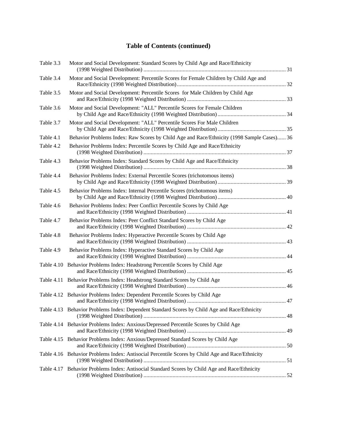#### **Table of Contents (continued)**

| Table 3.3  | Motor and Social Development: Standard Scores by Child Age and Race/Ethnicity                    |  |
|------------|--------------------------------------------------------------------------------------------------|--|
| Table 3.4  | Motor and Social Development: Percentile Scores for Female Children by Child Age and             |  |
| Table 3.5  | Motor and Social Development: Percentile Scores for Male Children by Child Age                   |  |
| Table 3.6  | Motor and Social Development: "ALL" Percentile Scores for Female Children                        |  |
| Table 3.7  | Motor and Social Development: "ALL" Percentile Scores For Male Children                          |  |
| Table 4.1  | Behavior Problems Index: Raw Scores by Child Age and Race/Ethnicity (1998 Sample Cases) 36       |  |
| Table 4.2  | Behavior Problems Index: Percentile Scores by Child Age and Race/Ethnicity                       |  |
| Table 4.3  | Behavior Problems Index: Standard Scores by Child Age and Race/Ethnicity                         |  |
| Table 4.4  | Behavior Problems Index: External Percentile Scores (trichotomous items)                         |  |
| Table 4.5  | Behavior Problems Index: Internal Percentile Scores (trichotomous items)                         |  |
| Table 4.6  | Behavior Problems Index: Peer Conflict Percentile Scores by Child Age                            |  |
| Table 4.7  | Behavior Problems Index: Peer Conflict Standard Scores by Child Age                              |  |
| Table 4.8  | Behavior Problems Index: Hyperactive Percentile Scores by Child Age                              |  |
| Table 4.9  | Behavior Problems Index: Hyperactive Standard Scores by Child Age                                |  |
| Table 4.10 | Behavior Problems Index: Headstrong Percentile Scores by Child Age                               |  |
| Table 4.11 | Behavior Problems Index: Headstrong Standard Scores by Child Age                                 |  |
|            | Table 4.12 Behavior Problems Index: Dependent Percentile Scores by Child Age                     |  |
|            | Table 4.13 Behavior Problems Index: Dependent Standard Scores by Child Age and Race/Ethnicity    |  |
|            | Table 4.14 Behavior Problems Index: Anxious/Depressed Percentile Scores by Child Age             |  |
|            | Table 4.15 Behavior Problems Index: Anxious/Depressed Standard Scores by Child Age               |  |
|            | Table 4.16 Behavior Problems Index: Antisocial Percentile Scores by Child Age and Race/Ethnicity |  |
| Table 4.17 | Behavior Problems Index: Antisocial Standard Scores by Child Age and Race/Ethnicity              |  |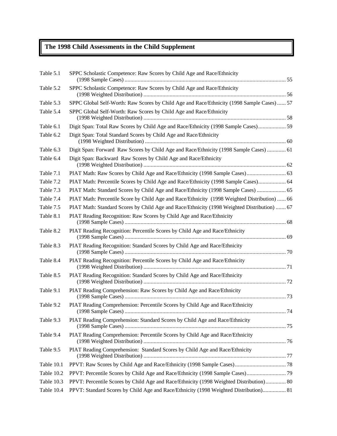### **The 1998 Child Assessments in the Child Supplement**

| Table 5.1  | SPPC Scholastic Competence: Raw Scores by Child Age and Race/Ethnicity                       |  |
|------------|----------------------------------------------------------------------------------------------|--|
| Table 5.2  | SPPC Scholastic Competence: Raw Scores by Child Age and Race/Ethnicity                       |  |
| Table 5.3  | SPPC Global Self-Worth: Raw Scores by Child Age and Race/Ethnicity (1998 Sample Cases)  57   |  |
| Table 5.4  | SPPC Global Self-Worth: Raw Scores by Child Age and Race/Ethnicity                           |  |
| Table 6.1  | Digit Span: Total Raw Scores by Child Age and Race/Ethnicity (1998 Sample Cases) 59          |  |
| Table 6.2  | Digit Span: Total Standard Scores by Child Age and Race/Ethnicity                            |  |
| Table 6.3  | Digit Span: Forward Raw Scores by Child Age and Race/Ethnicity (1998 Sample Cases)  61       |  |
| Table 6.4  | Digit Span: Backward Raw Scores by Child Age and Race/Ethnicity                              |  |
| Table 7.1  | PIAT Math: Raw Scores by Child Age and Race/Ethnicity (1998 Sample Cases) 63                 |  |
| Table 7.2  | PIAT Math: Percentile Scores by Child Age and Race/Ethnicity (1998 Sample Cases) 64          |  |
| Table 7.3  | PIAT Math: Standard Scores by Child Age and Race/Ethnicity (1998 Sample Cases)  65           |  |
| Table 7.4  | PIAT Math: Percentile Score by Child Age and Race/Ethnicity (1998 Weighted Distribution)  66 |  |
| Table 7.5  | PIAT Math: Standard Scores by Child Age and Race/Ethnicity (1998 Weighted Distribution)  67  |  |
| Table 8.1  | PIAT Reading Recognition: Raw Scores by Child Age and Race/Ethnicity                         |  |
| Table 8.2  | PIAT Reading Recognition: Percentile Scores by Child Age and Race/Ethnicity                  |  |
| Table 8.3  | PIAT Reading Recognition: Standard Scores by Child Age and Race/Ethnicity                    |  |
| Table 8.4  | PIAT Reading Recognition: Percentile Scores by Child Age and Race/Ethnicity                  |  |
| Table 8.5  | PIAT Reading Recognition: Standard Scores by Child Age and Race/Ethnicity                    |  |
| Table 9.1  | PIAT Reading Comprehension: Raw Scores by Child Age and Race/Ethnicity                       |  |
| Table 9.2  | PIAT Reading Comprehension: Percentile Scores by Child Age and Race/Ethnicity                |  |
| Table 9.3  | PIAT Reading Comprehension: Standard Scores by Child Age and Race/Ethnicity                  |  |
| Table 9.4  | PIAT Reading Comprehension: Percentile Scores by Child Age and Race/Ethnicity                |  |
| Table 9.5  | PIAT Reading Comprehension: Standard Scores by Child Age and Race/Ethnicity                  |  |
| Table 10.1 |                                                                                              |  |
| Table 10.2 |                                                                                              |  |
| Table 10.3 | PPVT: Percentile Scores by Child Age and Race/Ethnicity (1998 Weighted Distribution) 80      |  |
| Table 10.4 | PPVT: Standard Scores by Child Age and Race/Ethnicity (1998 Weighted Distribution) 81        |  |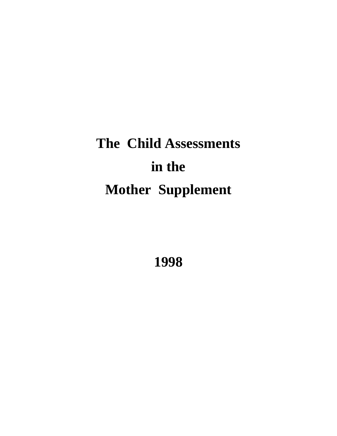# **The Child Assessments in the Mother Supplement**

**1998**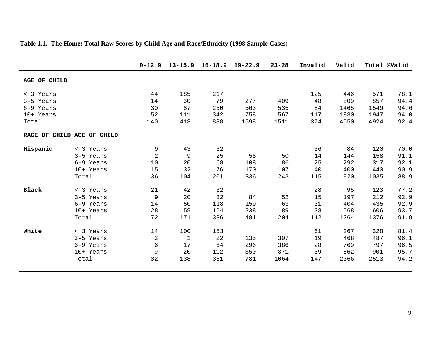|              |                            | $0 - 12.9$     | $13 - 15.9$  | $16 - 18.9$ | $19 - 22.9$ | $23 - 28$ | Invalid | Valid |      | Total %Valid |
|--------------|----------------------------|----------------|--------------|-------------|-------------|-----------|---------|-------|------|--------------|
| AGE OF CHILD |                            |                |              |             |             |           |         |       |      |              |
| < 3 Years    |                            | 44             | 185          | 217         |             |           | 125     | 446   | 571  | 78.1         |
| 3-5 Years    |                            | 14             | 30           | 79          | 277         | 409       | 48      | 809   | 857  | 94.4         |
| 6-9 Years    |                            | 30             | 87           | 250         | 563         | 535       | 84      | 1465  | 1549 | 94.6         |
| 10+ Years    |                            | 52             | 111          | 342         | 758         | 567       | 117     | 1830  | 1947 | 94.0         |
| Total        |                            | 140            | 413          | 888         | 1598        | 1511      | 374     | 4550  | 4924 | 92.4         |
|              | RACE OF CHILD AGE OF CHILD |                |              |             |             |           |         |       |      |              |
| Hispanic     | < 3 Years                  | 9              | 43           | 32          |             |           | 36      | 84    | 120  | 70.0         |
|              | 3-5 Years                  | $\overline{2}$ | 9            | 25          | 58          | 50        | 14      | 144   | 158  | 91.1         |
|              | 6-9 Years                  | 10             | 20           | 68          | 108         | 86        | 25      | 292   | 317  | 92.1         |
|              | 10+ Years                  | 15             | 32           | 76          | 170         | 107       | 40      | 400   | 440  | 90.9         |
|              | Total                      | 36             | 104          | 201         | 336         | 243       | 115     | 920   | 1035 | 88.9         |
| <b>Black</b> | < 3 Years                  | 21             | 42           | 32          |             |           | 28      | 95    | 123  | 77.2         |
|              | 3-5 Years                  | 9              | 20           | 32          | 84          | 52        | 15      | 197   | 212  | 92.9         |
|              | 6-9 Years                  | 14             | 50           | 118         | 159         | 63        | 31      | 404   | 435  | 92.9         |
|              | 10+ Years                  | 28             | 59           | 154         | 238         | 89        | 38      | 568   | 606  | 93.7         |
|              | Total                      | 72             | 171          | 336         | 481         | 204       | 112     | 1264  | 1376 | 91.9         |
| White        | < 3 Years                  | 14             | 100          | 153         |             |           | 61      | 267   | 328  | 81.4         |
|              | 3-5 Years                  | $\mathbf{3}$   | $\mathbf{1}$ | 22          | 135         | 307       | 19      | 468   | 487  | 96.1         |
|              | 6-9 Years                  | 6              | 17           | 64          | 296         | 386       | 28      | 769   | 797  | 96.5         |
|              | 10+ Years                  | 9              | 20           | 112         | 350         | 371       | 39      | 862   | 901  | 95.7         |
|              | Total                      | 32             | 138          | 351         | 781         | 1064      | 147     | 2366  | 2513 | 94.2         |
|              |                            |                |              |             |             |           |         |       |      |              |

### **Table 1.1. The Home: Total Raw Scores by Child Age and Race/Ethnicity (1998 Sample Cases)**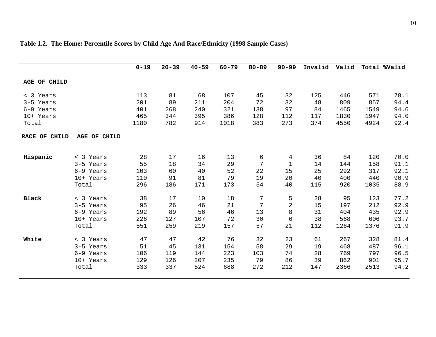|              |      | $20 - 39$ | $40 - 59$ | $60 - 79$ | $80 - 89$ | $90 - 99$   | Invalid | Valid |      | Total %Valid |
|--------------|------|-----------|-----------|-----------|-----------|-------------|---------|-------|------|--------------|
|              |      |           |           |           |           |             |         |       |      |              |
|              | 113  | 81        | 68        | 107       | 45        | 32          | 125     | 446   | 571  | 78.1         |
|              | 201  | 89        | 211       | 204       | 72        | 32          | 48      | 809   | 857  | 94.4         |
|              | 401  | 268       | 240       | 321       | 138       | 97          | 84      | 1465  | 1549 | 94.6         |
|              | 465  | 344       | 395       | 386       | 128       | 112         | 117     | 1830  | 1947 | 94.0         |
|              | 1180 | 782       | 914       | 1018      | 383       | 273         | 374     | 4550  | 4924 | 92.4         |
| AGE OF CHILD |      |           |           |           |           |             |         |       |      |              |
| < 3 Years    | 28   | 17        | 16        | 13        | 6         | 4           | 36      | 84    | 120  | 70.0         |
| 3-5 Years    | 55   | 18        | 34        | 29        | 7         | $\mathbf 1$ | 14      | 144   | 158  | 91.1         |
| 6-9 Years    | 103  | 60        | 40        | 52        | 22        | 15          | 25      | 292   | 317  | 92.1         |
| 10+ Years    | 110  | 91        | 81        | 79        | 19        | 20          | 40      | 400   | 440  | 90.9         |
| Total        | 296  | 186       | 171       | 173       | 54        | 40          | 115     | 920   | 1035 | 88.9         |
| < 3 Years    | 38   | 17        | 10        | 18        | 7         | 5           | 28      | 95    | 123  | 77.2         |
| 3-5 Years    | 95   | 26        | 46        | 21        | 7         | $\sqrt{2}$  | 15      | 197   | 212  | 92.9         |
| 6-9 Years    | 192  | 89        | 56        | 46        | 13        | 8           | 31      | 404   | 435  | 92.9         |
| 10+ Years    | 226  | 127       | 107       | 72        | 30        | 6           | 38      | 568   | 606  | 93.7         |
| Total        | 551  | 259       | 219       | 157       | 57        | 21          | 112     | 1264  | 1376 | 91.9         |
| < 3 Years    | 47   | 47        | 42        | 76        | 32        | 23          | 61      | 267   | 328  | 81.4         |
| 3-5 Years    | 51   | 45        | 131       | 154       | 58        | 29          | 19      | 468   | 487  | 96.1         |
| 6-9 Years    | 106  | 119       | 144       | 223       | 103       | 74          | 28      | 769   | 797  | 96.5         |
| 10+ Years    | 129  | 126       | 207       | 235       | 79        | 86          | 39      | 862   | 901  | 95.7         |
| Total        | 333  | 337       | 524       | 688       | 272       | 212         | 147     | 2366  | 2513 | 94.2         |
|              |      |           |           |           |           |             |         |       |      |              |

### **Table 1.2. The Home: Percentile Scores by Child Age And Race/Ethnicity (1998 Sample Cases)**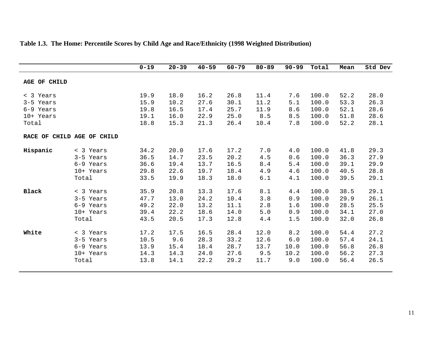|                     |                    | $0 - 19$ | $20 - 39$ | $40 - 59$ | $60 - 79$ | $80 - 89$ | $90 - 99$ | Total | Mean | Std Dev |
|---------------------|--------------------|----------|-----------|-----------|-----------|-----------|-----------|-------|------|---------|
| <b>AGE OF CHILD</b> |                    |          |           |           |           |           |           |       |      |         |
| < 3 Years           |                    | 19.9     | 18.0      | 16.2      | 26.8      | 11.4      | 7.6       | 100.0 | 52.2 | 28.0    |
| 3-5 Years           |                    | 15.9     | 10.2      | 27.6      | 30.1      | 11.2      | 5.1       | 100.0 | 53.3 | 26.3    |
| 6-9 Years           |                    | 19.8     | 16.5      | 17.4      | 25.7      | 11.9      | 8.6       | 100.0 | 52.1 | 28.6    |
| 10+ Years           |                    | 19.1     | 16.0      | 22.9      | 25.0      | 8.5       | 8.5       | 100.0 | 51.8 | 28.6    |
| Total               |                    | 18.8     | 15.3      | 21.3      | 26.4      | 10.4      | 7.8       | 100.0 | 52.2 | 28.1    |
| RACE OF             | CHILD AGE OF CHILD |          |           |           |           |           |           |       |      |         |
| Hispanic            | < 3 Years          | 34.2     | 20.0      | 17.6      | 17.2      | 7.0       | 4.0       | 100.0 | 41.8 | 29.3    |
|                     | 3-5 Years          | 36.5     | 14.7      | 23.5      | 20.2      | 4.5       | 0.6       | 100.0 | 36.3 | 27.9    |
|                     | 6-9 Years          | 36.6     | 19.4      | 13.7      | 16.5      | 8.4       | 5.4       | 100.0 | 39.1 | 29.9    |
|                     | 10+ Years          | 29.8     | 22.6      | 19.7      | 18.4      | 4.9       | 4.6       | 100.0 | 40.5 | 28.8    |
|                     | Total              | 33.5     | 19.9      | 18.3      | 18.0      | 6.1       | 4.1       | 100.0 | 39.5 | 29.1    |
| Black               | < 3 Years          | 35.9     | 20.8      | 13.3      | 17.6      | 8.1       | 4.4       | 100.0 | 38.5 | 29.1    |
|                     | 3-5 Years          | 47.7     | 13.0      | 24.2      | 10.4      | 3.8       | 0.9       | 100.0 | 29.9 | 26.1    |
|                     | 6-9 Years          | 49.2     | 22.0      | 13.2      | 11.1      | 2.8       | 1.6       | 100.0 | 28.5 | 25.5    |
|                     | 10+ Years          | 39.4     | 22.2      | 18.6      | 14.0      | 5.0       | 0.9       | 100.0 | 34.1 | 27.0    |
|                     | Total              | 43.5     | 20.5      | 17.3      | 12.8      | 4.4       | 1.5       | 100.0 | 32.0 | 26.8    |
| White               | < 3 Years          | 17.2     | 17.5      | 16.5      | 28.4      | 12.0      | 8.2       | 100.0 | 54.4 | 27.2    |
|                     | 3-5 Years          | 10.5     | 9.6       | 28.3      | 33.2      | 12.6      | 6.0       | 100.0 | 57.4 | 24.1    |
|                     | 6-9 Years          | 13.9     | 15.4      | 18.4      | 28.7      | 13.7      | 10.0      | 100.0 | 56.8 | 26.8    |
|                     | 10+ Years          | 14.3     | 14.3      | 24.0      | 27.6      | 9.5       | 10.2      | 100.0 | 56.2 | 27.3    |
|                     | Total              | 13.8     | 14.1      | 22.2      | 29.2      | 11.7      | 9.0       | 100.0 | 56.4 | 26.5    |
|                     |                    |          |           |           |           |           |           |       |      |         |

### **Table 1.3. The Home: Percentile Scores by Child Age and Race/Ethnicity (1998 Weighted Distribution)**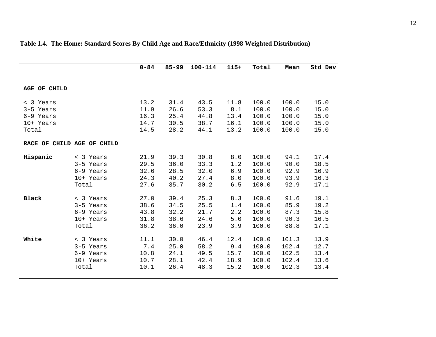|                                                  |                                                           | $0 - 84$                             | $85 - 99$                            | $100 - 114$                          | $115+$                              | Total                                     | Mean                                      | Std Dev                              |
|--------------------------------------------------|-----------------------------------------------------------|--------------------------------------|--------------------------------------|--------------------------------------|-------------------------------------|-------------------------------------------|-------------------------------------------|--------------------------------------|
|                                                  |                                                           |                                      |                                      |                                      |                                     |                                           |                                           |                                      |
| <b>AGE OF CHILD</b>                              |                                                           |                                      |                                      |                                      |                                     |                                           |                                           |                                      |
| < 3 Years<br>3-5 Years<br>6-9 Years<br>10+ Years |                                                           | 13.2<br>11.9<br>16.3<br>14.7         | 31.4<br>26.6<br>25.4<br>30.5         | 43.5<br>53.3<br>44.8<br>38.7         | 11.8<br>8.1<br>13.4<br>16.1         | 100.0<br>100.0<br>100.0<br>100.0          | 100.0<br>100.0<br>100.0<br>100.0          | 15.0<br>15.0<br>15.0<br>15.0         |
| Total                                            |                                                           | 14.5                                 | 28.2                                 | 44.1                                 | 13.2                                | 100.0                                     | 100.0                                     | 15.0                                 |
|                                                  | RACE OF CHILD AGE OF CHILD                                |                                      |                                      |                                      |                                     |                                           |                                           |                                      |
| Hispanic                                         | < 3 Years<br>3-5 Years<br>6-9 Years<br>10+ Years<br>Total | 21.9<br>29.5<br>32.6<br>24.3<br>27.6 | 39.3<br>36.0<br>28.5<br>40.2<br>35.7 | 30.8<br>33.3<br>32.0<br>27.4<br>30.2 | 8.0<br>1.2<br>6.9<br>8.0<br>6.5     | 100.0<br>100.0<br>100.0<br>100.0<br>100.0 | 94.1<br>90.0<br>92.9<br>93.9<br>92.9      | 17.4<br>18.5<br>16.9<br>16.3<br>17.1 |
| <b>Black</b>                                     | < 3 Years<br>3-5 Years<br>6-9 Years<br>10+ Years<br>Total | 27.0<br>38.6<br>43.8<br>31.8<br>36.2 | 39.4<br>34.5<br>32.2<br>38.6<br>36.0 | 25.3<br>25.5<br>21.7<br>24.6<br>23.9 | 8.3<br>1.4<br>2.2<br>5.0<br>3.9     | 100.0<br>100.0<br>100.0<br>100.0<br>100.0 | 91.6<br>85.9<br>87.3<br>90.3<br>88.8      | 19.1<br>19.2<br>15.8<br>16.5<br>17.1 |
| White                                            | < 3 Years<br>3-5 Years<br>6-9 Years<br>10+ Years<br>Total | 11.1<br>7.4<br>10.8<br>10.7<br>10.1  | 30.0<br>25.0<br>24.1<br>28.1<br>26.4 | 46.4<br>58.2<br>49.5<br>42.4<br>48.3 | 12.4<br>9.4<br>15.7<br>18.9<br>15.2 | 100.0<br>100.0<br>100.0<br>100.0<br>100.0 | 101.3<br>102.4<br>102.5<br>102.4<br>102.3 | 13.9<br>12.7<br>13.4<br>13.6<br>13.4 |

# **Table 1.4. The Home: Standard Scores By Child Age and Race/Ethnicity (1998 Weighted Distribution)**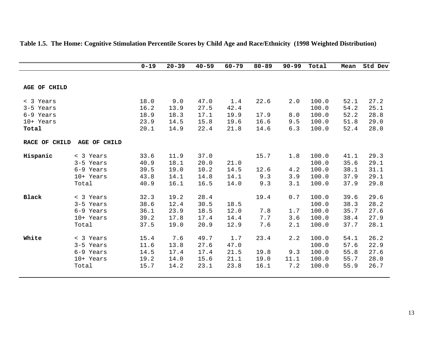|                     |                     | $0 - 19$ | $20 - 39$ | $40 - 59$ | $60 - 79$ | $80 - 89$ | $90 - 99$ | Total | Mean | Std Dev |
|---------------------|---------------------|----------|-----------|-----------|-----------|-----------|-----------|-------|------|---------|
|                     |                     |          |           |           |           |           |           |       |      |         |
| <b>AGE OF CHILD</b> |                     |          |           |           |           |           |           |       |      |         |
| < 3 Years           |                     | 18.0     | 9.0       | 47.0      | 1.4       | 22.6      | 2.0       | 100.0 | 52.1 | 27.2    |
| 3-5 Years           |                     | 16.2     | 13.9      | 27.5      | 42.4      |           |           | 100.0 | 54.2 | 25.1    |
| 6-9 Years           |                     | 18.9     | 18.3      | 17.1      | 19.9      | 17.9      | 8.0       | 100.0 | 52.2 | 28.8    |
| 10+ Years           |                     | 23.9     | 14.5      | 15.8      | 19.6      | 16.6      | 9.5       | 100.0 | 51.8 | 29.0    |
| Total               |                     | 20.1     | 14.9      | 22.4      | 21.8      | 14.6      | 6.3       | 100.0 | 52.4 | 28.0    |
| RACE OF CHILD       | <b>AGE OF CHILD</b> |          |           |           |           |           |           |       |      |         |
| Hispanic            | < 3 Years           | 33.6     | 11.9      | 37.0      |           | 15.7      | 1.8       | 100.0 | 41.1 | 29.3    |
|                     | 3-5 Years           | 40.9     | 18.1      | 20.0      | 21.0      |           |           | 100.0 | 35.6 | 29.1    |
|                     | 6-9 Years           | 39.5     | 19.0      | 10.2      | 14.5      | 12.6      | 4.2       | 100.0 | 38.1 | 31.1    |
|                     | 10+ Years           | 43.8     | 14.1      | 14.8      | 14.1      | 9.3       | 3.9       | 100.0 | 37.9 | 29.1    |
|                     | Total               | 40.9     | 16.1      | 16.5      | 14.0      | 9.3       | 3.1       | 100.0 | 37.9 | 29.8    |
| <b>Black</b>        | < 3 Years           | 32.3     | 19.2      | 28.4      |           | 19.4      | 0.7       | 100.0 | 39.6 | 29.6    |
|                     | 3-5 Years           | 38.6     | 12.4      | 30.5      | 18.5      |           |           | 100.0 | 38.3 | 28.2    |
|                     | 6-9 Years           | 36.1     | 23.9      | 18.5      | 12.0      | 7.8       | 1.7       | 100.0 | 35.7 | 27.6    |
|                     | 10+ Years           | 39.2     | 17.8      | 17.4      | 14.4      | 7.7       | 3.6       | 100.0 | 38.4 | 27.9    |
|                     | Total               | 37.5     | 19.0      | 20.9      | 12.9      | 7.6       | 2.1       | 100.0 | 37.7 | 28.1    |
| White               | < 3 Years           | 15.4     | 7.6       | 49.7      | 1.7       | 23.4      | 2.2       | 100.0 | 54.1 | 26.2    |
|                     | 3-5 Years           | 11.6     | 13.8      | 27.6      | 47.0      |           |           | 100.0 | 57.6 | 22.9    |
|                     | 6-9 Years           | 14.5     | 17.4      | 17.4      | 21.5      | 19.8      | 9.3       | 100.0 | 55.8 | 27.6    |
|                     | 10+ Years           | 19.2     | 14.0      | 15.6      | 21.1      | 19.0      | 11.1      | 100.0 | 55.7 | 28.0    |
|                     | Total               | 15.7     | 14.2      | 23.1      | 23.8      | 16.1      | 7.2       | 100.0 | 55.9 | 26.7    |
|                     |                     |          |           |           |           |           |           |       |      |         |

#### **Table 1.5. The Home: Cognitive Stimulation Percentile Scores by Child Age and Race/Ethnicity (1998 Weighted Distribution)**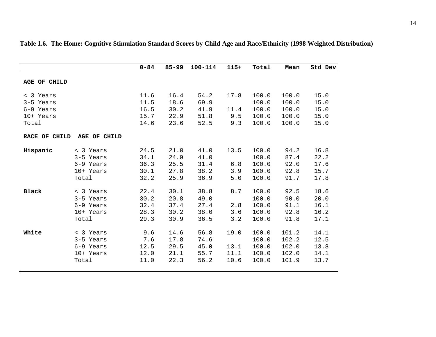|               |              | $0 - 84$ | $85 - 99$ | $100 - 114$ | $115+$ | Total | Mean  | Std Dev |
|---------------|--------------|----------|-----------|-------------|--------|-------|-------|---------|
| AGE OF CHILD  |              |          |           |             |        |       |       |         |
| < 3 Years     |              | 11.6     | 16.4      | 54.2        | 17.8   | 100.0 | 100.0 | 15.0    |
| 3-5 Years     |              | 11.5     | 18.6      | 69.9        |        | 100.0 | 100.0 | 15.0    |
| 6-9 Years     |              | 16.5     | 30.2      | 41.9        | 11.4   | 100.0 | 100.0 | 15.0    |
| 10+ Years     |              | 15.7     | 22.9      | 51.8        | 9.5    | 100.0 | 100.0 | 15.0    |
| Total         |              | 14.6     | 23.6      | 52.5        | 9.3    | 100.0 | 100.0 | 15.0    |
| RACE OF CHILD | AGE OF CHILD |          |           |             |        |       |       |         |
| Hispanic      | < 3 Years    | 24.5     | 21.0      | 41.0        | 13.5   | 100.0 | 94.2  | 16.8    |
|               | 3-5 Years    | 34.1     | 24.9      | 41.0        |        | 100.0 | 87.4  | 22.2    |
|               | 6-9 Years    | 36.3     | 25.5      | 31.4        | 6.8    | 100.0 | 92.0  | 17.6    |
|               | 10+ Years    | 30.1     | 27.8      | 38.2        | 3.9    | 100.0 | 92.8  | 15.7    |
|               | Total        | 32.2     | 25.9      | 36.9        | 5.0    | 100.0 | 91.7  | 17.8    |
| <b>Black</b>  | < 3 Years    | 22.4     | 30.1      | 38.8        | 8.7    | 100.0 | 92.5  | 18.6    |
|               | 3-5 Years    | 30.2     | 20.8      | 49.0        |        | 100.0 | 90.0  | 20.0    |
|               | 6-9 Years    | 32.4     | 37.4      | 27.4        | 2.8    | 100.0 | 91.1  | 16.1    |
|               | 10+ Years    | 28.3     | 30.2      | 38.0        | 3.6    | 100.0 | 92.8  | 16.2    |
|               | Total        | 29.3     | 30.9      | 36.5        | 3.2    | 100.0 | 91.8  | 17.1    |
| White         | < 3 Years    | 9.6      | 14.6      | 56.8        | 19.0   | 100.0 | 101.2 | 14.1    |
|               | 3-5 Years    | 7.6      | 17.8      | 74.6        |        | 100.0 | 102.2 | 12.5    |
|               | 6-9 Years    | 12.5     | 29.5      | 45.0        | 13.1   | 100.0 | 102.0 | 13.8    |
|               | 10+ Years    | 12.0     | 21.1      | 55.7        | 11.1   | 100.0 | 102.0 | 14.1    |
|               | Total        | 11.0     | 22.3      | 56.2        | 10.6   | 100.0 | 101.9 | 13.7    |
|               |              |          |           |             |        |       |       |         |

**Table 1.6. The Home: Cognitive Stimulation Standard Scores by Child Age and Race/Ethnicity (1998 Weighted Distribution)**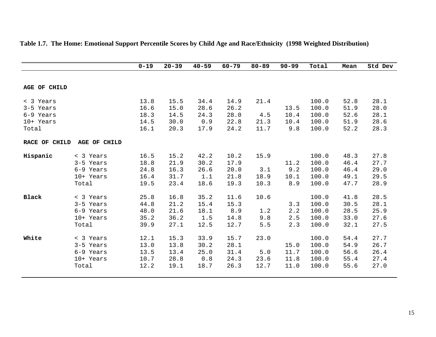|               |              | $0 - 19$ | $20 - 39$ | $40 - 59$ | $60 - 79$ | $80 - 89$ | $90 - 99$ | Total | Mean | Std Dev |
|---------------|--------------|----------|-----------|-----------|-----------|-----------|-----------|-------|------|---------|
|               |              |          |           |           |           |           |           |       |      |         |
| AGE OF CHILD  |              |          |           |           |           |           |           |       |      |         |
| < 3 Years     |              | 13.8     | 15.5      | 34.4      | 14.9      | 21.4      |           | 100.0 | 52.8 | 28.1    |
| 3-5 Years     |              | 16.6     | 15.0      | 28.6      | 26.2      |           | 13.5      | 100.0 | 51.9 | 28.0    |
| 6-9 Years     |              | 18.3     | 14.5      | 24.3      | 28.0      | 4.5       | 10.4      | 100.0 | 52.6 | 28.1    |
| 10+ Years     |              | 14.5     | 30.0      | 0.9       | 22.8      | 21.3      | 10.4      | 100.0 | 51.9 | 28.6    |
| Total         |              | 16.1     | 20.3      | 17.9      | 24.2      | 11.7      | 9.8       | 100.0 | 52.2 | 28.3    |
| RACE OF CHILD | AGE OF CHILD |          |           |           |           |           |           |       |      |         |
| Hispanic      | < 3 Years    | 16.5     | 15.2      | 42.2      | 10.2      | 15.9      |           | 100.0 | 48.3 | 27.8    |
|               | 3-5 Years    | 18.8     | 21.9      | 30.2      | 17.9      |           | 11.2      | 100.0 | 46.4 | 27.7    |
|               | 6-9 Years    | 24.8     | 16.3      | 26.6      | 20.0      | 3.1       | 9.2       | 100.0 | 46.4 | 29.0    |
|               | 10+ Years    | 16.4     | 31.7      | 1.1       | 21.8      | 18.9      | 10.1      | 100.0 | 49.1 | 29.5    |
|               | Total        | 19.5     | 23.4      | 18.6      | 19.3      | 10.3      | 8.9       | 100.0 | 47.7 | 28.9    |
| Black         | < 3 Years    | 25.8     | 16.8      | 35.2      | 11.6      | 10.6      |           | 100.0 | 41.8 | 28.5    |
|               | 3-5 Years    | 44.8     | 21.2      | 15.4      | 15.3      |           | 3.3       | 100.0 | 30.5 | 28.1    |
|               | 6-9 Years    | 48.0     | 21.6      | 18.1      | 8.9       | 1.2       | 2.2       | 100.0 | 28.5 | 25.9    |
|               | 10+ Years    | 35.2     | 36.2      | 1.5       | 14.8      | 9.8       | 2.5       | 100.0 | 33.0 | 27.6    |
|               | Total        | 39.9     | 27.1      | 12.5      | 12.7      | 5.5       | 2.3       | 100.0 | 32.1 | 27.5    |
| White         | < 3 Years    | 12.1     | 15.3      | 33.9      | 15.7      | 23.0      |           | 100.0 | 54.4 | 27.7    |
|               | 3-5 Years    | 13.0     | 13.8      | 30.2      | 28.1      |           | 15.0      | 100.0 | 54.9 | 26.7    |
|               | 6-9 Years    | 13.5     | 13.4      | 25.0      | 31.4      | 5.0       | 11.7      | 100.0 | 56.6 | 26.4    |
|               | 10+ Years    | 10.7     | 28.8      | 0.8       | 24.3      | 23.6      | 11.8      | 100.0 | 55.4 | 27.4    |
|               | Total        | 12.2     | 19.1      | 18.7      | 26.3      | 12.7      | 11.0      | 100.0 | 55.6 | 27.0    |
|               |              |          |           |           |           |           |           |       |      |         |

### **Table 1.7. The Home: Emotional Support Percentile Scores by Child Age and Race/Ethnicity (1998 Weighted Distribution)**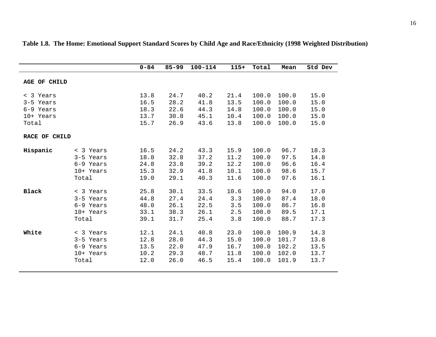|               |           | $0 - 84$ | $85 - 99$ | $100 - 114$ | $115+$ | Total | Mean  | Std Dev |
|---------------|-----------|----------|-----------|-------------|--------|-------|-------|---------|
|               |           |          |           |             |        |       |       |         |
| AGE OF CHILD  |           |          |           |             |        |       |       |         |
|               |           |          |           |             |        |       |       |         |
| < 3 Years     |           | 13.8     | 24.7      | 40.2        | 21.4   | 100.0 | 100.0 | 15.0    |
| 3-5 Years     |           | 16.5     | 28.2      | 41.8        | 13.5   | 100.0 | 100.0 | 15.0    |
| 6-9 Years     |           | 18.3     | 22.6      | 44.3        | 14.8   | 100.0 | 100.0 | 15.0    |
| 10+ Years     |           | 13.7     | 30.8      | 45.1        | 10.4   | 100.0 | 100.0 | 15.0    |
| Total         |           | 15.7     | 26.9      | 43.6        | 13.8   | 100.0 | 100.0 | 15.0    |
|               |           |          |           |             |        |       |       |         |
| RACE OF CHILD |           |          |           |             |        |       |       |         |
| Hispanic      | < 3 Years | 16.5     | 24.2      | 43.3        | 15.9   | 100.0 | 96.7  | 18.3    |
|               | 3-5 Years | 18.8     | 32.8      | 37.2        | 11.2   | 100.0 | 97.5  | 14.8    |
|               | 6-9 Years | 24.8     | 23.8      | 39.2        | 12.2   | 100.0 | 96.6  | 16.4    |
|               | 10+ Years | 15.3     | 32.9      | 41.8        | 10.1   | 100.0 | 98.6  | 15.7    |
|               | Total     | 19.0     | 29.1      | 40.3        | 11.6   | 100.0 | 97.6  | 16.1    |
|               |           |          |           |             |        |       |       |         |
| <b>Black</b>  | < 3 Years | 25.8     | 30.1      | 33.5        | 10.6   | 100.0 | 94.0  | 17.0    |
|               | 3-5 Years | 44.8     | 27.4      | 24.4        | 3.3    | 100.0 | 87.4  | 18.0    |
|               | 6-9 Years | 48.0     | 26.1      | 22.5        | 3.5    | 100.0 | 86.7  | 16.8    |
|               | 10+ Years | 33.1     | 38.3      | 26.1        | 2.5    | 100.0 | 89.5  | 17.1    |
|               | Total     | 39.1     | 31.7      | 25.4        | 3.8    | 100.0 | 88.7  | 17.3    |
|               |           |          |           |             |        |       |       |         |
| White         | < 3 Years | 12.1     | 24.1      | 40.8        | 23.0   | 100.0 | 100.9 | 14.3    |
|               | 3-5 Years | 12.8     | 28.0      | 44.3        | 15.0   | 100.0 | 101.7 | 13.8    |
|               | 6-9 Years | 13.5     | 22.0      | 47.9        | 16.7   | 100.0 | 102.2 | 13.5    |
|               | 10+ Years | 10.2     | 29.3      | 48.7        | 11.8   | 100.0 | 102.0 | 13.7    |
|               | Total     | 12.0     | 26.0      | 46.5        | 15.4   | 100.0 | 101.9 | 13.7    |
|               |           |          |           |             |        |       |       |         |

**Table 1.8. The Home: Emotional Support Standard Scores by Child Age and Race/Ethnicity (1998 Weighted Distribution)**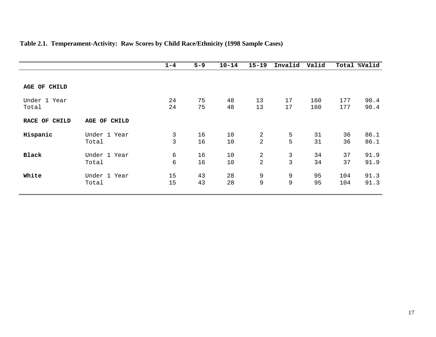|               |                 | $1 - 4$        | $5 - 9$ | $10 - 14$ | $15 - 19$      | Invalid      | Valid |     | Total %Valid |
|---------------|-----------------|----------------|---------|-----------|----------------|--------------|-------|-----|--------------|
|               |                 |                |         |           |                |              |       |     |              |
| AGE OF CHILD  |                 |                |         |           |                |              |       |     |              |
| Under 1 Year  |                 | 24             | 75      | 48        | 13             | 17           | 160   | 177 | 90.4         |
| Total         |                 | 24             | 75      | 48        | 13             | 17           | 160   | 177 | 90.4         |
| RACE OF CHILD | AGE<br>OF CHILD |                |         |           |                |              |       |     |              |
| Hispanic      | Under 1 Year    | $\mathfrak{Z}$ | 16      | 10        | $\overline{a}$ | 5            | 31    | 36  | 86.1         |
|               | Total           | 3              | 16      | 10        | $\overline{a}$ | 5            | 31    | 36  | 86.1         |
| <b>Black</b>  | Under 1 Year    | 6              | 16      | 10        | $\overline{a}$ | 3            | 34    | 37  | 91.9         |
|               | Total           | 6              | 16      | 10        | $\overline{2}$ | $\mathsf{3}$ | 34    | 37  | 91.9         |
| White         | Under 1 Year    | 15             | 43      | 28        | 9              | 9            | 95    | 104 | 91.3         |
|               | Total           | 15             | 43      | 28        | 9              | 9            | 95    | 104 | 91.3         |

### **Table 2.1. Temperament-Activity: Raw Scores by Child Race/Ethnicity (1998 Sample Cases)**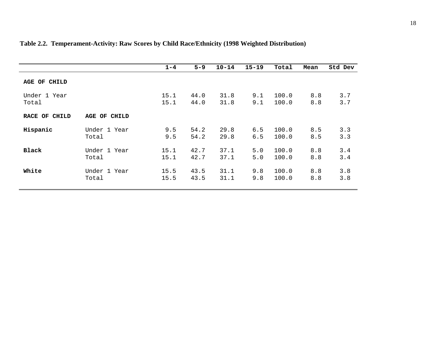|                 |              | $1 - 4$ | $5 - 9$ | $10 - 14$ | $15 - 19$ | Total | Mean | Std Dev |
|-----------------|--------------|---------|---------|-----------|-----------|-------|------|---------|
| AGE OF<br>CHILD |              |         |         |           |           |       |      |         |
| Under 1 Year    |              | 15.1    | 44.0    | 31.8      | 9.1       | 100.0 | 8.8  | 3.7     |
| Total           |              | 15.1    | 44.0    | 31.8      | 9.1       | 100.0 | 8.8  | 3.7     |
| RACE OF CHILD   | AGE OF CHILD |         |         |           |           |       |      |         |
| Hispanic        | Under 1 Year | 9.5     | 54.2    | 29.8      | 6.5       | 100.0 | 8.5  | 3.3     |
|                 | Total        | 9.5     | 54.2    | 29.8      | 6.5       | 100.0 | 8.5  | 3.3     |
| Black           | Under 1 Year | 15.1    | 42.7    | 37.1      | 5.0       | 100.0 | 8.8  | 3.4     |
|                 | Total        | 15.1    | 42.7    | 37.1      | 5.0       | 100.0 | 8.8  | 3.4     |
| White           | Under 1 Year | 15.5    | 43.5    | 31.1      | 9.8       | 100.0 | 8.8  | 3.8     |
|                 | Total        | 15.5    | 43.5    | 31.1      | 9.8       | 100.0 | 8.8  | 3.8     |

### **Table 2.2. Temperament-Activity: Raw Scores by Child Race/Ethnicity (1998 Weighted Distribution)**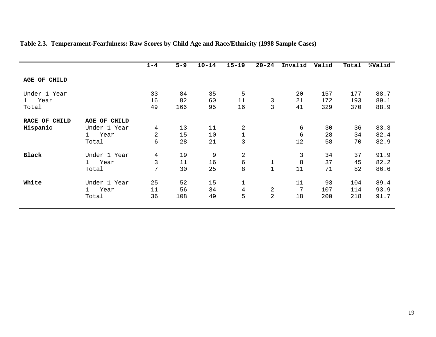|                      |                      | $1 - 4$        | $5 - 9$ | $10 - 14$ | $15 - 19$      | $20 - 24$      | Invalid | Valid | Total | %Valid |
|----------------------|----------------------|----------------|---------|-----------|----------------|----------------|---------|-------|-------|--------|
| AGE OF CHILD         |                      |                |         |           |                |                |         |       |       |        |
| Under 1 Year         |                      | 33             | 84      | 35        | 5              |                | 20      | 157   | 177   | 88.7   |
| Year<br>$\mathbf{1}$ |                      | 16             | 82      | 60        | 11             | $\mathbf{3}$   | 21      | 172   | 193   | 89.1   |
| Total                |                      | 49             | 166     | 95        | 16             | 3              | 41      | 329   | 370   | 88.9   |
| RACE OF CHILD        | CHILD<br>OF<br>AGE   |                |         |           |                |                |         |       |       |        |
| Hispanic             | Under 1 Year         | 4              | 13      | 11        | $\overline{2}$ |                | 6       | 30    | 36    | 83.3   |
|                      | Year<br>$\mathbf{1}$ | $\overline{2}$ | 15      | 10        | $\mathbf 1$    |                | 6       | 28    | 34    | 82.4   |
|                      | Total                | 6              | 28      | 21        | 3              |                | 12      | 58    | 70    | 82.9   |
| <b>Black</b>         | Under 1 Year         | $\overline{4}$ | 19      | 9         | $\overline{c}$ |                | 3       | 34    | 37    | 91.9   |
|                      | Year<br>$\mathbf{1}$ | 3              | 11      | 16        | $\epsilon$     | $\mathbf 1$    | $\,8\,$ | 37    | 45    | 82.2   |
|                      | Total                | 7              | 30      | 25        | 8              | $1\,$          | 11      | 71    | 82    | 86.6   |
| White                | Under 1 Year         | 25             | 52      | 15        | $1\,$          |                | 11      | 93    | 104   | 89.4   |
|                      | Year<br>$\mathbf{1}$ | 11             | 56      | 34        | $\overline{4}$ | $\sqrt{2}$     | 7       | 107   | 114   | 93.9   |
|                      | Total                | 36             | 108     | 49        | 5              | $\overline{2}$ | 18      | 200   | 218   | 91.7   |

### **Table 2.3. Temperament-Fearfulness: Raw Scores by Child Age and Race/Ethnicity (1998 Sample Cases)**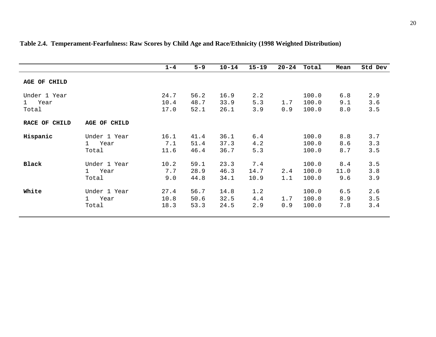|                                            |                                            | $1 - 4$              | $5 - 9$              | $10 - 14$            | $15 - 19$           | $20 - 24$  | Total                   | Mean               | Std Dev           |
|--------------------------------------------|--------------------------------------------|----------------------|----------------------|----------------------|---------------------|------------|-------------------------|--------------------|-------------------|
| AGE OF CHILD                               |                                            |                      |                      |                      |                     |            |                         |                    |                   |
| Under 1 Year<br>Year<br>$1 \quad$<br>Total |                                            | 24.7<br>10.4<br>17.0 | 56.2<br>48.7<br>52.1 | 16.9<br>33.9<br>26.1 | 2.2<br>5.3<br>3.9   | 1.7<br>0.9 | 100.0<br>100.0<br>100.0 | 6.8<br>9.1<br>8.0  | 2.9<br>3.6<br>3.5 |
| RACE OF CHILD                              | AGE OF CHILD                               |                      |                      |                      |                     |            |                         |                    |                   |
| Hispanic                                   | Under 1 Year<br>Year<br>$1 \quad$<br>Total | 16.1<br>7.1<br>11.6  | 41.4<br>51.4<br>46.4 | 36.1<br>37.3<br>36.7 | 6.4<br>4.2<br>5.3   |            | 100.0<br>100.0<br>100.0 | 8.8<br>8.6<br>8.7  | 3.7<br>3.3<br>3.5 |
| <b>Black</b>                               | Under 1 Year<br>1 Year<br>Total            | 10.2<br>7.7<br>9.0   | 59.1<br>28.9<br>44.8 | 23.3<br>46.3<br>34.1 | 7.4<br>14.7<br>10.9 | 2.4<br>1.1 | 100.0<br>100.0<br>100.0 | 8.4<br>11.0<br>9.6 | 3.5<br>3.8<br>3.9 |
| White                                      | Under 1 Year<br>Year<br>$1 \quad$<br>Total | 27.4<br>10.8<br>18.3 | 56.7<br>50.6<br>53.3 | 14.8<br>32.5<br>24.5 | 1.2<br>4.4<br>2.9   | 1.7<br>0.9 | 100.0<br>100.0<br>100.0 | 6.5<br>8.9<br>7.8  | 2.6<br>3.5<br>3.4 |

# **Table 2.4. Temperament-Fearfulness: Raw Scores by Child Age and Race/Ethnicity (1998 Weighted Distribution)**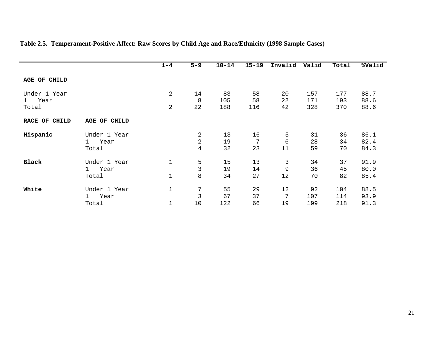|                                    |                                               | $1 - 4$                    | $5 - 9$                               | $10 - 14$        | $15 - 19$       | Invalid                | Valid             | Total             | %Valid               |
|------------------------------------|-----------------------------------------------|----------------------------|---------------------------------------|------------------|-----------------|------------------------|-------------------|-------------------|----------------------|
| AGE OF CHILD                       |                                               |                            |                                       |                  |                 |                        |                   |                   |                      |
| Under 1 Year<br>Year<br>1<br>Total |                                               | $\overline{a}$<br>2        | 14<br>8<br>22                         | 83<br>105<br>188 | 58<br>58<br>116 | 20<br>22<br>42         | 157<br>171<br>328 | 177<br>193<br>370 | 88.7<br>88.6<br>88.6 |
| RACE OF CHILD                      | AGE OF CHILD                                  |                            |                                       |                  |                 |                        |                   |                   |                      |
| Hispanic                           | Under 1 Year<br>Year<br>$\mathbf{1}$<br>Total |                            | 2<br>$\overline{a}$<br>$\overline{4}$ | 13<br>19<br>32   | 16<br>7<br>23   | 5<br>6<br>11           | 31<br>28<br>59    | 36<br>34<br>70    | 86.1<br>82.4<br>84.3 |
| <b>Black</b>                       | Under 1 Year<br>Year<br>$\mathbf{1}$<br>Total | $\mathbf 1$<br>$\mathbf 1$ | 5<br>$\mathfrak{Z}$<br>$\,8\,$        | 15<br>19<br>34   | 13<br>14<br>27  | 3<br>$\mathsf 9$<br>12 | 34<br>36<br>70    | 37<br>45<br>82    | 91.9<br>80.0<br>85.4 |
| White                              | Under 1 Year<br>Year<br>$\mathbf{1}$<br>Total | $\mathbf 1$<br>$\mathbf 1$ | 7<br>3<br>10                          | 55<br>67<br>122  | 29<br>37<br>66  | 12<br>7<br>19          | 92<br>107<br>199  | 104<br>114<br>218 | 88.5<br>93.9<br>91.3 |

### **Table 2.5. Temperament-Positive Affect: Raw Scores by Child Age and Race/Ethnicity (1998 Sample Cases)**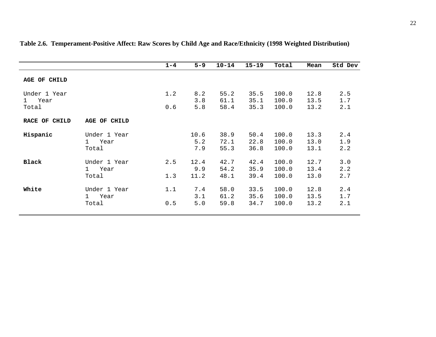|                                               |                                            | $1 - 4$    | $5 - 9$             | $10 - 14$            | $15 - 19$            | Total                   | Mean                 | Std Dev             |
|-----------------------------------------------|--------------------------------------------|------------|---------------------|----------------------|----------------------|-------------------------|----------------------|---------------------|
| AGE OF CHILD                                  |                                            |            |                     |                      |                      |                         |                      |                     |
| Under 1 Year<br>Year<br>$\mathbf{1}$<br>Total |                                            | 1.2<br>0.6 | 8.2<br>3.8<br>5.8   | 55.2<br>61.1<br>58.4 | 35.5<br>35.1<br>35.3 | 100.0<br>100.0<br>100.0 | 12.8<br>13.5<br>13.2 | 2.5<br>$1.7$<br>2.1 |
| RACE OF CHILD                                 | AGE OF CHILD                               |            |                     |                      |                      |                         |                      |                     |
| Hispanic                                      | Under 1 Year<br>Year<br>$1 \quad$<br>Total |            | 10.6<br>5.2<br>7.9  | 38.9<br>72.1<br>55.3 | 50.4<br>22.8<br>36.8 | 100.0<br>100.0<br>100.0 | 13.3<br>13.0<br>13.1 | 2.4<br>1.9<br>2.2   |
| <b>Black</b>                                  | Under 1 Year<br>1 Year<br>Total            | 2.5<br>1.3 | 12.4<br>9.9<br>11.2 | 42.7<br>54.2<br>48.1 | 42.4<br>35.9<br>39.4 | 100.0<br>100.0<br>100.0 | 12.7<br>13.4<br>13.0 | 3.0<br>2.2<br>2.7   |
| White                                         | Under 1 Year<br>Year<br>$1 \quad$<br>Total | 1.1<br>0.5 | 7.4<br>3.1<br>5.0   | 58.0<br>61.2<br>59.8 | 33.5<br>35.6<br>34.7 | 100.0<br>100.0<br>100.0 | 12.8<br>13.5<br>13.2 | 2.4<br>1.7<br>2.1   |

### **Table 2.6. Temperament-Positive Affect: Raw Scores by Child Age and Race/Ethnicity (1998 Weighted Distribution)**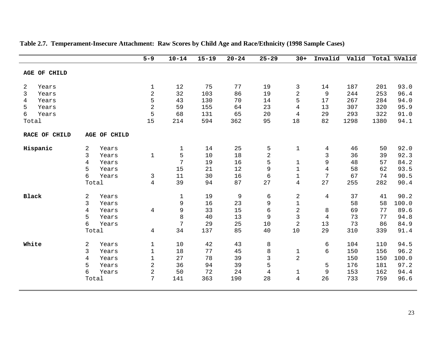|               |        |              | $5 - 9$        | $10 - 14$   | $15 - 19$ | $20 - 24$   | $25 - 29$               | $30+$               | Invalid        | Valid    |          | Total %Valid |
|---------------|--------|--------------|----------------|-------------|-----------|-------------|-------------------------|---------------------|----------------|----------|----------|--------------|
| AGE OF CHILD  |        |              |                |             |           |             |                         |                     |                |          |          |              |
|               |        |              |                |             |           |             |                         |                     |                |          |          |              |
| 2<br>Years    |        |              | 1              | 12          | 75        | 77          | 19                      | 3                   | 14             | 187      | 201      | 93.0         |
| 3<br>Years    |        |              | $\overline{2}$ | 32          | 103       | 86          | 19                      | $\sqrt{2}$          | 9              | 244      | 253      | 96.4         |
| 4<br>Years    |        |              | 5              | 43          | 130       | 70          | 14                      | 5                   | 17             | 267      | 284      | 94.0         |
| 5<br>Years    |        |              | $\overline{2}$ | 59          | 155       | 64          | 23                      | 4                   | 13             | 307      | 320      | 95.9         |
| 6<br>Years    |        |              | 5              | 68          | 131       | 65          | 20                      | $\overline{4}$      | 29             | 293      | 322      | 91.0         |
| Total         |        |              | 15             | 214         | 594       | 362         | 95                      | 18                  | 82             | 1298     | 1380     | 94.1         |
| RACE OF CHILD |        | AGE OF CHILD |                |             |           |             |                         |                     |                |          |          |              |
| Hispanic      | 2      | Years        |                | $\mathbf 1$ | 14        | 25          | 5                       | $1\,$               | 4              | 46       | 50       | 92.0         |
|               | 3      | Years        | $\mathbf 1$    | 5           | 10        | 18          | $\overline{\mathbf{c}}$ |                     | 3              | 36       | 39       | 92.3         |
|               | 4      | Years        |                | 7           | 19        | 16          | 5                       | $\mathbf 1$         | 9              | 48       | 57       | 84.2         |
|               | 5      | Years        |                | 15          | 21        | 12          | 9                       | $\mathbf 1$         | $\overline{4}$ | 58       | 62       | 93.5         |
|               | 6      | Years        | 3              | 11          | 30        | 16          | $\epsilon$              | $\mathbf 1$         | 7              | 67       | 74       | 90.5         |
|               | Total  |              | $\overline{4}$ | 39          | 94        | 87          | 27                      | $\overline{4}$      | 27             | 255      | 282      | 90.4         |
| <b>Black</b>  |        |              |                |             | 19        |             |                         |                     |                | 37       | 41       | 90.2         |
|               | 2      | Years        |                | $1\,$       |           | $\mathsf 9$ | 6                       | $\sqrt{2}$          | $\overline{4}$ |          |          |              |
|               | 3      | Years        |                | 9           | 16        | 23          | 9                       | $\mathbf 1$         |                | 58       | 58       | 100.0        |
|               | 4      | Years        | $\overline{4}$ | 9           | 33        | 15          | 6                       | $\sqrt{2}$          | 8              | 69       | 77       | 89.6         |
|               | 5<br>6 | Years        |                | 8<br>7      | 40<br>29  | 13          | 9                       | 3<br>$\overline{2}$ | 4<br>13        | 73<br>73 | 77<br>86 | 94.8<br>84.9 |
|               |        | Years        |                |             |           | 25          | 10                      |                     | 29             |          |          |              |
|               | Total  |              | 4              | 34          | 137       | 85          | 40                      | $10$                |                | 310      | 339      | 91.4         |
| White         | 2      | Years        | $\mathbf 1$    | 10          | 42        | 43          | 8                       |                     | $\epsilon$     | 104      | 110      | 94.5         |
|               | 3      | Years        | 1              | 18          | 77        | 45          | 8                       | $\mathbf{1}$        | 6              | 150      | 156      | 96.2         |
|               | 4      | Years        | $\mathbf 1$    | 27          | 78        | 39          | 3                       | $\overline{a}$      |                | 150      | 150      | 100.0        |
|               | 5      | Years        | $\overline{2}$ | 36          | 94        | 39          | 5                       |                     | 5              | 176      | 181      | 97.2         |
|               | 6      | Years        | $\overline{2}$ | 50          | 72        | 24          | 4                       | $\mathbf{1}$        | $\mathsf 9$    | 153      | 162      | 94.4         |
|               | Total  |              | 7              | 141         | 363       | 190         | 28                      | $\overline{4}$      | 26             | 733      | 759      | 96.6         |
|               |        |              |                |             |           |             |                         |                     |                |          |          |              |

### **Table 2.7. Temperament-Insecure Attachment: Raw Scores by Child Age and Race/Ethnicity (1998 Sample Cases)**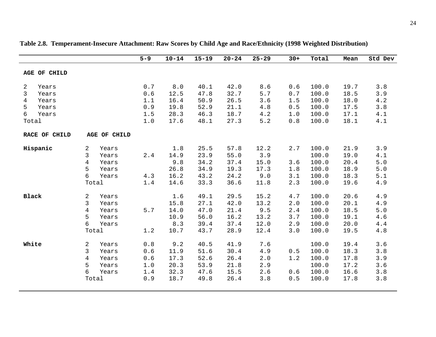|                                                                             |                                |                                                    | $5 - 9$                                | $10 - 14$                                   | $15 - 19$                                    | $20 - 24$                                    | $25 - 29$                                   | $30+$                                    | Total                                              | Mean                                         | Std Dev                                    |
|-----------------------------------------------------------------------------|--------------------------------|----------------------------------------------------|----------------------------------------|---------------------------------------------|----------------------------------------------|----------------------------------------------|---------------------------------------------|------------------------------------------|----------------------------------------------------|----------------------------------------------|--------------------------------------------|
| AGE OF CHILD                                                                |                                |                                                    |                                        |                                             |                                              |                                              |                                             |                                          |                                                    |                                              |                                            |
| 2<br>Years<br>3<br>Years<br>4<br>Years<br>5<br>Years<br>6<br>Years<br>Total |                                |                                                    | 0.7<br>0.6<br>1.1<br>0.9<br>1.5<br>1.0 | 8.0<br>12.5<br>16.4<br>19.8<br>28.3<br>17.6 | 40.1<br>47.8<br>50.9<br>52.9<br>46.3<br>48.1 | 42.0<br>32.7<br>26.5<br>21.1<br>18.7<br>27.3 | 8.6<br>5.7<br>3.6<br>4.8<br>4.2<br>5.2      | 0.6<br>0.7<br>1.5<br>0.5<br>1.0<br>$0.8$ | 100.0<br>100.0<br>100.0<br>100.0<br>100.0<br>100.0 | 19.7<br>18.5<br>18.0<br>17.5<br>17.1<br>18.1 | 3.8<br>3.9<br>4.2<br>3.8<br>4.1<br>$4.1\,$ |
| RACE OF CHILD                                                               |                                | AGE OF CHILD                                       |                                        |                                             |                                              |                                              |                                             |                                          |                                                    |                                              |                                            |
| Hispanic                                                                    | 2<br>3<br>4<br>5<br>6<br>Total | Years<br>Years<br>Years<br>Years<br>Years          | 2.4<br>4.3<br>$1.4$                    | 1.8<br>14.9<br>9.8<br>26.8<br>16.2<br>14.6  | 25.5<br>23.9<br>34.2<br>34.9<br>43.2<br>33.3 | 57.8<br>55.0<br>37.4<br>19.3<br>24.2<br>36.6 | 12.2<br>3.9<br>15.0<br>17.3<br>9.0<br>11.8  | 2.7<br>3.6<br>1.8<br>3.1<br>2.3          | 100.0<br>100.0<br>100.0<br>100.0<br>100.0<br>100.0 | 21.9<br>19.0<br>20.4<br>18.9<br>18.3<br>19.6 | 3.9<br>4.1<br>$5.0$<br>$5.0$<br>5.1<br>4.9 |
| Black                                                                       | 2<br>3<br>4<br>5<br>6          | Years<br>Years<br>Years<br>Years<br>Years<br>Total | $5.7$<br>1.2                           | 1.6<br>15.8<br>14.0<br>10.9<br>8.3<br>10.7  | 49.1<br>27.1<br>47.0<br>56.0<br>39.4<br>43.7 | 29.5<br>42.0<br>21.4<br>16.2<br>37.4<br>28.9 | 15.2<br>13.2<br>9.5<br>13.2<br>12.0<br>12.4 | 4.7<br>2.0<br>2.4<br>3.7<br>2.9<br>3.0   | 100.0<br>100.0<br>100.0<br>100.0<br>100.0<br>100.0 | 20.6<br>20.1<br>18.5<br>19.1<br>20.0<br>19.5 | 4.9<br>4.9<br>$5.0$<br>4.6<br>4.4<br>4.8   |
| White                                                                       | 2<br>3<br>4<br>5<br>6<br>Total | Years<br>Years<br>Years<br>Years<br>Years          | 0.8<br>0.6<br>0.6<br>1.0<br>1.4<br>0.9 | 9.2<br>11.9<br>17.3<br>20.3<br>32.3<br>18.7 | 40.5<br>51.6<br>52.6<br>53.9<br>47.6<br>49.8 | 41.9<br>30.4<br>26.4<br>21.8<br>15.5<br>26.4 | 7.6<br>4.9<br>2.0<br>2.9<br>2.6<br>3.8      | 0.5<br>1.2<br>0.6<br>0.5                 | 100.0<br>100.0<br>100.0<br>100.0<br>100.0<br>100.0 | 19.4<br>18.3<br>17.8<br>17.2<br>16.6<br>17.8 | 3.6<br>3.8<br>3.9<br>3.6<br>3.8<br>3.8     |

**Table 2.8. Temperament-Insecure Attachment: Raw Scores by Child Age and Race/Ethnicity (1998 Weighted Distribution)**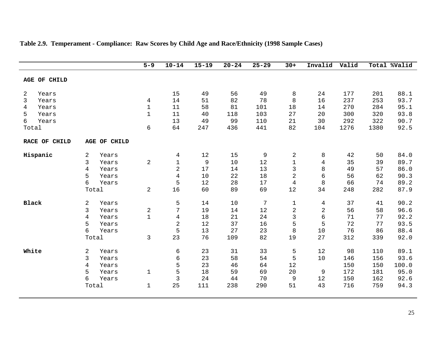|               |                |              | $5 - 9$                               | $10 - 14$      | $15 - 19$ | $20 - 24$ | $25 - 29$ | $30+$          | Invalid        | Valid |      | Total %Valid |
|---------------|----------------|--------------|---------------------------------------|----------------|-----------|-----------|-----------|----------------|----------------|-------|------|--------------|
| AGE OF CHILD  |                |              |                                       |                |           |           |           |                |                |       |      |              |
| 2<br>Years    |                |              |                                       | 15             | 49        | 56        | 49        | 8              | 24             | 177   | 201  | 88.1         |
| 3<br>Years    |                |              | $\overline{4}$                        | 14             | 51        | 82        | 78        | $\, 8$         | 16             | 237   | 253  | 93.7         |
| Years<br>4    |                |              | $\mathbf 1$                           | 11             | 58        | 81        | 101       | 18             | 14             | 270   | 284  | 95.1         |
| 5<br>Years    |                |              | $\mathbf 1$                           | 11             | 40        | 118       | 103       | 27             | 20             | 300   | 320  | 93.8         |
| 6<br>Years    |                |              |                                       | 13             | 49        | 99        | 110       | 21             | 30             | 292   | 322  | 90.7         |
| Total         |                |              | $\epsilon$                            | 64             | 247       | 436       | 441       | 82             | 104            | 1276  | 1380 | 92.5         |
| RACE OF CHILD |                | AGE OF CHILD |                                       |                |           |           |           |                |                |       |      |              |
| Hispanic      | 2              | Years        |                                       | 4              | $12$      | 15        | 9         | $\overline{c}$ | 8              | 42    | 50   | 84.0         |
|               | 3              | Years        | $\sqrt{2}$                            | $\mathbf{1}$   | 9         | 10        | $12$      | $1\,$          | $\overline{4}$ | 35    | 39   | 89.7         |
|               | $\overline{4}$ | Years        |                                       | $\overline{2}$ | 17        | 14        | 13        | $\mathsf{3}$   | 8              | 49    | 57   | 86.0         |
|               | 5              | Years        |                                       | $\sqrt{4}$     | 10        | 22        | 18        | $\sqrt{2}$     | $\epsilon$     | 56    | 62   | 90.3         |
|               | б              | Years        |                                       | 5              | 12        | 28        | 17        | $\overline{4}$ | $\,8\,$        | 66    | 74   | 89.2         |
|               | Total          |              | $\sqrt{2}$                            | 16             | 60        | 89        | 69        | 12             | 34             | 248   | 282  | 87.9         |
| <b>Black</b>  | $\sqrt{2}$     | Years        |                                       | 5              | 14        | 10        | 7         | $\mathbf 1$    | 4              | 37    | 41   | 90.2         |
|               | 3              | Years        |                                       | 7              | 19        | 14        | $1\,2$    | $\sqrt{2}$     | $\overline{2}$ | 56    | 58   | 96.6         |
|               | $\overline{4}$ | Years        | $\begin{array}{c} 2 \\ 1 \end{array}$ | $\sqrt{4}$     | 18        | 21        | 24        | $\mathfrak{Z}$ | 6              | 71    | 77   | 92.2         |
|               | 5              | Years        |                                       | $\sqrt{2}$     | 12        | 37        | 16        | 5              | 5              | 72    | 77   | 93.5         |
|               | б              | Years        |                                       | 5              | 13        | 27        | 23        | 8              | $10$           | 76    | 86   | 88.4         |
|               | Total          |              | 3                                     | 23             | 76        | 109       | 82        | 19             | 27             | 312   | 339  | 92.0         |
| White         | 2              | Years        |                                       | 6              | 23        | 31        | 33        | 5              | 12             | 98    | 110  | 89.1         |
|               | 3              | Years        |                                       | 6              | 23        | 58        | 54        | 5              | 10             | 146   | 156  | 93.6         |
|               | $\overline{4}$ | Years        |                                       | 5              | 23        | 46        | 64        | 12             |                | 150   | 150  | 100.0        |
|               | 5              | Years        | $\mathbf 1$                           | 5              | $18\,$    | 59        | 69        | 20             | 9              | 172   | 181  | 95.0         |
|               | 6              | Years        |                                       | $\mathfrak{Z}$ | 24        | 44        | 70        | 9              | 12             | 150   | 162  | 92.6         |
|               | Total          |              | $\mathbf 1$                           | 25             | 111       | 238       | 290       | 51             | 43             | 716   | 759  | 94.3         |
|               |                |              |                                       |                |           |           |           |                |                |       |      |              |

### **Table 2.9. Temperament - Compliance: Raw Scores by Child Age and Race/Ethnicity (1998 Sample Cases)**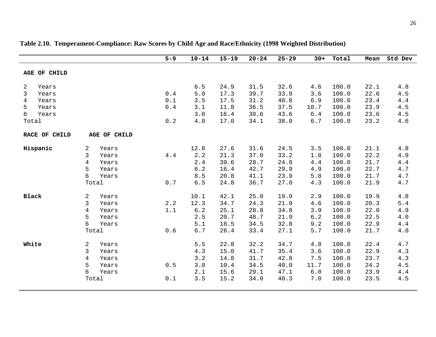|                                                                             |       |                                           | $5 - 9$                                                                  | $10 - 14$                                  | $15 - 19$                                    | $20 - 24$                                    | $25 - 29$                                    | $30+$                                       | Total                                              | Mean                                         | Std Dev                                      |
|-----------------------------------------------------------------------------|-------|-------------------------------------------|--------------------------------------------------------------------------|--------------------------------------------|----------------------------------------------|----------------------------------------------|----------------------------------------------|---------------------------------------------|----------------------------------------------------|----------------------------------------------|----------------------------------------------|
| AGE OF CHILD                                                                |       |                                           |                                                                          |                                            |                                              |                                              |                                              |                                             |                                                    |                                              |                                              |
| 2<br>Years<br>3<br>Years<br>Years<br>4<br>5<br>Years<br>6<br>Years<br>Total |       |                                           | $0.4$<br>0.1<br>$\ensuremath{\text{0}}$ . $\ensuremath{\text{4}}$<br>0.2 | 6.5<br>5.0<br>3.5<br>3.1<br>3.0<br>4.0     | 24.9<br>17.3<br>17.5<br>11.8<br>16.4<br>17.0 | 31.5<br>39.7<br>31.2<br>36.5<br>30.6<br>34.1 | 32.6<br>33.9<br>40.8<br>37.5<br>43.6<br>38.0 | 4.6<br>3.6<br>$6.9$<br>10.7<br>6.4<br>$6.7$ | 100.0<br>100.0<br>100.0<br>100.0<br>100.0<br>100.0 | 22.1<br>22.6<br>23.4<br>23.9<br>23.6<br>23.2 | 4.8<br>4.5<br>4.4<br>4.5<br>4.5<br>4.6       |
| RACE OF CHILD                                                               |       | AGE OF CHILD                              |                                                                          |                                            |                                              |                                              |                                              |                                             |                                                    |                                              |                                              |
| Hispanic<br>2<br>3<br>4<br>5<br>6                                           | Total | Years<br>Years<br>Years<br>Years<br>Years | 4.4<br>0.7                                                               | 12.8<br>2.2<br>2.4<br>6.2<br>8.5<br>6.5    | 27.6<br>21.3<br>39.6<br>16.4<br>20.8<br>24.8 | 31.6<br>37.0<br>28.7<br>42.7<br>41.1<br>36.7 | 24.5<br>33.2<br>24.8<br>29.9<br>23.9<br>27.0 | 3.5<br>1.8<br>$4.4$<br>4.9<br>5.8<br>4.3    | 100.0<br>100.0<br>100.0<br>100.0<br>100.0<br>100.0 | 21.1<br>22.2<br>21.7<br>22.7<br>21.7<br>21.9 | 4.8<br>4.9<br>4.4<br>4.7<br>$4.7\,$<br>4.7   |
| Black<br>2<br>3<br>4<br>5<br>6                                              | Total | Years<br>Years<br>Years<br>Years<br>Years | 2.2<br>1.1<br>0.6                                                        | 10.1<br>12.3<br>6.2<br>2.5<br>5.1<br>$6.7$ | 42.1<br>34.7<br>25.1<br>20.7<br>18.5<br>26.4 | 25.0<br>24.3<br>28.8<br>48.7<br>34.5<br>33.4 | 19.9<br>21.9<br>34.8<br>21.9<br>32.8<br>27.1 | 2.9<br>4.6<br>3.9<br>6.2<br>9.2<br>5.7      | 100.0<br>100.0<br>100.0<br>100.0<br>100.0<br>100.0 | 19.9<br>20.3<br>22.0<br>22.5<br>22.9<br>21.7 | 4.8<br>$5.4$<br>4.9<br>$4.0\,$<br>4.4<br>4.8 |
| White<br>2<br>3<br>4<br>5<br>6                                              | Total | Years<br>Years<br>Years<br>Years<br>Years | $0.5$<br>0.1                                                             | 5.5<br>4.3<br>3.2<br>3.0<br>2.1<br>3.5     | 22.8<br>15.0<br>14.8<br>10.4<br>15.6<br>15.2 | 32.2<br>41.7<br>31.7<br>34.5<br>29.1<br>34.0 | 34.7<br>35.4<br>42.8<br>40.0<br>47.1<br>40.3 | 4.8<br>3.6<br>7.5<br>11.7<br>$6.0$<br>7.0   | 100.0<br>100.0<br>100.0<br>100.0<br>100.0<br>100.0 | 22.4<br>22.9<br>23.7<br>24.2<br>23.9<br>23.5 | 4.7<br>4.3<br>4.3<br>4.5<br>$4.4\,$<br>4.5   |

### **Table 2.10. Temperament-Compliance: Raw Scores by Child Age and Race/Ethnicity (1998 Weighted Distribution)**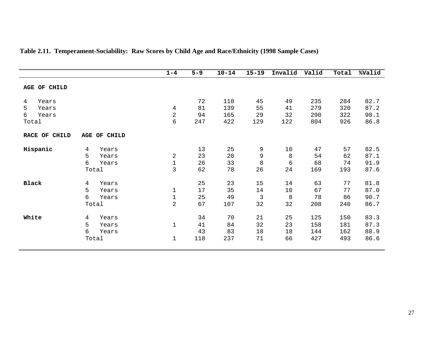|               |              | $1 - 4$        | $5 - 9$ | $10 - 14$ | $15 - 19$      | Invalid | Valid | Total | %Valid |
|---------------|--------------|----------------|---------|-----------|----------------|---------|-------|-------|--------|
|               |              |                |         |           |                |         |       |       |        |
| AGE OF CHILD  |              |                |         |           |                |         |       |       |        |
| 4<br>Years    |              |                | 72      | 118       | 45             | 49      | 235   | 284   | 82.7   |
| 5<br>Years    |              | 4              | 81      | 139       | 55             | 41      | 279   | 320   | 87.2   |
| 6<br>Years    |              | $\mathbf 2$    | 94      | 165       | 29             | 32      | 290   | 322   | 90.1   |
| Total         |              | 6              | 247     | 422       | 129            | 122     | 804   | 926   | 86.8   |
| RACE OF CHILD | AGE OF CHILD |                |         |           |                |         |       |       |        |
| Hispanic      | 4<br>Years   |                | 13      | 25        | 9              | 10      | 47    | 57    | 82.5   |
|               | 5<br>Years   | $\overline{2}$ | 23      | 20        | 9              | $\,8\,$ | 54    | 62    | 87.1   |
|               | 6<br>Years   | $\mathbf 1$    | 26      | 33        | 8              | 6       | 68    | 74    | 91.9   |
|               | Total        | 3              | 62      | 78        | 26             | 24      | 169   | 193   | 87.6   |
| <b>Black</b>  | 4<br>Years   |                | 25      | 23        | 15             | 14      | 63    | 77    | 81.8   |
|               | 5<br>Years   | $\mathbf 1$    | 17      | 35        | 14             | 10      | 67    | 77    | 87.0   |
|               | 6<br>Years   | $\mathbf 1$    | 25      | 49        | $\mathfrak{Z}$ | 8       | 78    | 86    | 90.7   |
|               | Total        | $\overline{2}$ | 67      | 107       | 32             | 32      | 208   | 240   | 86.7   |
| White         | 4<br>Years   |                | 34      | 70        | 21             | 25      | 125   | 150   | 83.3   |
|               | 5<br>Years   | $1\,$          | 41      | 84        | 32             | 23      | 158   | 181   | 87.3   |
|               | 6<br>Years   |                | 43      | 83        | 18             | 18      | 144   | 162   | 88.9   |
|               | Total        | $\mathbf{1}$   | 118     | 237       | 71             | 66      | 427   | 493   | 86.6   |

### **Table 2.11. Temperament-Sociability: Raw Scores by Child Age and Race/Ethnicity (1998 Sample Cases)**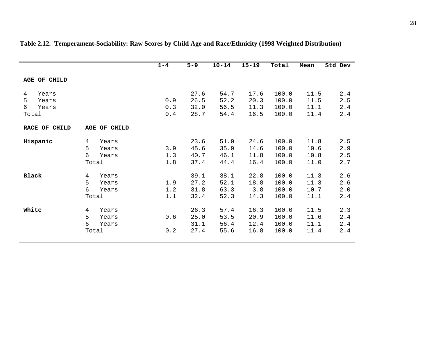|                                                 |                                                 | $1 - 4$           | $5 - 9$                      | $10 - 14$                    | $15 - 19$                    | Total                            | Mean                         | Std Dev                  |
|-------------------------------------------------|-------------------------------------------------|-------------------|------------------------------|------------------------------|------------------------------|----------------------------------|------------------------------|--------------------------|
| <b>AGE OF CHILD</b>                             |                                                 |                   |                              |                              |                              |                                  |                              |                          |
| Years<br>4<br>5<br>Years<br>6<br>Years<br>Total |                                                 | 0.9<br>0.3<br>0.4 | 27.6<br>26.5<br>32.0<br>28.7 | 54.7<br>52.2<br>56.5<br>54.4 | 17.6<br>20.3<br>11.3<br>16.5 | 100.0<br>100.0<br>100.0<br>100.0 | 11.5<br>11.5<br>11.1<br>11.4 | 2.4<br>2.5<br>2.4<br>2.4 |
| RACE OF CHILD                                   | AGE OF CHILD                                    |                   |                              |                              |                              |                                  |                              |                          |
| Hispanic                                        | 4<br>Years<br>5<br>Years<br>6<br>Years<br>Total | 3.9<br>1.3<br>1.8 | 23.6<br>45.6<br>40.7<br>37.4 | 51.9<br>35.9<br>46.1<br>44.4 | 24.6<br>14.6<br>11.8<br>16.4 | 100.0<br>100.0<br>100.0<br>100.0 | 11.8<br>10.6<br>10.8<br>11.0 | 2.5<br>2.9<br>2.5<br>2.7 |
| <b>Black</b>                                    | 4<br>Years<br>5<br>Years<br>6<br>Years<br>Total | 1.9<br>1.2<br>1.1 | 39.1<br>27.2<br>31.8<br>32.4 | 38.1<br>52.1<br>63.3<br>52.3 | 22.8<br>18.8<br>3.8<br>14.3  | 100.0<br>100.0<br>100.0<br>100.0 | 11.3<br>11.3<br>10.7<br>11.1 | 2.6<br>2.6<br>2.0<br>2.4 |
| White                                           | 4<br>Years<br>5<br>Years<br>6<br>Years<br>Total | 0.6<br>0.2        | 26.3<br>25.0<br>31.1<br>27.4 | 57.4<br>53.5<br>56.4<br>55.6 | 16.3<br>20.9<br>12.4<br>16.8 | 100.0<br>100.0<br>100.0<br>100.0 | 11.5<br>11.6<br>11.1<br>11.4 | 2.3<br>2.4<br>2.4<br>2.4 |

### **Table 2.12. Temperament-Sociability: Raw Scores by Child Age and Race/Ethnicity (1998 Weighted Distribution)**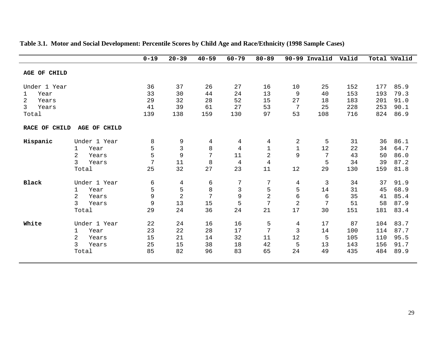|                         |                         | $0 - 19$ | $20 - 39$      | $40 - 59$ | $60 - 79$      | $80 - 89$      |             | 90-99 Invalid | Valid |     | Total %Valid |
|-------------------------|-------------------------|----------|----------------|-----------|----------------|----------------|-------------|---------------|-------|-----|--------------|
| AGE OF CHILD            |                         |          |                |           |                |                |             |               |       |     |              |
| Under 1 Year            |                         | 36       | 37             | 26        | 27             | 16             | 10          | 25            | 152   | 177 | 85.9         |
| Year<br>1               |                         | 33       | 30             | 44        | 24             | 13             | 9           | 40            | 153   | 193 | 79.3         |
| $\overline{2}$<br>Years |                         | 29       | 32             | 28        | 52             | 15             | 27          | 18            | 183   | 201 | 91.0         |
| 3<br>Years              |                         | 41       | 39             | 61        | 27             | 53             | 7           | 25            | 228   | 253 | 90.1         |
| Total                   |                         | 139      | 138            | 159       | 130            | 97             | 53          | 108           | 716   | 824 | 86.9         |
| RACE OF CHILD           | AGE OF CHILD            |          |                |           |                |                |             |               |       |     |              |
| Hispanic                | Under 1 Year            | 8        | 9              | 4         | 4              | 4              | 2           | 5             | 31    | 36  | 86.1         |
|                         | Year<br>1               | 5        | $\overline{3}$ | 8         | $\overline{4}$ | $\mathbf 1$    | $\mathbf 1$ | 12            | 22    | 34  | 64.7         |
|                         | $\overline{2}$<br>Years | 5        | $\mathsf 9$    | 7         | 11             | 2              | 9           | 7             | 43    | 50  | 86.0         |
|                         | 3<br>Years              | 7        | 11             | 8         | $\overline{4}$ | $\overline{4}$ |             | 5             | 34    | 39  | 87.2         |
|                         | Total                   | 25       | 32             | 27        | 23             | 11             | 12          | 29            | 130   | 159 | 81.8         |
| <b>Black</b>            | Under 1 Year            | 6        | 4              | 6         | 7              | 7              | 4           | 3             | 34    | 37  | 91.9         |
|                         | Year<br>1               | 5        | 5              | 8         | 3              | 5              | 5           | 14            | 31    | 45  | 68.9         |
|                         | 2<br>Years              | 9        | $\overline{2}$ | 7         | 9              | $\overline{2}$ | 6           | 6             | 35    | 41  | 85.4         |
|                         | 3<br>Years              | 9        | 13             | 15        | 5              | 7              | 2           | 7             | 51    | 58  | 87.9         |
|                         | Total                   | 29       | 24             | 36        | 24             | 21             | 17          | 30            | 151   | 181 | 83.4         |
| White                   | Under 1 Year            | 22       | 24             | 16        | 16             | 5              | 4           | 17            | 87    | 104 | 83.7         |
|                         | Year<br>1               | 23       | 22             | 28        | 17             | 7              | 3           | 14            | 100   | 114 | 87.7         |
|                         | 2<br>Years              | 15       | 21             | 14        | 32             | 11             | 12          | 5             | 105   | 110 | 95.5         |
|                         | 3<br>Years              | 25       | 15             | 38        | 18             | 42             | 5           | 13            | 143   | 156 | 91.7         |
|                         | Total                   | 85       | 82             | 96        | 83             | 65             | 24          | 49            | 435   | 484 | 89.9         |
|                         |                         |          |                |           |                |                |             |               |       |     |              |

### **Table 3.1. Motor and Social Development: Percentile Scores by Child Age and Race/Ethnicity (1998 Sample Cases)**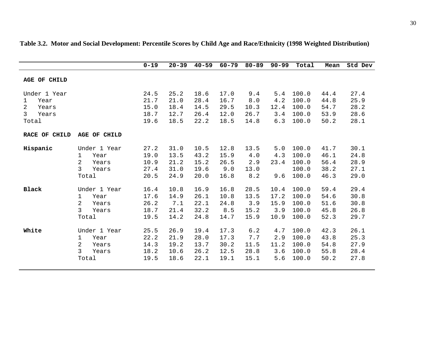|                      |                         | $0 - 19$ | $20 - 39$ | $40 - 59$ | $60 - 79$ | $80 - 89$ | $90 - 99$ | Total | Mean | Std Dev |
|----------------------|-------------------------|----------|-----------|-----------|-----------|-----------|-----------|-------|------|---------|
| <b>AGE OF CHILD</b>  |                         |          |           |           |           |           |           |       |      |         |
| Under 1 Year         |                         | 24.5     | 25.2      | 18.6      | 17.0      | 9.4       | 5.4       | 100.0 | 44.4 | 27.4    |
| Year<br>$\mathbf{1}$ |                         | 21.7     | 21.0      | 28.4      | 16.7      | 8.0       | 4.2       | 100.0 | 44.8 | 25.9    |
| 2<br>Years           |                         | 15.0     | 18.4      | 14.5      | 29.5      | 10.3      | 12.4      | 100.0 | 54.7 | 28.2    |
| 3<br>Years           |                         | 18.7     | 12.7      | 26.4      | 12.0      | 26.7      | 3.4       | 100.0 | 53.9 | 28.6    |
| Total                |                         | 19.6     | 18.5      | 22.2      | 18.5      | 14.8      | 6.3       | 100.0 | 50.2 | 28.1    |
| RACE OF CHILD        | AGE OF CHILD            |          |           |           |           |           |           |       |      |         |
| Hispanic             | Under 1 Year            | 27.2     | 31.0      | 10.5      | 12.8      | 13.5      | 5.0       | 100.0 | 41.7 | 30.1    |
|                      | 1<br>Year               | 19.0     | 13.5      | 43.2      | 15.9      | 4.0       | 4.3       | 100.0 | 46.1 | 24.8    |
|                      | $\overline{2}$<br>Years | 10.9     | 21.2      | 15.2      | 26.5      | 2.9       | 23.4      | 100.0 | 56.4 | 28.9    |
|                      | $\mathsf{3}$<br>Years   | 27.4     | 31.0      | 19.6      | 9.0       | 13.0      |           | 100.0 | 38.2 | 27.1    |
|                      | Total                   | 20.5     | 24.9      | 20.0      | 16.8      | 8.2       | 9.6       | 100.0 | 46.3 | 29.0    |
| <b>Black</b>         | Under 1 Year            | 16.4     | 10.8      | 16.9      | 16.8      | 28.5      | 10.4      | 100.0 | 59.4 | 29.4    |
|                      | Year<br>1               | 17.6     | 14.9      | 26.1      | 10.8      | 13.5      | 17.2      | 100.0 | 54.6 | 30.8    |
|                      | 2<br>Years              | 26.2     | 7.1       | 22.1      | 24.8      | 3.9       | 15.9      | 100.0 | 51.6 | 30.8    |
|                      | 3<br>Years              | 18.7     | 21.4      | 32.2      | 8.5       | 15.2      | 3.9       | 100.0 | 45.8 | 26.8    |
|                      | Total                   | 19.5     | 14.2      | 24.8      | 14.7      | 15.9      | 10.9      | 100.0 | 52.3 | 29.7    |
| White                | Under 1 Year            | 25.5     | 26.9      | 19.4      | 17.3      | 6.2       | 4.7       | 100.0 | 42.3 | 26.1    |
|                      | Year<br>1               | 22.2     | 21.9      | 28.0      | 17.3      | 7.7       | 2.9       | 100.0 | 43.8 | 25.3    |
|                      | $\overline{2}$<br>Years | 14.3     | 19.2      | 13.7      | 30.2      | 11.5      | 11.2      | 100.0 | 54.8 | 27.9    |
|                      | 3<br>Years              | 18.2     | 10.6      | 26.2      | 12.5      | 28.8      | 3.6       | 100.0 | 55.8 | 28.4    |
|                      | Total                   | 19.5     | 18.6      | 22.1      | 19.1      | 15.1      | 5.6       | 100.0 | 50.2 | 27.8    |
|                      |                         |          |           |           |           |           |           |       |      |         |

**Table 3.2. Motor and Social Development: Percentile Scores by Child Age and Race/Ethnicity (1998 Weighted Distribution)**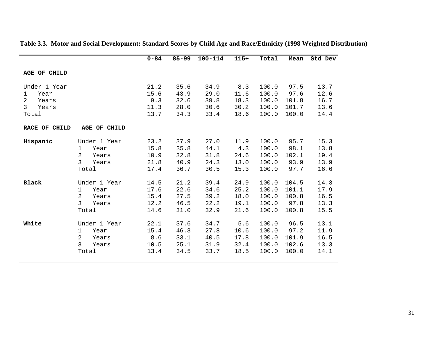|                                                                             |                                                                                                   | $0 - 84$                             | $85 - 99$                            | $100 - 114$                          | $115+$                               | Total                                     | Mean                                     | Std Dev                              |
|-----------------------------------------------------------------------------|---------------------------------------------------------------------------------------------------|--------------------------------------|--------------------------------------|--------------------------------------|--------------------------------------|-------------------------------------------|------------------------------------------|--------------------------------------|
| AGE OF CHILD                                                                |                                                                                                   |                                      |                                      |                                      |                                      |                                           |                                          |                                      |
| Under 1 Year<br>Year<br>1<br>$\overline{2}$<br>Years<br>3<br>Years<br>Total |                                                                                                   | 21.2<br>15.6<br>9.3<br>11.3<br>13.7  | 35.6<br>43.9<br>32.6<br>28.0<br>34.3 | 34.9<br>29.0<br>39.8<br>30.6<br>33.4 | 8.3<br>11.6<br>18.3<br>30.2<br>18.6  | 100.0<br>100.0<br>100.0<br>100.0<br>100.0 | 97.5<br>97.6<br>101.8<br>101.7<br>100.0  | 13.7<br>12.6<br>16.7<br>13.6<br>14.4 |
| RACE OF CHILD                                                               | <b>AGE OF CHILD</b>                                                                               |                                      |                                      |                                      |                                      |                                           |                                          |                                      |
| Hispanic                                                                    | Under 1 Year<br>Year<br>1<br>2<br>Years<br>3<br>Years<br>Total                                    | 23.2<br>15.8<br>10.9<br>21.8<br>17.4 | 37.9<br>35.8<br>32.8<br>40.9<br>36.7 | 27.0<br>44.1<br>31.8<br>24.3<br>30.5 | 11.9<br>4.3<br>24.6<br>13.0<br>15.3  | 100.0<br>100.0<br>100.0<br>100.0<br>100.0 | 95.7<br>98.1<br>102.1<br>93.9<br>97.7    | 15.3<br>13.8<br>19.4<br>13.9<br>16.6 |
| <b>Black</b>                                                                | Under 1 Year<br>$\mathbf 1$<br>Year<br>2<br>Years<br>3<br>Years<br>Total                          | 14.5<br>17.6<br>15.4<br>12.2<br>14.6 | 21.2<br>22.6<br>27.5<br>46.5<br>31.0 | 39.4<br>34.6<br>39.2<br>22.2<br>32.9 | 24.9<br>25.2<br>18.0<br>19.1<br>21.6 | 100.0<br>100.0<br>100.0<br>100.0<br>100.0 | 104.5<br>101.1<br>100.8<br>97.8<br>100.8 | 14.3<br>17.9<br>16.5<br>13.3<br>15.5 |
| White                                                                       | Under 1 Year<br>$\mathbf{1}$<br>Year<br>$\overline{2}$<br>Years<br>$\mathsf{3}$<br>Years<br>Total | 22.1<br>15.4<br>8.6<br>10.5<br>13.4  | 37.6<br>46.3<br>33.1<br>25.1<br>34.5 | 34.7<br>27.8<br>40.5<br>31.9<br>33.7 | 5.6<br>10.6<br>17.8<br>32.4<br>18.5  | 100.0<br>100.0<br>100.0<br>100.0<br>100.0 | 96.5<br>97.2<br>101.9<br>102.6<br>100.0  | 13.1<br>11.9<br>16.5<br>13.3<br>14.1 |

#### **Table 3.3. Motor and Social Development: Standard Scores by Child Age and Race/Ethnicity (1998 Weighted Distribution)**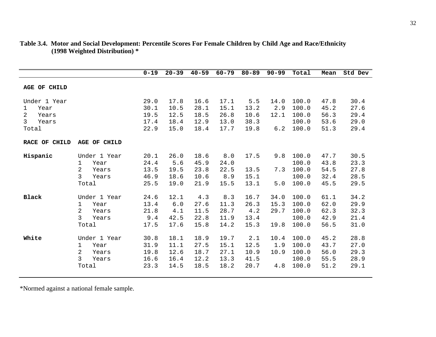|                     |                         | $0 - 19$ | $20 - 39$ | $40 - 59$ | $60 - 79$ | $80 - 89$ | $90 - 99$ | Total | Mean | Std Dev |
|---------------------|-------------------------|----------|-----------|-----------|-----------|-----------|-----------|-------|------|---------|
| <b>AGE OF CHILD</b> |                         |          |           |           |           |           |           |       |      |         |
| Under 1 Year        |                         | 29.0     | 17.8      | 16.6      | 17.1      | 5.5       | 14.0      | 100.0 | 47.8 | 30.4    |
| Year<br>1           |                         | 30.1     | 10.5      | 28.1      | 15.1      | 13.2      | 2.9       | 100.0 | 45.2 | 27.6    |
| 2<br>Years          |                         | 19.5     | 12.5      | 18.5      | 26.8      | 10.6      | 12.1      | 100.0 | 56.3 | 29.4    |
| 3<br>Years          |                         | 17.4     | 18.4      | 12.9      | 13.0      | 38.3      |           | 100.0 | 53.6 | 29.0    |
| Total               |                         | 22.9     | 15.0      | 18.4      | 17.7      | 19.8      | 6.2       | 100.0 | 51.3 | 29.4    |
| RACE OF CHILD       | <b>AGE OF CHILD</b>     |          |           |           |           |           |           |       |      |         |
| Hispanic            | Under 1 Year            | 20.1     | 26.0      | 18.6      | 8.0       | 17.5      | 9.8       | 100.0 | 47.7 | 30.5    |
|                     | 1<br>Year               | 24.4     | 5.6       | 45.9      | 24.0      |           |           | 100.0 | 43.8 | 23.3    |
|                     | 2<br>Years              | 13.5     | 19.5      | 23.8      | 22.5      | 13.5      | 7.3       | 100.0 | 54.5 | 27.8    |
|                     | 3<br>Years              | 46.9     | 18.6      | 10.6      | 8.9       | 15.1      |           | 100.0 | 32.4 | 28.5    |
|                     | Total                   | 25.5     | 19.0      | 21.9      | 15.5      | 13.1      | 5.0       | 100.0 | 45.5 | 29.5    |
| <b>Black</b>        | Under 1 Year            | 24.6     | 12.1      | 4.3       | 8.3       | 16.7      | 34.0      | 100.0 | 61.1 | 34.2    |
|                     | Year<br>1               | 13.4     | 6.0       | 27.6      | 11.3      | 26.3      | 15.3      | 100.0 | 62.0 | 29.9    |
|                     | $\overline{a}$<br>Years | 21.8     | 4.1       | 11.5      | 28.7      | 4.2       | 29.7      | 100.0 | 62.3 | 32.3    |
|                     | 3<br>Years              | 9.4      | 42.5      | 22.8      | 11.9      | 13.4      |           | 100.0 | 42.9 | 21.4    |
|                     | Total                   | 17.5     | 17.6      | 15.8      | 14.2      | 15.3      | 19.8      | 100.0 | 56.5 | 31.0    |
|                     |                         |          |           |           |           |           |           |       |      |         |
| White               | Under 1 Year            | 30.8     | 18.1      | 18.9      | 19.7      | 2.1       | 10.4      | 100.0 | 45.2 | 28.8    |
|                     | 1<br>Year               | 31.9     | 11.1      | 27.5      | 15.1      | 12.5      | 1.9       | 100.0 | 43.7 | 27.0    |
|                     | $\overline{a}$<br>Years | 19.8     | 12.6      | 18.7      | 27.1      | 10.9      | 10.9      | 100.0 | 56.0 | 29.3    |
|                     | $\mathbf{3}$<br>Years   | 16.6     | 16.4      | 12.2      | 13.3      | 41.5      |           | 100.0 | 55.5 | 28.9    |
|                     | Total                   | 23.3     | 14.5      | 18.5      | 18.2      | 20.7      | 4.8       | 100.0 | 51.2 | 29.1    |
|                     |                         |          |           |           |           |           |           |       |      |         |

#### **Table 3.4. Motor and Social Development: Percentile Scores For Female Children by Child Age and Race/Ethnicity (1998 Weighted Distribution) \***

\*Normed against a national female sample.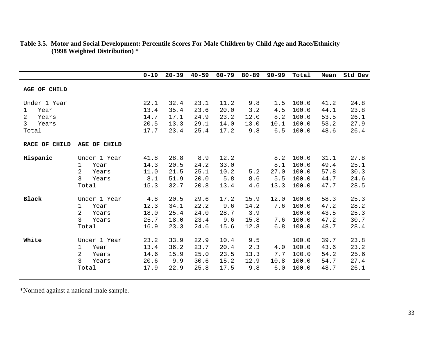|                                      |                                                                                        | $0 - 19$                             | $20 - 39$                            | $40 - 59$                            | $60 - 79$                            | $80 - 89$                           | $90 - 99$                         | Total                                     | Mean                                 | Std Dev                              |
|--------------------------------------|----------------------------------------------------------------------------------------|--------------------------------------|--------------------------------------|--------------------------------------|--------------------------------------|-------------------------------------|-----------------------------------|-------------------------------------------|--------------------------------------|--------------------------------------|
| AGE OF CHILD                         |                                                                                        |                                      |                                      |                                      |                                      |                                     |                                   |                                           |                                      |                                      |
| Under 1 Year<br>$\mathbf{1}$<br>Year |                                                                                        | 22.1<br>13.4                         | 32.4<br>35.4                         | 23.1<br>23.6                         | 11.2<br>20.0                         | 9.8<br>3.2                          | 1.5<br>4.5                        | 100.0<br>100.0                            | 41.2<br>44.1                         | 24.8<br>23.8                         |
| 2<br>Years<br>3<br>Years<br>Total    |                                                                                        | 14.7<br>20.5<br>17.7                 | 17.1<br>13.3<br>23.4                 | 24.9<br>29.1<br>25.4                 | 23.2<br>14.0<br>17.2                 | 12.0<br>13.0<br>9.8                 | 8.2<br>10.1<br>6.5                | 100.0<br>100.0<br>100.0                   | 53.5<br>53.2<br>48.6                 | 26.1<br>27.9<br>26.4                 |
| RACE OF CHILD                        | <b>AGE OF CHILD</b>                                                                    |                                      |                                      |                                      |                                      |                                     |                                   |                                           |                                      |                                      |
| Hispanic                             | Under 1 Year<br>$\mathbf{1}$<br>Year<br>$\overline{2}$<br>Years<br>3<br>Years<br>Total | 41.8<br>14.3<br>11.0<br>8.1<br>15.3  | 28.8<br>20.5<br>21.5<br>51.9<br>32.7 | 8.9<br>24.2<br>25.1<br>20.0<br>20.8  | 12.2<br>33.0<br>10.2<br>5.8<br>13.4  | 5.2<br>8.6<br>4.6                   | 8.2<br>8.1<br>27.0<br>5.5<br>13.3 | 100.0<br>100.0<br>100.0<br>100.0<br>100.0 | 31.1<br>49.4<br>57.8<br>44.7<br>47.7 | 27.8<br>25.1<br>30.3<br>24.6<br>28.5 |
| <b>Black</b>                         | Under 1 Year<br>Year<br>$\mathbf{1}$<br>2<br>Years<br>3<br>Years<br>Total              | 4.8<br>12.3<br>18.0<br>25.7<br>16.9  | 20.5<br>34.1<br>25.4<br>18.0<br>23.3 | 29.6<br>22.2<br>24.0<br>23.4<br>24.6 | 17.2<br>9.6<br>28.7<br>9.6<br>15.6   | 15.9<br>14.2<br>3.9<br>15.8<br>12.8 | 12.0<br>7.6<br>7.6<br>6.8         | 100.0<br>100.0<br>100.0<br>100.0<br>100.0 | 58.3<br>47.2<br>43.5<br>47.2<br>48.7 | 25.3<br>28.2<br>25.3<br>30.7<br>28.4 |
| White                                | Under 1 Year<br>Year<br>1<br>2<br>Years<br>3<br>Years<br>Total                         | 23.2<br>13.4<br>14.6<br>20.6<br>17.9 | 33.9<br>36.2<br>15.9<br>9.9<br>22.9  | 22.9<br>23.7<br>25.0<br>30.6<br>25.8 | 10.4<br>20.4<br>23.5<br>15.2<br>17.5 | 9.5<br>2.3<br>13.3<br>12.9<br>9.8   | 4.0<br>7.7<br>10.8<br>6.0         | 100.0<br>100.0<br>100.0<br>100.0<br>100.0 | 39.7<br>43.6<br>54.2<br>54.7<br>48.7 | 23.8<br>23.2<br>25.6<br>27.4<br>26.1 |

#### **Table 3.5. Motor and Social Development: Percentile Scores For Male Children by Child Age and Race/Ethnicity (1998 Weighted Distribution) \***

\*Normed against a national male sample.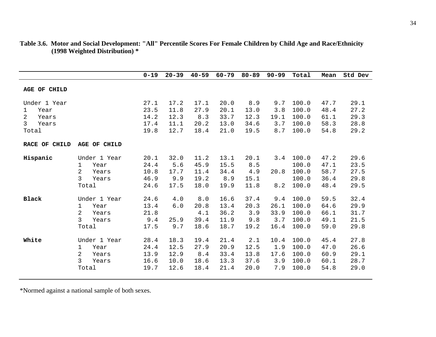|                           |                                                | $0 - 19$             | $20 - 39$            | $40 - 59$            | $60 - 79$            | $80 - 89$            | $90 - 99$           | Total                   | Mean                 | Std Dev              |
|---------------------------|------------------------------------------------|----------------------|----------------------|----------------------|----------------------|----------------------|---------------------|-------------------------|----------------------|----------------------|
| <b>AGE OF CHILD</b>       |                                                |                      |                      |                      |                      |                      |                     |                         |                      |                      |
| Under 1 Year<br>Year<br>1 |                                                | 27.1<br>23.5         | 17.2<br>11.8         | 17.1<br>27.9         | 20.0<br>20.1         | 8.9<br>13.0          | 9.7<br>3.8          | 100.0<br>100.0          | 47.7<br>48.4         | 29.1<br>27.2         |
| 2<br>Years<br>3<br>Years  |                                                | 14.2<br>17.4<br>19.8 | 12.3<br>11.1<br>12.7 | 8.3<br>20.2<br>18.4  | 33.7<br>13.0<br>21.0 | 12.3<br>34.6<br>19.5 | 19.1<br>3.7<br>8.7  | 100.0<br>100.0<br>100.0 | 61.1<br>58.3<br>54.8 | 29.3<br>28.8<br>29.2 |
| Total<br>RACE OF CHILD    | <b>AGE OF CHILD</b>                            |                      |                      |                      |                      |                      |                     |                         |                      |                      |
| Hispanic                  | Under 1 Year                                   | 20.1                 | 32.0                 | 11.2                 | 13.1                 | 20.1                 | 3.4                 | 100.0                   | 47.2                 | 29.6                 |
|                           | 1<br>Year<br>2<br>Years<br>3                   | 24.4<br>10.8<br>46.9 | 5.6<br>17.7<br>9.9   | 45.9<br>11.4<br>19.2 | 15.5<br>34.4<br>8.9  | 8.5<br>4.9           | 20.8                | 100.0<br>100.0<br>100.0 | 47.1<br>58.7         | 23.5<br>27.5<br>29.8 |
|                           | Years<br>Total                                 | 24.6                 | 17.5                 | 18.0                 | 19.9                 | 15.1<br>11.8         | 8.2                 | 100.0                   | 36.4<br>48.4         | 29.5                 |
| <b>Black</b>              | Under 1 Year<br>Year<br>1                      | 24.6<br>13.4         | 4.0<br>6.0           | 8.0<br>20.8          | 16.6<br>13.4         | 37.4<br>20.3         | 9.4<br>26.1         | 100.0<br>100.0          | 59.5<br>64.6         | 32.4<br>29.9         |
|                           | $\overline{2}$<br>Years<br>3<br>Years<br>Total | 21.8<br>9.4<br>17.5  | 25.9<br>9.7          | 4.1<br>39.4<br>18.6  | 36.2<br>11.9<br>18.7 | 3.9<br>9.8<br>19.2   | 33.9<br>3.7<br>16.4 | 100.0<br>100.0<br>100.0 | 66.1<br>49.1<br>59.0 | 31.7<br>21.5<br>29.8 |
| White                     | Under 1 Year                                   | 28.4                 | 18.3                 | 19.4                 | 21.4                 | 2.1                  | 10.4                | 100.0                   | 45.4                 | 27.8                 |
|                           | Year<br>1<br>$\overline{a}$<br>Years           | 24.4<br>13.9         | 12.5<br>12.9         | 27.9<br>8.4          | 20.9<br>33.4         | 12.5<br>13.8         | 1.9<br>17.6         | 100.0<br>100.0          | 47.0<br>60.9         | 26.6<br>29.1         |
|                           | 3<br>Years<br>Total                            | 16.6<br>19.7         | 10.0<br>12.6         | 18.6<br>18.4         | 13.3<br>21.4         | 37.6<br>20.0         | 3.9<br>7.9          | 100.0<br>100.0          | 60.1<br>54.8         | 28.7<br>29.0         |

#### **Table 3.6. Motor and Social Development: "All" Percentile Scores For Female Children by Child Age and Race/Ethnicity (1998 Weighted Distribution) \***

\*Normed against a national sample of both sexes.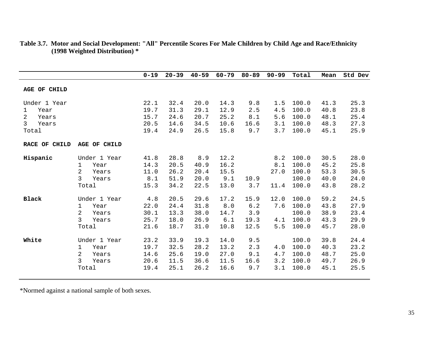|               |              | $0 - 19$ | $20 - 39$ | $40 - 59$ | $60 - 79$ | $80 - 89$ | $90 - 99$ | Total | Mean | Std Dev |
|---------------|--------------|----------|-----------|-----------|-----------|-----------|-----------|-------|------|---------|
| AGE OF CHILD  |              |          |           |           |           |           |           |       |      |         |
| Under 1 Year  |              | 22.1     | 32.4      | 20.0      | 14.3      | 9.8       | 1.5       | 100.0 | 41.3 | 25.3    |
| Year<br>1     |              | 19.7     | 31.3      | 29.1      | 12.9      | 2.5       | 4.5       | 100.0 | 40.8 | 23.8    |
| 2<br>Years    |              | 15.7     | 24.6      | 20.7      | 25.2      | 8.1       | 5.6       | 100.0 | 48.1 | 25.4    |
| 3<br>Years    |              | 20.5     | 14.6      | 34.5      | 10.6      | 16.6      | 3.1       | 100.0 | 48.3 | 27.3    |
| Total         |              | 19.4     | 24.9      | 26.5      | 15.8      | 9.7       | 3.7       | 100.0 | 45.1 | 25.9    |
| RACE OF CHILD | AGE OF CHILD |          |           |           |           |           |           |       |      |         |
| Hispanic      | Under 1 Year | 41.8     | 28.8      | 8.9       | 12.2      |           | 8.2       | 100.0 | 30.5 | 28.0    |
|               | 1<br>Year    | 14.3     | 20.5      | 40.9      | 16.2      |           | 8.1       | 100.0 | 45.2 | 25.8    |
|               | 2<br>Years   | 11.0     | 26.2      | 20.4      | 15.5      |           | 27.0      | 100.0 | 53.3 | 30.5    |
|               | 3<br>Years   | 8.1      | 51.9      | 20.0      | 9.1       | 10.9      |           | 100.0 | 40.0 | 24.0    |
|               | Total        | 15.3     | 34.2      | 22.5      | 13.0      | 3.7       | 11.4      | 100.0 | 43.8 | 28.2    |
| <b>Black</b>  | Under 1 Year | 4.8      | 20.5      | 29.6      | 17.2      | 15.9      | 12.0      | 100.0 | 59.2 | 24.5    |
|               | Year<br>1    | 22.0     | 24.4      | 31.8      | 8.0       | 6.2       | 7.6       | 100.0 | 43.8 | 27.9    |
|               | 2<br>Years   | 30.1     | 13.3      | 38.0      | 14.7      | 3.9       |           | 100.0 | 38.9 | 23.4    |
|               | 3<br>Years   | 25.7     | 18.0      | 26.9      | 6.1       | 19.3      | 4.1       | 100.0 | 43.3 | 29.9    |
|               | Total        | 21.6     | 18.7      | 31.0      | 10.8      | 12.5      | 5.5       | 100.0 | 45.7 | 28.0    |
| White         | Under 1 Year | 23.2     | 33.9      | 19.3      | 14.0      | 9.5       |           | 100.0 | 39.8 | 24.4    |
|               | Year<br>1    | 19.7     | 32.5      | 28.2      | 13.2      | 2.3       | 4.0       | 100.0 | 40.3 | 23.2    |
|               | 2<br>Years   | 14.6     | 25.6      | 19.0      | 27.0      | 9.1       | 4.7       | 100.0 | 48.7 | 25.0    |
|               | 3<br>Years   | 20.6     | 11.5      | 36.6      | 11.5      | 16.6      | 3.2       | 100.0 | 49.7 | 26.9    |
|               | Total        | 19.4     | 25.1      | 26.2      | 16.6      | 9.7       | 3.1       | 100.0 | 45.1 | 25.5    |
|               |              |          |           |           |           |           |           |       |      |         |

#### **Table 3.7. Motor and Social Development: "All" Percentile Scores For Male Children by Child Age and Race/Ethnicity (1998 Weighted Distribution) \***

\*Normed against a national sample of both sexes.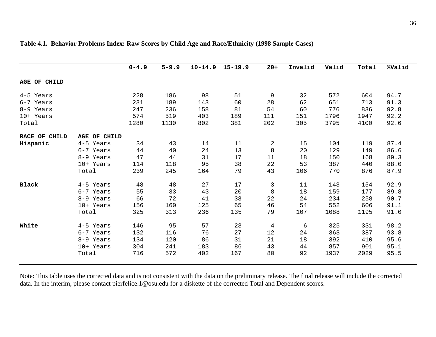|               |                     | $0 - 4.9$ | $5 - 9.9$ | $10 - 14.9$ | $15 - 19.9$ | $20+$ | Invalid | Valid | Total | %Valid |
|---------------|---------------------|-----------|-----------|-------------|-------------|-------|---------|-------|-------|--------|
| AGE OF CHILD  |                     |           |           |             |             |       |         |       |       |        |
| 4-5 Years     |                     | 228       | 186       | 98          | 51          | 9     | 32      | 572   | 604   | 94.7   |
| 6-7 Years     |                     | 231       | 189       | 143         | 60          | 28    | 62      | 651   | 713   | 91.3   |
| 8-9 Years     |                     | 247       | 236       | 158         | 81          | 54    | 60      | 776   | 836   | 92.8   |
| 10+ Years     |                     | 574       | 519       | 403         | 189         | 111   | 151     | 1796  | 1947  | 92.2   |
| Total         |                     | 1280      | 1130      | 802         | 381         | 202   | 305     | 3795  | 4100  | 92.6   |
| RACE OF CHILD | <b>AGE OF CHILD</b> |           |           |             |             |       |         |       |       |        |
| Hispanic      | 4-5 Years           | 34        | 43        | 14          | 11          | 2     | 15      | 104   | 119   | 87.4   |
|               | 6-7 Years           | 44        | 40        | 24          | 13          | 8     | 20      | 129   | 149   | 86.6   |
|               | 8-9 Years           | 47        | 44        | 31          | 17          | 11    | 18      | 150   | 168   | 89.3   |
|               | 10+ Years           | 114       | 118       | 95          | 38          | 22    | 53      | 387   | 440   | 88.0   |
|               | Total               | 239       | 245       | 164         | 79          | 43    | 106     | 770   | 876   | 87.9   |
| <b>Black</b>  | 4-5 Years           | 48        | 48        | 27          | 17          | 3     | 11      | 143   | 154   | 92.9   |
|               | 6-7 Years           | 55        | 33        | 43          | 20          | 8     | 18      | 159   | 177   | 89.8   |
|               | 8-9 Years           | 66        | 72        | 41          | 33          | 22    | 24      | 234   | 258   | 90.7   |
|               | 10+ Years           | 156       | 160       | 125         | 65          | 46    | 54      | 552   | 606   | 91.1   |
|               | Total               | 325       | 313       | 236         | 135         | 79    | 107     | 1088  | 1195  | 91.0   |
| White         | 4-5 Years           | 146       | 95        | 57          | 23          | 4     | 6       | 325   | 331   | 98.2   |
|               | 6-7 Years           | 132       | 116       | 76          | 27          | 12    | 24      | 363   | 387   | 93.8   |
|               | 8-9 Years           | 134       | 120       | 86          | 31          | 21    | 18      | 392   | 410   | 95.6   |
|               | 10+ Years           | 304       | 241       | 183         | 86          | 43    | 44      | 857   | 901   | 95.1   |
|               | Total               | 716       | 572       | 402         | 167         | 80    | 92      | 1937  | 2029  | 95.5   |

#### **Table 4.1. Behavior Problems Index: Raw Scores by Child Age and Race/Ethnicity (1998 Sample Cases)**

Note: This table uses the corrected data and is not consistent with the data on the preliminary release. The final release will include the corrected data. In the interim, please contact pierfelice.1@osu.edu for a diskette of the corrected Total and Dependent scores.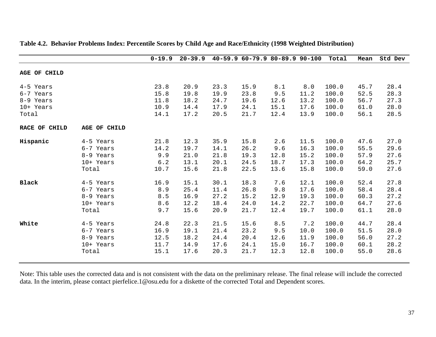|               |              | $0 - 19.9$ | $20 - 39.9$ |      | 40-59.9 60-79.9 80-89.9 90-100 |      |      | Total | Mean | Std Dev |
|---------------|--------------|------------|-------------|------|--------------------------------|------|------|-------|------|---------|
| AGE OF CHILD  |              |            |             |      |                                |      |      |       |      |         |
| 4-5 Years     |              | 23.8       | 20.9        | 23.3 | 15.9                           | 8.1  | 8.0  | 100.0 | 45.7 | 28.4    |
| 6-7 Years     |              | 15.8       | 19.8        | 19.9 | 23.8                           | 9.5  | 11.2 | 100.0 | 52.5 | 28.3    |
| 8-9 Years     |              | 11.8       | 18.2        | 24.7 | 19.6                           | 12.6 | 13.2 | 100.0 | 56.7 | 27.3    |
| 10+ Years     |              | 10.9       | 14.4        | 17.9 | 24.1                           | 15.1 | 17.6 | 100.0 | 61.0 | 28.0    |
| Total         |              | 14.1       | 17.2        | 20.5 | 21.7                           | 12.4 | 13.9 | 100.0 | 56.1 | 28.5    |
| RACE OF CHILD | AGE OF CHILD |            |             |      |                                |      |      |       |      |         |
| Hispanic      | 4-5 Years    | 21.8       | 12.3        | 35.9 | 15.8                           | 2.6  | 11.5 | 100.0 | 47.6 | 27.0    |
|               | 6-7 Years    | 14.2       | 19.7        | 14.1 | 26.2                           | 9.6  | 16.3 | 100.0 | 55.5 | 29.6    |
|               | 8-9 Years    | 9.9        | 21.0        | 21.8 | 19.3                           | 12.8 | 15.2 | 100.0 | 57.9 | 27.6    |
|               | 10+ Years    | 6.2        | 13.1        | 20.1 | 24.5                           | 18.7 | 17.3 | 100.0 | 64.2 | 25.7    |
|               | Total        | 10.7       | 15.6        | 21.8 | 22.5                           | 13.6 | 15.8 | 100.0 | 59.0 | 27.6    |
| <b>Black</b>  | 4-5 Years    | 16.9       | 15.1        | 30.1 | 18.3                           | 7.6  | 12.1 | 100.0 | 52.4 | 27.8    |
|               | 6-7 Years    | 8.9        | 25.4        | 11.4 | 26.8                           | 9.8  | 17.6 | 100.0 | 58.4 | 28.4    |
|               | 8-9 Years    | 8.5        | 16.9        | 27.2 | 15.2                           | 12.9 | 19.3 | 100.0 | 60.3 | 27.2    |
|               | 10+ Years    | 8.6        | 12.2        | 18.4 | 24.0                           | 14.2 | 22.7 | 100.0 | 64.7 | 27.6    |
|               | Total        | 9.7        | 15.6        | 20.9 | 21.7                           | 12.4 | 19.7 | 100.0 | 61.1 | 28.0    |
| White         | 4-5 Years    | 24.8       | 22.3        | 21.5 | 15.6                           | 8.5  | 7.2  | 100.0 | 44.7 | 28.4    |
|               | 6-7 Years    | 16.9       | 19.1        | 21.4 | 23.2                           | 9.5  | 10.0 | 100.0 | 51.5 | 28.0    |
|               | 8-9 Years    | 12.5       | 18.2        | 24.4 | 20.4                           | 12.6 | 11.9 | 100.0 | 56.0 | 27.2    |
|               | 10+ Years    | 11.7       | 14.9        | 17.6 | 24.1                           | 15.0 | 16.7 | 100.0 | 60.1 | 28.2    |
|               | Total        | 15.1       | 17.6        | 20.3 | 21.7                           | 12.3 | 12.8 | 100.0 | 55.0 | 28.6    |

#### **Table 4.2. Behavior Problems Index: Percentile Scores by Child Age and Race/Ethnicity (1998 Weighted Distribution)**

Note: This table uses the corrected data and is not consistent with the data on the preliminary release. The final release will include the corrected data. In the interim, please contact pierfelice.1@osu.edu for a diskette of the corrected Total and Dependent scores.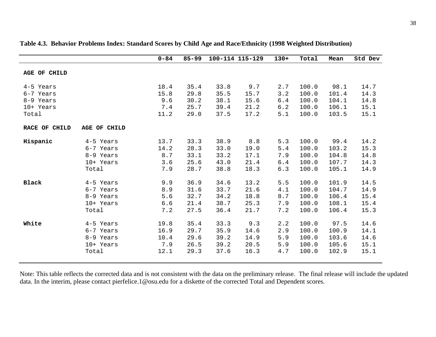|               |              | $0 - 84$ | $85 - 99$ |      | 100-114 115-129 | $130+$ | Total | Mean  | Std Dev |
|---------------|--------------|----------|-----------|------|-----------------|--------|-------|-------|---------|
| AGE OF CHILD  |              |          |           |      |                 |        |       |       |         |
| 4-5 Years     |              | 18.4     | 35.4      | 33.8 | 9.7             | 2.7    | 100.0 | 98.1  | 14.7    |
| 6-7 Years     |              | 15.8     | 29.8      | 35.5 | 15.7            | 3.2    | 100.0 | 101.4 | 14.3    |
| 8-9 Years     |              | 9.6      | 30.2      | 38.1 | 15.6            | 6.4    | 100.0 | 104.1 | 14.8    |
| 10+ Years     |              | 7.4      | 25.7      | 39.4 | 21.2            | 6.2    | 100.0 | 106.1 | 15.1    |
| Total         |              | 11.2     | 29.0      | 37.5 | 17.2            | 5.1    | 100.0 | 103.5 | 15.1    |
| RACE OF CHILD | AGE OF CHILD |          |           |      |                 |        |       |       |         |
| Hispanic      | 4-5 Years    | 13.7     | 33.3      | 38.9 | 8.8             | 5.3    | 100.0 | 99.4  | 14.2    |
|               | 6-7 Years    | 14.2     | 28.3      | 33.0 | 19.0            | 5.4    | 100.0 | 103.2 | 15.3    |
|               | 8-9 Years    | 8.7      | 33.1      | 33.2 | 17.1            | 7.9    | 100.0 | 104.8 | 14.8    |
|               | 10+ Years    | 3.6      | 25.6      | 43.0 | 21.4            | 6.4    | 100.0 | 107.7 | 14.3    |
|               | Total        | 7.9      | 28.7      | 38.8 | 18.3            | 6.3    | 100.0 | 105.1 | 14.9    |
| <b>Black</b>  | 4-5 Years    | 9.9      | 36.9      | 34.6 | 13.2            | 5.5    | 100.0 | 101.9 | 14.5    |
|               | 6-7 Years    | 8.9      | 31.6      | 33.7 | 21.6            | 4.1    | 100.0 | 104.7 | 14.9    |
|               | 8-9 Years    | 5.6      | 32.7      | 34.2 | 18.8            | 8.7    | 100.0 | 106.4 | 15.4    |
|               | 10+ Years    | 6.6      | 21.4      | 38.7 | 25.3            | 7.9    | 100.0 | 108.1 | 15.4    |
|               | Total        | 7.2      | 27.5      | 36.4 | 21.7            | 7.2    | 100.0 | 106.4 | 15.3    |
| White         | 4-5 Years    | 19.8     | 35.4      | 33.3 | 9.3             | 2.2    | 100.0 | 97.5  | 14.6    |
|               | 6-7 Years    | 16.9     | 29.7      | 35.9 | 14.6            | 2.9    | 100.0 | 100.9 | 14.1    |
|               | 8-9 Years    | 10.4     | 29.6      | 39.2 | 14.9            | 5.9    | 100.0 | 103.6 | 14.6    |
|               | 10+ Years    | 7.9      | 26.5      | 39.2 | 20.5            | 5.9    | 100.0 | 105.6 | 15.1    |
|               | Total        | 12.1     | 29.3      | 37.6 | 16.3            | $4.7$  | 100.0 | 102.9 | 15.1    |

#### **Table 4.3. Behavior Problems Index: Standard Scores by Child Age and Race/Ethnicity (1998 Weighted Distribution)**

Note: This table reflects the corrected data and is not consistent with the data on the preliminary release. The final release will include the updated data. In the interim, please contact pierfelice.1@osu.edu for a diskette of the corrected Total and Dependent scores.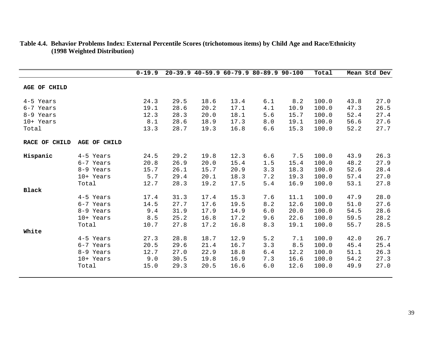|               |              | $0 - 19.9$ |      |      |      | 20-39.9 40-59.9 60-79.9 80-89.9 90-100 |      | Total |      | Mean Std Dev |
|---------------|--------------|------------|------|------|------|----------------------------------------|------|-------|------|--------------|
| AGE OF CHILD  |              |            |      |      |      |                                        |      |       |      |              |
| 4-5 Years     |              | 24.3       | 29.5 | 18.6 | 13.4 | 6.1                                    | 8.2  | 100.0 | 43.8 | 27.0         |
| 6-7 Years     |              | 19.1       | 28.6 | 20.2 | 17.1 | 4.1                                    | 10.9 | 100.0 | 47.3 | 26.5         |
| 8-9 Years     |              | 12.3       | 28.3 | 20.0 | 18.1 | 5.6                                    | 15.7 | 100.0 | 52.4 | 27.4         |
| 10+ Years     |              | 8.1        | 28.6 | 18.9 | 17.3 | 8.0                                    | 19.1 | 100.0 | 56.6 | 27.6         |
| Total         |              | 13.3       | 28.7 | 19.3 | 16.8 | 6.6                                    | 15.3 | 100.0 | 52.2 | 27.7         |
| RACE OF CHILD | AGE OF CHILD |            |      |      |      |                                        |      |       |      |              |
| Hispanic      | 4-5 Years    | 24.5       | 29.2 | 19.8 | 12.3 | 6.6                                    | 7.5  | 100.0 | 43.9 | 26.3         |
|               | 6-7 Years    | 20.8       | 26.9 | 20.0 | 15.4 | 1.5                                    | 15.4 | 100.0 | 48.2 | 27.9         |
|               | 8-9 Years    | 15.7       | 26.1 | 15.7 | 20.9 | 3.3                                    | 18.3 | 100.0 | 52.6 | 28.4         |
|               | 10+ Years    | 5.7        | 29.4 | 20.1 | 18.3 | 7.2                                    | 19.3 | 100.0 | 57.4 | 27.0         |
|               | Total        | 12.7       | 28.3 | 19.2 | 17.5 | 5.4                                    | 16.9 | 100.0 | 53.1 | 27.8         |
| <b>Black</b>  |              |            |      |      |      |                                        |      |       |      |              |
|               | 4-5 Years    | 17.4       | 31.3 | 17.4 | 15.3 | 7.6                                    | 11.1 | 100.0 | 47.9 | 28.0         |
|               | 6-7 Years    | 14.5       | 27.7 | 17.6 | 19.5 | 8.2                                    | 12.6 | 100.0 | 51.0 | 27.6         |
|               | 8-9 Years    | 9.4        | 31.9 | 17.9 | 14.9 | 6.0                                    | 20.0 | 100.0 | 54.5 | 28.6         |
|               | 10+ Years    | 8.5        | 25.2 | 16.8 | 17.2 | 9.6                                    | 22.6 | 100.0 | 59.5 | 28.2         |
|               | Total        | 10.7       | 27.8 | 17.2 | 16.8 | 8.3                                    | 19.1 | 100.0 | 55.7 | 28.5         |
| White         |              |            |      |      |      |                                        |      |       |      |              |
|               | 4-5 Years    | 27.3       | 28.8 | 18.7 | 12.9 | 5.2                                    | 7.1  | 100.0 | 42.0 | 26.7         |
|               | 6-7 Years    | 20.5       | 29.6 | 21.4 | 16.7 | 3.3                                    | 8.5  | 100.0 | 45.4 | 25.4         |
|               | 8-9 Years    | 12.7       | 27.0 | 22.9 | 18.8 | 6.4                                    | 12.2 | 100.0 | 51.1 | 26.3         |
|               | 10+ Years    | 9.0        | 30.5 | 19.8 | 16.9 | 7.3                                    | 16.6 | 100.0 | 54.2 | 27.3         |
|               | Total        | 15.0       | 29.3 | 20.5 | 16.6 | 6.0                                    | 12.6 | 100.0 | 49.9 | 27.0         |

#### **Table 4.4. Behavior Problems Index: External Percentile Scores (trichotomous items) by Child Age and Race/Ethnicity (1998 Weighted Distribution)**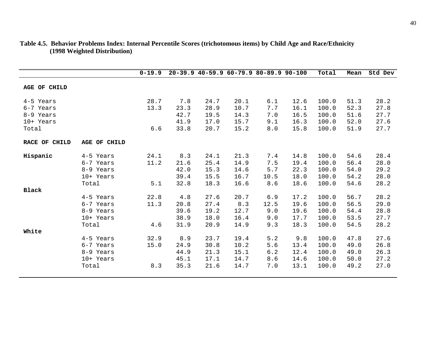|                        |                        | $0 - 19.9$   |              |              |              | 20-39.9 40-59.9 60-79.9 80-89.9 90-100 |              | Total          | Mean         | Std Dev      |
|------------------------|------------------------|--------------|--------------|--------------|--------------|----------------------------------------|--------------|----------------|--------------|--------------|
| AGE OF CHILD           |                        |              |              |              |              |                                        |              |                |              |              |
| 4-5 Years<br>6-7 Years |                        | 28.7<br>13.3 | 7.8<br>23.3  | 24.7<br>28.9 | 20.1<br>10.7 | 6.1<br>7.7                             | 12.6<br>16.1 | 100.0<br>100.0 | 51.3<br>52.3 | 28.2<br>27.8 |
| 8-9 Years<br>10+ Years |                        |              | 42.7<br>41.9 | 19.5<br>17.0 | 14.3<br>15.7 | 7.0<br>9.1                             | 16.5<br>16.3 | 100.0<br>100.0 | 51.6<br>52.0 | 27.7<br>27.6 |
| Total                  |                        | 6.6          | 33.8         | 20.7         | 15.2         | $8.0$                                  | 15.8         | 100.0          | 51.9         | 27.7         |
| RACE OF CHILD          | AGE OF CHILD           |              |              |              |              |                                        |              |                |              |              |
| Hispanic               | 4-5 Years              | 24.1         | 8.3          | 24.1         | 21.3         | 7.4                                    | 14.8         | 100.0          | 54.6         | 28.4         |
|                        | 6-7 Years<br>8-9 Years | 11.2         | 21.6<br>42.0 | 25.4<br>15.3 | 14.9<br>14.6 | 7.5<br>5.7                             | 19.4<br>22.3 | 100.0<br>100.0 | 56.4<br>54.0 | 28.0<br>29.2 |
|                        | 10+ Years              |              | 39.4         | 15.5         | 16.7         | 10.5                                   | 18.0         | 100.0          | 54.2         | 28.0         |
|                        | Total                  | 5.1          | 32.8         | 18.3         | 16.6         | 8.6                                    | 18.6         | 100.0          | 54.6         | 28.2         |
| <b>Black</b>           |                        |              |              |              |              |                                        |              |                |              |              |
|                        | 4-5 Years              | 22.8         | 4.8          | 27.6         | 20.7         | 6.9                                    | 17.2         | 100.0          | 56.7         | 28.2         |
|                        | 6-7 Years              | 11.3         | 20.8         | 27.4         | 8.3          | 12.5                                   | 19.6         | 100.0          | 56.5         | 29.0         |
|                        | 8-9 Years              |              | 39.6         | 19.2         | 12.7         | 9.0                                    | 19.6         | 100.0          | 54.4         | 28.8         |
|                        | 10+ Years              |              | 38.9         | 18.0<br>20.9 | 16.4         | 9.0                                    | 17.7         | 100.0          | 53.5         | 27.7         |
| White                  | Total                  | 4.6          | 31.9         |              | 14.9         | 9.3                                    | 18.3         | 100.0          | 54.5         | 28.2         |
|                        | 4-5 Years              | 32.9         | 8.9          | 23.7         | 19.4         | 5.2                                    | 9.8          | 100.0          | 47.8         | 27.6         |
|                        | 6-7 Years              | 15.0         | 24.9         | 30.8         | 10.2         | 5.6                                    | 13.4         | 100.0          | 49.0         | 26.8         |
|                        | 8-9 Years              |              | 44.9         | 21.3         | 15.1         | 6.2                                    | 12.4         | 100.0          | 49.0         | 26.3         |
|                        | 10+ Years              |              | 45.1         | 17.1         | 14.7         | 8.6                                    | 14.6         | 100.0          | 50.0         | 27.2         |
|                        | Total                  | 8.3          | 35.3         | 21.6         | 14.7         | 7.0                                    | 13.1         | 100.0          | 49.2         | 27.0         |

#### **Table 4.5. Behavior Problems Index: Internal Percentile Scores (trichotomous items) by Child Age and Race/Ethnicity (1998 Weighted Distribution)**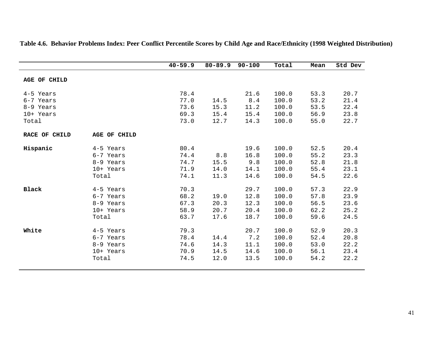|                      |                     | $40 - 59.9$ | $80 - 89.9$ | $90 - 100$ | Total | Mean | Std Dev |
|----------------------|---------------------|-------------|-------------|------------|-------|------|---------|
| <b>AGE OF CHILD</b>  |                     |             |             |            |       |      |         |
| 4-5 Years            |                     | 78.4        |             | 21.6       | 100.0 | 53.3 | 20.7    |
| 6-7 Years            |                     | 77.0        | 14.5        | 8.4        | 100.0 | 53.2 | 21.4    |
| 8-9 Years            |                     | 73.6        | 15.3        | 11.2       | 100.0 | 53.5 | 22.4    |
| 10+ Years            |                     | 69.3        | 15.4        | 15.4       | 100.0 | 56.9 | 23.8    |
| Total                |                     | 73.0        | 12.7        | 14.3       | 100.0 | 55.0 | 22.7    |
| <b>RACE OF CHILD</b> | <b>AGE OF CHILD</b> |             |             |            |       |      |         |
| Hispanic             | 4-5 Years           | 80.4        |             | 19.6       | 100.0 | 52.5 | 20.4    |
|                      | 6-7 Years           | 74.4        | 8.8         | 16.8       | 100.0 | 55.2 | 23.3    |
|                      | 8-9 Years           | 74.7        | 15.5        | 9.8        | 100.0 | 52.8 | 21.8    |
|                      | 10+ Years           | 71.9        | 14.0        | 14.1       | 100.0 | 55.4 | 23.1    |
|                      | Total               | 74.1        | 11.3        | 14.6       | 100.0 | 54.5 | 22.6    |
| <b>Black</b>         | 4-5 Years           | 70.3        |             | 29.7       | 100.0 | 57.3 | 22.9    |
|                      | 6-7 Years           | 68.2        | 19.0        | 12.8       | 100.0 | 57.8 | 23.9    |
|                      | 8-9 Years           | 67.3        | 20.3        | 12.3       | 100.0 | 56.5 | 23.6    |
|                      | 10+ Years           | 58.9        | 20.7        | 20.4       | 100.0 | 62.2 | 25.2    |
|                      | Total               | 63.7        | 17.6        | 18.7       | 100.0 | 59.6 | 24.5    |
| White                | 4-5 Years           | 79.3        |             | 20.7       | 100.0 | 52.9 | 20.3    |
|                      | 6-7 Years           | 78.4        | 14.4        | 7.2        | 100.0 | 52.4 | 20.8    |
|                      | 8-9 Years           | 74.6        | 14.3        | 11.1       | 100.0 | 53.0 | 22.2    |
|                      | 10+ Years           | 70.9        | 14.5        | 14.6       | 100.0 | 56.1 | 23.4    |
|                      | Total               | 74.5        | 12.0        | 13.5       | 100.0 | 54.2 | 22.2    |
|                      |                     |             |             |            |       |      |         |

**Table 4.6. Behavior Problems Index: Peer Conflict Percentile Scores by Child Age and Race/Ethnicity (1998 Weighted Distribution)**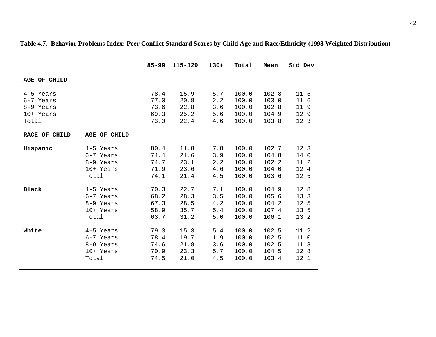|               |              | $85 - 99$ | 115-129 | $130+$ | Total | Mean  | Std Dev |
|---------------|--------------|-----------|---------|--------|-------|-------|---------|
| AGE OF CHILD  |              |           |         |        |       |       |         |
| 4-5 Years     |              | 78.4      | 15.9    | 5.7    | 100.0 | 102.8 | 11.5    |
| 6-7 Years     |              | 77.0      | 20.8    | 2.2    | 100.0 | 103.0 | 11.6    |
| 8-9 Years     |              | 73.6      | 22.8    | 3.6    | 100.0 | 102.8 | 11.9    |
| 10+ Years     |              | 69.3      | 25.2    | 5.6    | 100.0 | 104.9 | 12.9    |
| Total         |              | 73.0      | 22.4    | 4.6    | 100.0 | 103.8 | 12.3    |
| RACE OF CHILD | AGE OF CHILD |           |         |        |       |       |         |
| Hispanic      | 4-5 Years    | 80.4      | 11.8    | 7.8    | 100.0 | 102.7 | 12.3    |
|               | 6-7 Years    | 74.4      | 21.6    | 3.9    | 100.0 | 104.8 | 14.0    |
|               | 8-9 Years    | 74.7      | 23.1    | 2.2    | 100.0 | 102.2 | 11.2    |
|               | 10+ Years    | 71.9      | 23.6    | 4.6    | 100.0 | 104.0 | 12.4    |
|               | Total        | 74.1      | 21.4    | 4.5    | 100.0 | 103.6 | 12.5    |
| <b>Black</b>  | 4-5 Years    | 70.3      | 22.7    | 7.1    | 100.0 | 104.9 | 12.8    |
|               | 6-7 Years    | 68.2      | 28.3    | 3.5    | 100.0 | 105.6 | 13.3    |
|               | 8-9 Years    | 67.3      | 28.5    | 4.2    | 100.0 | 104.2 | 12.5    |
|               | 10+ Years    | 58.9      | 35.7    | 5.4    | 100.0 | 107.4 | 13.5    |
|               | Total        | 63.7      | 31.2    | 5.0    | 100.0 | 106.1 | 13.2    |
| White         | 4-5 Years    | 79.3      | 15.3    | 5.4    | 100.0 | 102.5 | 11.2    |
|               | 6-7 Years    | 78.4      | 19.7    | 1.9    | 100.0 | 102.5 | 11.0    |
|               | 8-9 Years    | 74.6      | 21.8    | 3.6    | 100.0 | 102.5 | 11.8    |
|               | 10+ Years    | 70.9      | 23.3    | 5.7    | 100.0 | 104.5 | 12.8    |
|               | Total        | 74.5      | 21.0    | 4.5    | 100.0 | 103.4 | 12.1    |

**Table 4.7. Behavior Problems Index: Peer Conflict Standard Scores by Child Age and Race/Ethnicity (1998 Weighted Distribution)**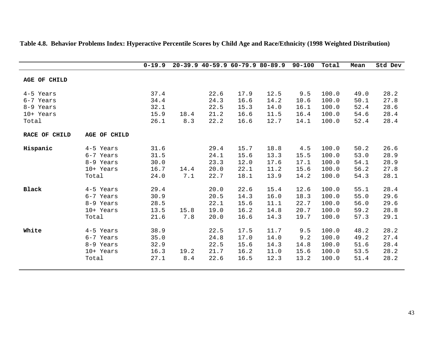|                                                           |                                                           | $0 - 19.9$                           |             | $20-39.9$ $40-59.9$ $60-79.9$ $80-89.9$ |                                      |                                      | $90 - 100$                           | Total                                     | Mean                                 | Std Dev                              |
|-----------------------------------------------------------|-----------------------------------------------------------|--------------------------------------|-------------|-----------------------------------------|--------------------------------------|--------------------------------------|--------------------------------------|-------------------------------------------|--------------------------------------|--------------------------------------|
| AGE OF CHILD                                              |                                                           |                                      |             |                                         |                                      |                                      |                                      |                                           |                                      |                                      |
| 4-5 Years<br>6-7 Years<br>8-9 Years<br>10+ Years<br>Total |                                                           | 37.4<br>34.4<br>32.1<br>15.9<br>26.1 | 18.4<br>8.3 | 22.6<br>24.3<br>22.5<br>21.2<br>22.2    | 17.9<br>16.6<br>15.3<br>16.6<br>16.6 | 12.5<br>14.2<br>14.0<br>11.5<br>12.7 | 9.5<br>10.6<br>16.1<br>16.4<br>14.1  | 100.0<br>100.0<br>100.0<br>100.0<br>100.0 | 49.0<br>50.1<br>52.4<br>54.6<br>52.4 | 28.2<br>27.8<br>28.6<br>28.4<br>28.4 |
| RACE OF CHILD                                             | AGE OF CHILD                                              |                                      |             |                                         |                                      |                                      |                                      |                                           |                                      |                                      |
| Hispanic                                                  | 4-5 Years<br>6-7 Years<br>8-9 Years<br>10+ Years<br>Total | 31.6<br>31.5<br>30.0<br>16.7<br>24.0 | 14.4<br>7.1 | 29.4<br>24.1<br>23.3<br>20.0<br>22.7    | 15.7<br>15.6<br>12.0<br>22.1<br>18.1 | 18.8<br>13.3<br>17.6<br>11.2<br>13.9 | 4.5<br>15.5<br>17.1<br>15.6<br>14.2  | 100.0<br>100.0<br>100.0<br>100.0<br>100.0 | 50.2<br>53.0<br>54.1<br>56.2<br>54.3 | 26.6<br>28.9<br>28.9<br>27.8<br>28.1 |
| <b>Black</b>                                              | 4-5 Years<br>6-7 Years<br>8-9 Years<br>10+ Years<br>Total | 29.4<br>30.9<br>28.5<br>13.5<br>21.6 | 15.8<br>7.8 | 20.0<br>20.5<br>22.1<br>19.0<br>20.0    | 22.6<br>14.3<br>15.6<br>16.2<br>16.6 | 15.4<br>16.0<br>11.1<br>14.8<br>14.3 | 12.6<br>18.3<br>22.7<br>20.7<br>19.7 | 100.0<br>100.0<br>100.0<br>100.0<br>100.0 | 55.1<br>55.0<br>56.0<br>59.2<br>57.3 | 28.4<br>29.6<br>29.6<br>28.8<br>29.1 |
| White                                                     | 4-5 Years<br>6-7 Years<br>8-9 Years<br>10+ Years<br>Total | 38.9<br>35.0<br>32.9<br>16.3<br>27.1 | 19.2<br>8.4 | 22.5<br>24.8<br>22.5<br>21.7<br>22.6    | 17.5<br>17.0<br>15.6<br>16.2<br>16.5 | 11.7<br>14.0<br>14.3<br>11.0<br>12.3 | 9.5<br>9.2<br>14.8<br>15.6<br>13.2   | 100.0<br>100.0<br>100.0<br>100.0<br>100.0 | 48.2<br>49.2<br>51.6<br>53.5<br>51.4 | 28.2<br>27.4<br>28.4<br>28.2<br>28.2 |

#### **Table 4.8. Behavior Problems Index: Hyperactive Percentile Scores by Child Age and Race/Ethnicity (1998 Weighted Distribution)**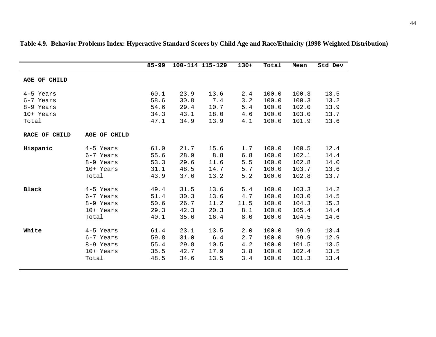|                                                  |                                                           | $85 - 99$                            |                                      | 100-114 115-129                      | $130+$                           | Total                                     | Mean                                      | Std Dev                              |
|--------------------------------------------------|-----------------------------------------------------------|--------------------------------------|--------------------------------------|--------------------------------------|----------------------------------|-------------------------------------------|-------------------------------------------|--------------------------------------|
| AGE OF CHILD                                     |                                                           |                                      |                                      |                                      |                                  |                                           |                                           |                                      |
| 4-5 Years<br>6-7 Years<br>8-9 Years<br>10+ Years |                                                           | 60.1<br>58.6<br>54.6<br>34.3         | 23.9<br>30.8<br>29.4<br>43.1         | 13.6<br>7.4<br>10.7<br>18.0          | 2.4<br>3.2<br>5.4<br>4.6         | 100.0<br>100.0<br>100.0<br>100.0          | 100.3<br>100.3<br>102.0<br>103.0          | 13.5<br>13.2<br>13.9<br>13.7         |
| Total                                            |                                                           | 47.1                                 | 34.9                                 | 13.9                                 | 4.1                              | 100.0                                     | 101.9                                     | 13.6                                 |
| RACE OF CHILD                                    | <b>AGE OF CHILD</b>                                       |                                      |                                      |                                      |                                  |                                           |                                           |                                      |
| Hispanic                                         | 4-5 Years<br>6-7 Years<br>8-9 Years<br>10+ Years<br>Total | 61.0<br>55.6<br>53.3<br>31.1<br>43.9 | 21.7<br>28.9<br>29.6<br>48.5<br>37.6 | 15.6<br>8.8<br>11.6<br>14.7<br>13.2  | 1.7<br>6.8<br>5.5<br>5.7<br>5.2  | 100.0<br>100.0<br>100.0<br>100.0<br>100.0 | 100.5<br>102.1<br>102.8<br>103.7<br>102.8 | 12.4<br>14.4<br>14.0<br>13.6<br>13.7 |
| <b>Black</b>                                     | 4-5 Years<br>6-7 Years<br>8-9 Years<br>10+ Years<br>Total | 49.4<br>51.4<br>50.6<br>29.3<br>40.1 | 31.5<br>30.3<br>26.7<br>42.3<br>35.6 | 13.6<br>13.6<br>11.2<br>20.3<br>16.4 | 5.4<br>4.7<br>11.5<br>8.1<br>8.0 | 100.0<br>100.0<br>100.0<br>100.0<br>100.0 | 103.3<br>103.0<br>104.3<br>105.4<br>104.5 | 14.2<br>14.5<br>15.3<br>14.4<br>14.6 |
| White                                            | 4-5 Years<br>6-7 Years<br>8-9 Years<br>10+ Years<br>Total | 61.4<br>59.8<br>55.4<br>35.5<br>48.5 | 23.1<br>31.0<br>29.8<br>42.7<br>34.6 | 13.5<br>6.4<br>10.5<br>17.9<br>13.5  | 2.0<br>2.7<br>4.2<br>3.8<br>3.4  | 100.0<br>100.0<br>100.0<br>100.0<br>100.0 | 99.9<br>99.9<br>101.5<br>102.4<br>101.3   | 13.4<br>12.9<br>13.5<br>13.5<br>13.4 |

**Table 4.9. Behavior Problems Index: Hyperactive Standard Scores by Child Age and Race/Ethnicity (1998 Weighted Distribution)**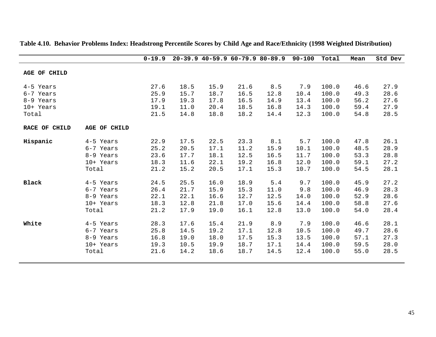|               |              | $0 - 19.9$ |      |      |      | $20-39.9$ $40-59.9$ $60-79.9$ $80-89.9$ | $90 - 100$ | Total | Mean | Std Dev |
|---------------|--------------|------------|------|------|------|-----------------------------------------|------------|-------|------|---------|
| AGE OF CHILD  |              |            |      |      |      |                                         |            |       |      |         |
| 4-5 Years     |              | 27.6       | 18.5 | 15.9 | 21.6 | 8.5                                     | 7.9        | 100.0 | 46.6 | 27.9    |
| 6-7 Years     |              | 25.9       | 15.7 | 18.7 | 16.5 | 12.8                                    | 10.4       | 100.0 | 49.3 | 28.6    |
| 8-9 Years     |              | 17.9       | 19.3 | 17.8 | 16.5 | 14.9                                    | 13.4       | 100.0 | 56.2 | 27.6    |
| 10+ Years     |              | 19.1       | 11.0 | 20.4 | 18.5 | 16.8                                    | 14.3       | 100.0 | 59.4 | 27.9    |
| Total         |              | 21.5       | 14.8 | 18.8 | 18.2 | 14.4                                    | 12.3       | 100.0 | 54.8 | 28.5    |
| RACE OF CHILD | AGE OF CHILD |            |      |      |      |                                         |            |       |      |         |
| Hispanic      | 4-5 Years    | 22.9       | 17.5 | 22.5 | 23.3 | 8.1                                     | 5.7        | 100.0 | 47.8 | 26.1    |
|               | 6-7 Years    | 25.2       | 20.5 | 17.1 | 11.2 | 15.9                                    | 10.1       | 100.0 | 48.5 | 28.9    |
|               | 8-9 Years    | 23.6       | 17.7 | 18.1 | 12.5 | 16.5                                    | 11.7       | 100.0 | 53.3 | 28.8    |
|               | 10+ Years    | 18.3       | 11.6 | 22.1 | 19.2 | 16.8                                    | 12.0       | 100.0 | 59.1 | 27.2    |
|               | Total        | 21.2       | 15.2 | 20.5 | 17.1 | 15.3                                    | 10.7       | 100.0 | 54.5 | 28.1    |
| Black         | 4-5 Years    | 24.5       | 25.5 | 16.0 | 18.9 | 5.4                                     | 9.7        | 100.0 | 45.9 | 27.2    |
|               | 6-7 Years    | 26.4       | 21.7 | 15.9 | 15.3 | 11.0                                    | 9.8        | 100.0 | 46.9 | 28.3    |
|               | 8-9 Years    | 22.1       | 22.1 | 16.6 | 12.7 | 12.5                                    | 14.0       | 100.0 | 52.9 | 28.6    |
|               | 10+ Years    | 18.3       | 12.8 | 21.8 | 17.0 | 15.6                                    | 14.4       | 100.0 | 58.8 | 27.6    |
|               | Total        | 21.2       | 17.9 | 19.0 | 16.1 | 12.8                                    | 13.0       | 100.0 | 54.0 | 28.4    |
| White         | 4-5 Years    | 28.3       | 17.6 | 15.4 | 21.9 | 8.9                                     | 7.9        | 100.0 | 46.6 | 28.1    |
|               | 6-7 Years    | 25.8       | 14.5 | 19.2 | 17.1 | 12.8                                    | 10.5       | 100.0 | 49.7 | 28.6    |
|               | 8-9 Years    | 16.8       | 19.0 | 18.0 | 17.5 | 15.3                                    | 13.5       | 100.0 | 57.1 | 27.3    |
|               | 10+ Years    | 19.3       | 10.5 | 19.9 | 18.7 | 17.1                                    | 14.4       | 100.0 | 59.5 | 28.0    |
|               | Total        | 21.6       | 14.2 | 18.6 | 18.7 | 14.5                                    | 12.4       | 100.0 | 55.0 | 28.5    |

## **Table 4.10. Behavior Problems Index: Headstrong Percentile Scores by Child Age and Race/Ethnicity (1998 Weighted Distribution)**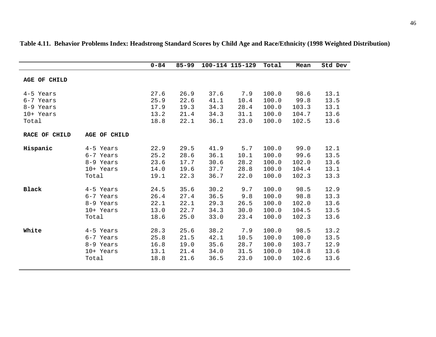|                        |              | $0 - 84$     | $85 - 99$    |              | 100-114 115-129 | Total          | Mean         | Std Dev      |
|------------------------|--------------|--------------|--------------|--------------|-----------------|----------------|--------------|--------------|
| AGE OF CHILD           |              |              |              |              |                 |                |              |              |
| 4-5 Years<br>6-7 Years |              | 27.6<br>25.9 | 26.9<br>22.6 | 37.6<br>41.1 | 7.9<br>10.4     | 100.0<br>100.0 | 98.6<br>99.8 | 13.1<br>13.5 |
| 8-9 Years              |              | 17.9         | 19.3         | 34.3         | 28.4            | 100.0          | 103.3        | 13.1         |
| 10+ Years              |              | 13.2         | 21.4         | 34.3         | 31.1            | 100.0          | 104.7        | 13.6         |
| Total                  |              | 18.8         | 22.1         | 36.1         | 23.0            | 100.0          | 102.5        | 13.6         |
|                        |              |              |              |              |                 |                |              |              |
| RACE OF CHILD          | AGE OF CHILD |              |              |              |                 |                |              |              |
| Hispanic               | 4-5 Years    | 22.9         | 29.5         | 41.9         | 5.7             | 100.0          | 99.0         | 12.1         |
|                        | 6-7 Years    | 25.2         | 28.6         | 36.1         | 10.1            | 100.0          | 99.6         | 13.5         |
|                        | 8-9 Years    | 23.6         | 17.7         | 30.6         | 28.2            | 100.0          | 102.0        | 13.6         |
|                        | 10+ Years    | 14.0         | 19.6         | 37.7         | 28.8            | 100.0          | 104.4        | 13.1         |
|                        | Total        | 19.1         | 22.3         | 36.7         | 22.0            | 100.0          | 102.3        | 13.3         |
| <b>Black</b>           | 4-5 Years    | 24.5         | 35.6         | 30.2         | 9.7             | 100.0          | 98.5         | 12.9         |
|                        | 6-7 Years    | 26.4         | 27.4         | 36.5         | 9.8             | 100.0          | 98.8         | 13.3         |
|                        | 8-9 Years    | 22.1         | 22.1         | 29.3         | 26.5            | 100.0          | 102.0        | 13.6         |
|                        | 10+ Years    | 13.0         | 22.7         | 34.3         | 30.0            | 100.0          | 104.5        | 13.5         |
|                        | Total        | 18.6         | 25.0         | 33.0         | 23.4            | 100.0          | 102.3        | 13.6         |
|                        |              |              |              |              |                 |                |              |              |
| White                  | 4-5 Years    | 28.3         | 25.6         | 38.2         | 7.9             | 100.0          | 98.5         | 13.2         |
|                        | 6-7 Years    | 25.8         | 21.5         | 42.1         | 10.5            | 100.0          | 100.0        | 13.5         |
|                        | 8-9 Years    | 16.8         | 19.0         | 35.6         | 28.7            | 100.0          | 103.7        | 12.9         |
|                        | 10+ Years    | 13.1         | 21.4         | 34.0         | 31.5            | 100.0          | 104.8        | 13.6         |
|                        | Total        | 18.8         | 21.6         | 36.5         | 23.0            | 100.0          | 102.6        | 13.6         |
|                        |              |              |              |              |                 |                |              |              |

**Table 4.11. Behavior Problems Index: Headstrong Standard Scores by Child Age and Race/Ethnicity (1998 Weighted Distribution)**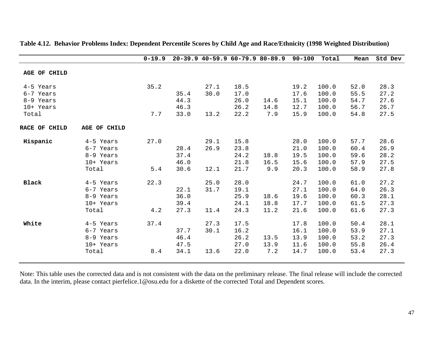|               |              | $0 - 19.9$ |      |      |      | 20-39.9 40-59.9 60-79.9 80-89.9 90-100 |      | Total | Mean | Std Dev |
|---------------|--------------|------------|------|------|------|----------------------------------------|------|-------|------|---------|
| AGE OF CHILD  |              |            |      |      |      |                                        |      |       |      |         |
|               |              |            |      |      |      |                                        |      |       |      |         |
| 4-5 Years     |              | 35.2       |      | 27.1 | 18.5 |                                        | 19.2 | 100.0 | 52.0 | 28.3    |
| 6-7 Years     |              |            | 35.4 | 30.0 | 17.0 |                                        | 17.6 | 100.0 | 55.5 | 27.2    |
| 8-9 Years     |              |            | 44.3 |      | 26.0 | 14.6                                   | 15.1 | 100.0 | 54.7 | 27.6    |
| 10+ Years     |              |            | 46.3 |      | 26.2 | 14.8                                   | 12.7 | 100.0 | 56.7 | 26.7    |
| Total         |              | 7.7        | 33.0 | 13.2 | 22.2 | 7.9                                    | 15.9 | 100.0 | 54.8 | 27.5    |
| RACE OF CHILD | AGE OF CHILD |            |      |      |      |                                        |      |       |      |         |
| Hispanic      | 4-5 Years    | 27.0       |      | 29.1 | 15.8 |                                        | 28.0 | 100.0 | 57.7 | 28.6    |
|               | 6-7 Years    |            | 28.4 | 26.9 | 23.8 |                                        | 21.0 | 100.0 | 60.4 | 26.9    |
|               | 8-9 Years    |            | 37.4 |      | 24.2 | 18.8                                   | 19.5 | 100.0 | 59.6 | 28.2    |
|               | 10+ Years    |            | 46.0 |      | 21.8 | 16.5                                   | 15.6 | 100.0 | 57.9 | 27.5    |
|               | Total        | 5.4        | 30.6 | 12.1 | 21.7 | 9.9                                    | 20.3 | 100.0 | 58.9 | 27.8    |
| <b>Black</b>  | 4-5 Years    | 22.3       |      | 25.0 | 28.0 |                                        | 24.7 | 100.0 | 61.0 | 27.2    |
|               | 6-7 Years    |            | 22.1 | 31.7 | 19.1 |                                        | 27.1 | 100.0 | 64.0 | 26.3    |
|               | 8-9 Years    |            | 36.0 |      | 25.9 | 18.6                                   | 19.6 | 100.0 | 60.3 | 28.1    |
|               | 10+ Years    |            | 39.4 |      | 24.1 | 18.8                                   | 17.7 | 100.0 | 61.5 | 27.3    |
|               | Total        | 4.2        | 27.3 | 11.4 | 24.3 | 11.2                                   | 21.6 | 100.0 | 61.6 | 27.3    |
| White         | 4-5 Years    | 37.4       |      | 27.3 | 17.5 |                                        | 17.8 | 100.0 | 50.4 | 28.1    |
|               | 6-7 Years    |            | 37.7 | 30.1 | 16.2 |                                        | 16.1 | 100.0 | 53.9 | 27.1    |
|               | 8-9 Years    |            | 46.4 |      | 26.2 | 13.5                                   | 13.9 | 100.0 | 53.2 | 27.3    |
|               | 10+ Years    |            | 47.5 |      | 27.0 | 13.9                                   | 11.6 | 100.0 | 55.8 | 26.4    |
|               | Total        | 8.4        | 34.1 | 13.6 | 22.0 | 7.2                                    | 14.7 | 100.0 | 53.4 | 27.3    |
|               |              |            |      |      |      |                                        |      |       |      |         |

**Table 4.12. Behavior Problems Index: Dependent Percentile Scores by Child Age and Race/Ethnicity (1998 Weighted Distribution)**

Note: This table uses the corrected data and is not consistent with the data on the preliminary release. The final release will include the corrected data. In the interim, please contact pierfelice.1@osu.edu for a diskette of the corrected Total and Dependent scores.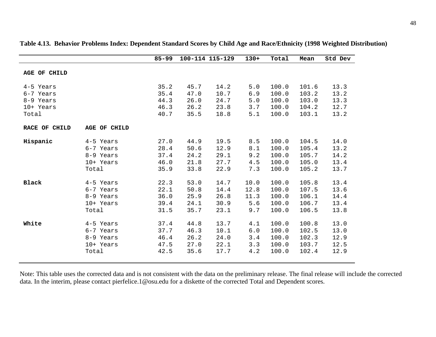|               |                     | $85 - 99$ | 100-114 115-129 |      | $130+$ | Total | Mean  | Std Dev |
|---------------|---------------------|-----------|-----------------|------|--------|-------|-------|---------|
| AGE OF CHILD  |                     |           |                 |      |        |       |       |         |
|               |                     |           |                 |      |        |       |       |         |
| 4-5 Years     |                     | 35.2      | 45.7            | 14.2 | 5.0    | 100.0 | 101.6 | 13.3    |
| 6-7 Years     |                     | 35.4      | 47.0            | 10.7 | 6.9    | 100.0 | 103.2 | 13.2    |
| 8-9 Years     |                     | 44.3      | 26.0            | 24.7 | 5.0    | 100.0 | 103.0 | 13.3    |
| 10+ Years     |                     | 46.3      | 26.2            | 23.8 | 3.7    | 100.0 | 104.2 | 12.7    |
| Total         |                     | 40.7      | 35.5            | 18.8 | 5.1    | 100.0 | 103.1 | 13.2    |
|               |                     |           |                 |      |        |       |       |         |
| RACE OF CHILD | <b>AGE OF CHILD</b> |           |                 |      |        |       |       |         |
| Hispanic      | 4-5 Years           | 27.0      | 44.9            | 19.5 | 8.5    | 100.0 | 104.5 | 14.0    |
|               | 6-7 Years           | 28.4      | 50.6            | 12.9 | 8.1    | 100.0 | 105.4 | 13.2    |
|               | 8-9 Years           | 37.4      | 24.2            | 29.1 | 9.2    | 100.0 | 105.7 | 14.2    |
|               | 10+ Years           | 46.0      | 21.8            | 27.7 | 4.5    | 100.0 | 105.0 | 13.4    |
|               | Total               | 35.9      | 33.8            | 22.9 | 7.3    | 100.0 | 105.2 | 13.7    |
| <b>Black</b>  | 4-5 Years           | 22.3      | 53.0            | 14.7 | 10.0   | 100.0 | 105.8 | 13.4    |
|               | 6-7 Years           | 22.1      | 50.8            | 14.4 | 12.8   | 100.0 | 107.5 | 13.6    |
|               | 8-9 Years           | 36.0      | 25.9            | 26.8 | 11.3   | 100.0 | 106.1 | 14.4    |
|               | 10+ Years           | 39.4      | 24.1            | 30.9 | 5.6    | 100.0 | 106.7 | 13.4    |
|               | Total               | 31.5      | 35.7            | 23.1 | 9.7    | 100.0 | 106.5 | 13.8    |
|               |                     |           |                 |      |        |       |       |         |
| White         | 4-5 Years           | 37.4      | 44.8            | 13.7 | 4.1    | 100.0 | 100.8 | 13.0    |
|               | 6-7 Years           | 37.7      | 46.3            | 10.1 | 6.0    | 100.0 | 102.5 | 13.0    |
|               | 8-9 Years           | 46.4      | 26.2            | 24.0 | 3.4    | 100.0 | 102.3 | 12.9    |
|               | 10+ Years           | 47.5      | 27.0            | 22.1 | 3.3    | 100.0 | 103.7 | 12.5    |
|               | Total               | 42.5      | 35.6            | 17.7 | 4.2    | 100.0 | 102.4 | 12.9    |
|               |                     |           |                 |      |        |       |       |         |

**Table 4.13. Behavior Problems Index: Dependent Standard Scores by Child Age and Race/Ethnicity (1998 Weighted Distribution)**

Note: This table uses the corrected data and is not consistent with the data on the preliminary release. The final release will include the corrected data. In the interim, please contact pierfelice.1@osu.edu for a diskette of the corrected Total and Dependent scores.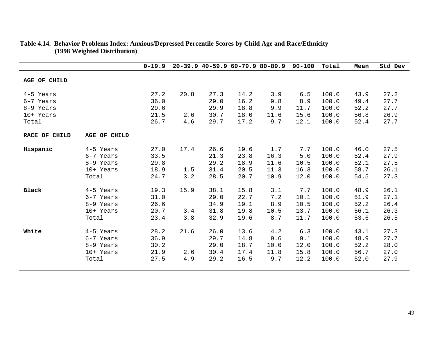|                        |              | $0 - 19.9$   |      |              |              | $20-39.9$ $40-59.9$ $60-79.9$ $80-89.9$ | 90-100       | Total          | Mean         | Std Dev      |
|------------------------|--------------|--------------|------|--------------|--------------|-----------------------------------------|--------------|----------------|--------------|--------------|
| AGE OF CHILD           |              |              |      |              |              |                                         |              |                |              |              |
| 4-5 Years              |              | 27.2         | 20.8 | 27.3         | 14.2         | 3.9                                     | 6.5          | 100.0          | 43.9         | 27.2         |
| 6-7 Years              |              | 36.0<br>29.6 |      | 29.0<br>29.9 | 16.2<br>18.8 | 9.8<br>9.9                              | 8.9          | 100.0<br>100.0 | 49.4<br>52.2 | 27.7<br>27.7 |
| 8-9 Years<br>10+ Years |              | 21.5         | 2.6  | 30.7         | 18.0         | 11.6                                    | 11.7<br>15.6 | 100.0          | 56.8         | 26.9         |
| Total                  |              | 26.7         | 4.6  | 29.7         | 17.2         | 9.7                                     | 12.1         | 100.0          | 52.4         | 27.7         |
|                        |              |              |      |              |              |                                         |              |                |              |              |
| RACE OF CHILD          | AGE OF CHILD |              |      |              |              |                                         |              |                |              |              |
| Hispanic               | 4-5 Years    | 27.0         | 17.4 | 26.6         | 19.6         | 1.7                                     | 7.7          | 100.0          | 46.0         | 27.5         |
|                        | 6-7 Years    | 33.5         |      | 21.3         | 23.8         | 16.3                                    | 5.0          | 100.0          | 52.4         | 27.9         |
|                        | 8-9 Years    | 29.8         |      | 29.2         | 18.9         | 11.6                                    | 10.5         | 100.0          | 52.1         | 27.5         |
|                        | 10+ Years    | 18.9         | 1.5  | 31.4         | 20.5         | 11.3                                    | 16.3         | 100.0          | 58.7         | 26.1         |
|                        | Total        | 24.7         | 3.2  | 28.5         | 20.7         | 10.9                                    | 12.0         | 100.0          | 54.5         | 27.3         |
| Black                  | 4-5 Years    | 19.3         | 15.9 | 38.1         | 15.8         | 3.1                                     | 7.7          | 100.0          | 48.9         | 26.1         |
|                        | 6-7 Years    | 31.0         |      | 29.0         | 22.7         | 7.2                                     | 10.1         | 100.0          | 51.9         | 27.1         |
|                        | 8-9 Years    | 26.6         |      | 34.9         | 19.1         | 8.9                                     | 10.5         | 100.0          | 52.2         | 26.4         |
|                        | 10+ Years    | 20.7         | 3.4  | 31.8         | 19.8         | 10.5                                    | 13.7         | 100.0          | 56.1         | 26.3         |
|                        | Total        | 23.4         | 3.8  | 32.9         | 19.6         | 8.7                                     | 11.7         | 100.0          | 53.6         | 26.5         |
| White                  | 4-5 Years    | 28.2         | 21.6 | 26.0         | 13.6         | 4.2                                     | 6.3          | 100.0          | 43.1         | 27.3         |
|                        | 6-7 Years    | 36.9         |      | 29.7         | 14.8         | 9.6                                     | 9.1          | 100.0          | 48.9         | 27.7         |
|                        | 8-9 Years    | 30.2         |      | 29.0         | 18.7         | 10.0                                    | 12.0         | 100.0          | 52.2         | 28.0         |
|                        | 10+ Years    | 21.9         | 2.6  | 30.4         | 17.4         | 11.8                                    | 15.8         | 100.0          | 56.7         | 27.0         |
|                        | Total        | 27.5         | 4.9  | 29.2         | 16.5         | 9.7                                     | 12.2         | 100.0          | 52.0         | 27.9         |
|                        |              |              |      |              |              |                                         |              |                |              |              |

#### **Table 4.14. Behavior Problems Index: Anxious/Depressed Percentile Scores by Child Age and Race/Ethnicity (1998 Weighted Distribution)**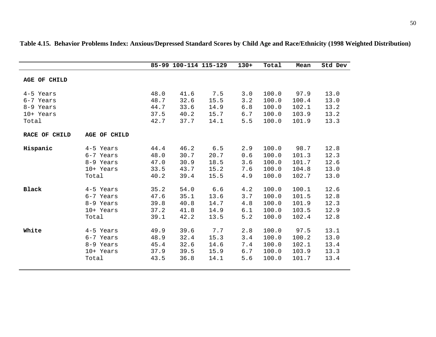|               |                     |      | 85-99 100-114 115-129 |      | $130+$ | Total | Mean  | Std Dev |
|---------------|---------------------|------|-----------------------|------|--------|-------|-------|---------|
|               |                     |      |                       |      |        |       |       |         |
| AGE OF CHILD  |                     |      |                       |      |        |       |       |         |
| 4-5 Years     |                     | 48.0 | 41.6                  | 7.5  | 3.0    | 100.0 | 97.9  | 13.0    |
| 6-7 Years     |                     | 48.7 | 32.6                  | 15.5 | 3.2    | 100.0 | 100.4 | 13.0    |
| 8-9 Years     |                     | 44.7 | 33.6                  | 14.9 | 6.8    | 100.0 | 102.1 | 13.2    |
| 10+ Years     |                     | 37.5 | 40.2                  | 15.7 | 6.7    | 100.0 | 103.9 | 13.2    |
| Total         |                     | 42.7 | 37.7                  | 14.1 | 5.5    | 100.0 | 101.9 | 13.3    |
| RACE OF CHILD | <b>AGE OF CHILD</b> |      |                       |      |        |       |       |         |
| Hispanic      | 4-5 Years           | 44.4 | 46.2                  | 6.5  | 2.9    | 100.0 | 98.7  | 12.8    |
|               | 6-7 Years           | 48.0 | 30.7                  | 20.7 | 0.6    | 100.0 | 101.3 | 12.3    |
|               | 8-9 Years           | 47.0 | 30.9                  | 18.5 | 3.6    | 100.0 | 101.7 | 12.6    |
|               | 10+ Years           | 33.5 | 43.7                  | 15.2 | 7.6    | 100.0 | 104.8 | 13.0    |
|               | Total               | 40.2 | 39.4                  | 15.5 | 4.9    | 100.0 | 102.7 | 13.0    |
| <b>Black</b>  | 4-5 Years           | 35.2 | 54.0                  | 6.6  | 4.2    | 100.0 | 100.1 | 12.6    |
|               | 6-7 Years           | 47.6 | 35.1                  | 13.6 | 3.7    | 100.0 | 101.5 | 12.8    |
|               | 8-9 Years           | 39.8 | 40.8                  | 14.7 | 4.8    | 100.0 | 101.9 | 12.3    |
|               | 10+ Years           | 37.2 | 41.8                  | 14.9 | 6.1    | 100.0 | 103.5 | 12.9    |
|               | Total               | 39.1 | 42.2                  | 13.5 | 5.2    | 100.0 | 102.4 | 12.8    |
| White         | 4-5 Years           | 49.9 | 39.6                  | 7.7  | 2.8    | 100.0 | 97.5  | 13.1    |
|               | 6-7 Years           | 48.9 | 32.4                  | 15.3 | 3.4    | 100.0 | 100.2 | 13.0    |
|               | 8-9 Years           | 45.4 | 32.6                  | 14.6 | 7.4    | 100.0 | 102.1 | 13.4    |
|               | 10+ Years           | 37.9 | 39.5                  | 15.9 | 6.7    | 100.0 | 103.9 | 13.3    |
|               | Total               | 43.5 | 36.8                  | 14.1 | 5.6    | 100.0 | 101.7 | 13.4    |
|               |                     |      |                       |      |        |       |       |         |

**Table 4.15. Behavior Problems Index: Anxious/Depressed Standard Scores by Child Age and Race/Ethnicity (1998 Weighted Distribution)**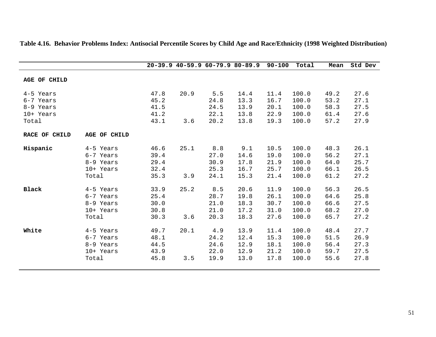|                     |              |      |      |      | $20-39.9$ $40-59.9$ $60-79.9$ $80-89.9$ | $90 - 100$ | Total | Mean | Std Dev |
|---------------------|--------------|------|------|------|-----------------------------------------|------------|-------|------|---------|
| <b>AGE OF CHILD</b> |              |      |      |      |                                         |            |       |      |         |
| 4-5 Years           |              | 47.8 | 20.9 | 5.5  | 14.4                                    | 11.4       | 100.0 | 49.2 | 27.6    |
| 6-7 Years           |              | 45.2 |      | 24.8 | 13.3                                    | 16.7       | 100.0 | 53.2 | 27.1    |
| 8-9 Years           |              | 41.5 |      | 24.5 | 13.9                                    | 20.1       | 100.0 | 58.3 | 27.5    |
| 10+ Years           |              | 41.2 |      | 22.1 | 13.8                                    | 22.9       | 100.0 | 61.4 | 27.6    |
| Total               |              | 43.1 | 3.6  | 20.2 | 13.8                                    | 19.3       | 100.0 | 57.2 | 27.9    |
| RACE OF CHILD       | AGE OF CHILD |      |      |      |                                         |            |       |      |         |
| Hispanic            | 4-5 Years    | 46.6 | 25.1 | 8.8  | 9.1                                     | 10.5       | 100.0 | 48.3 | 26.1    |
|                     | 6-7 Years    | 39.4 |      | 27.0 | 14.6                                    | 19.0       | 100.0 | 56.2 | 27.1    |
|                     | 8-9 Years    | 29.4 |      | 30.9 | 17.8                                    | 21.9       | 100.0 | 64.0 | 25.7    |
|                     | 10+ Years    | 32.4 |      | 25.3 | 16.7                                    | 25.7       | 100.0 | 66.1 | 26.5    |
|                     | Total        | 35.3 | 3.9  | 24.1 | 15.3                                    | 21.4       | 100.0 | 61.2 | 27.2    |
| <b>Black</b>        | 4-5 Years    | 33.9 | 25.2 | 8.5  | 20.6                                    | 11.9       | 100.0 | 56.3 | 26.5    |
|                     | 6-7 Years    | 25.4 |      | 28.7 | 19.8                                    | 26.1       | 100.0 | 64.6 | 25.8    |
|                     | 8-9 Years    | 30.0 |      | 21.0 | 18.3                                    | 30.7       | 100.0 | 66.6 | 27.5    |
|                     | 10+ Years    | 30.8 |      | 21.0 | 17.2                                    | 31.0       | 100.0 | 68.2 | 27.0    |
|                     | Total        | 30.3 | 3.6  | 20.3 | 18.3                                    | 27.6       | 100.0 | 65.7 | 27.2    |
| White               | 4-5 Years    | 49.7 | 20.1 | 4.9  | 13.9                                    | 11.4       | 100.0 | 48.4 | 27.7    |
|                     | 6-7 Years    | 48.1 |      | 24.2 | 12.4                                    | 15.3       | 100.0 | 51.5 | 26.9    |
|                     | 8-9 Years    | 44.5 |      | 24.6 | 12.9                                    | 18.1       | 100.0 | 56.4 | 27.3    |
|                     | 10+ Years    | 43.9 |      | 22.0 | 12.9                                    | 21.2       | 100.0 | 59.7 | 27.5    |
|                     | Total        | 45.8 | 3.5  | 19.9 | 13.0                                    | 17.8       | 100.0 | 55.6 | 27.8    |
|                     |              |      |      |      |                                         |            |       |      |         |

#### **Table 4.16. Behavior Problems Index: Antisocial Percentile Scores by Child Age and Race/Ethnicity (1998 Weighted Distribution)**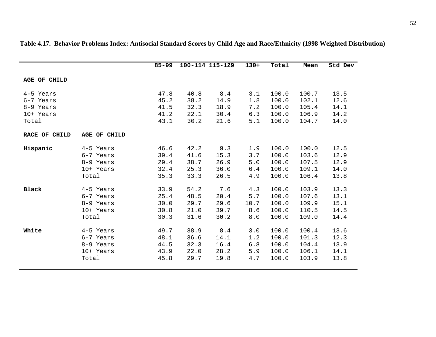|               |              | $85 - 99$ |      | 100-114 115-129 | $130+$ | Total | Mean  | Std Dev |
|---------------|--------------|-----------|------|-----------------|--------|-------|-------|---------|
|               |              |           |      |                 |        |       |       |         |
| AGE OF CHILD  |              |           |      |                 |        |       |       |         |
| 4-5 Years     |              | 47.8      | 40.8 | 8.4             | 3.1    | 100.0 | 100.7 | 13.5    |
| 6-7 Years     |              | 45.2      | 38.2 | 14.9            | 1.8    | 100.0 | 102.1 | 12.6    |
| 8-9 Years     |              | 41.5      | 32.3 | 18.9            | 7.2    | 100.0 | 105.4 | 14.1    |
| 10+ Years     |              | 41.2      | 22.1 | 30.4            | 6.3    | 100.0 | 106.9 | 14.2    |
| Total         |              | 43.1      | 30.2 | 21.6            | 5.1    | 100.0 | 104.7 | 14.0    |
| RACE OF CHILD | AGE OF CHILD |           |      |                 |        |       |       |         |
| Hispanic      | 4-5 Years    | 46.6      | 42.2 | 9.3             | 1.9    | 100.0 | 100.0 | 12.5    |
|               | 6-7 Years    | 39.4      | 41.6 | 15.3            | 3.7    | 100.0 | 103.6 | 12.9    |
|               | 8-9 Years    | 29.4      | 38.7 | 26.9            | 5.0    | 100.0 | 107.5 | 12.9    |
|               | 10+ Years    | 32.4      | 25.3 | 36.0            | 6.4    | 100.0 | 109.1 | 14.0    |
|               | Total        | 35.3      | 33.3 | 26.5            | 4.9    | 100.0 | 106.4 | 13.8    |
| <b>Black</b>  | 4-5 Years    | 33.9      | 54.2 | 7.6             | 4.3    | 100.0 | 103.9 | 13.3    |
|               | 6-7 Years    | 25.4      | 48.5 | 20.4            | 5.7    | 100.0 | 107.6 | 13.1    |
|               | 8-9 Years    | 30.0      | 29.7 | 29.6            | 10.7   | 100.0 | 109.9 | 15.1    |
|               | 10+ Years    | 30.8      | 21.0 | 39.7            | 8.6    | 100.0 | 110.5 | 14.5    |
|               | Total        | 30.3      | 31.6 | 30.2            | 8.0    | 100.0 | 109.0 | 14.4    |
| White         | 4-5 Years    | 49.7      | 38.9 | 8.4             | 3.0    | 100.0 | 100.4 | 13.6    |
|               | 6-7 Years    | 48.1      | 36.6 | 14.1            | 1.2    | 100.0 | 101.3 | 12.3    |
|               | 8-9 Years    | 44.5      | 32.3 | 16.4            | 6.8    | 100.0 | 104.4 | 13.9    |
|               | 10+ Years    | 43.9      | 22.0 | 28.2            | 5.9    | 100.0 | 106.1 | 14.1    |
|               | Total        | 45.8      | 29.7 | 19.8            | 4.7    | 100.0 | 103.9 | 13.8    |
|               |              |           |      |                 |        |       |       |         |

**Table 4.17. Behavior Problems Index: Antisocial Standard Scores by Child Age and Race/Ethnicity (1998 Weighted Distribution)**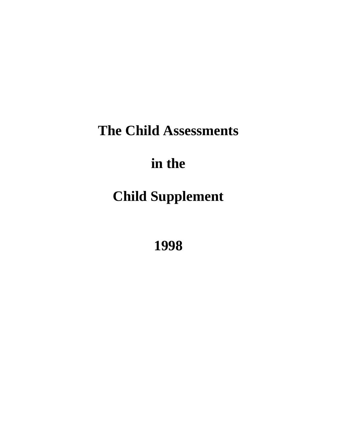# **The Child Assessments**

# **in the**

# **Child Supplement**

**1998**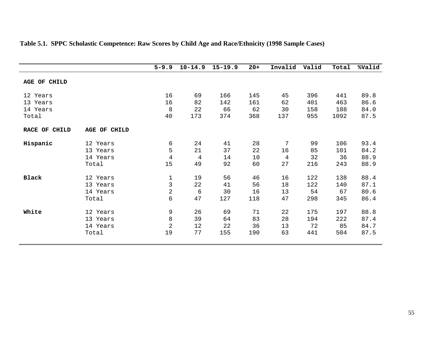|               |                     | $5 - 9.9$      | $10 - 14.9$ | $15 - 19.9$ | $20+$ | Invalid | Valid | Total | %Valid |
|---------------|---------------------|----------------|-------------|-------------|-------|---------|-------|-------|--------|
| AGE OF CHILD  |                     |                |             |             |       |         |       |       |        |
| 12 Years      |                     | 16             | 69          | 166         | 145   | 45      | 396   | 441   | 89.8   |
| 13 Years      |                     | 16             | 82          | 142         | 161   | 62      | 401   | 463   | 86.6   |
| 14 Years      |                     | 8              | 22          | 66          | 62    | 30      | 158   | 188   | 84.0   |
| Total         |                     | 40             | 173         | 374         | 368   | 137     | 955   | 1092  | 87.5   |
| RACE OF CHILD | <b>AGE OF CHILD</b> |                |             |             |       |         |       |       |        |
| Hispanic      | 12 Years            | 6              | 24          | 41          | 28    | 7       | 99    | 106   | 93.4   |
|               | 13 Years            | 5              | 21          | 37          | 22    | 16      | 85    | 101   | 84.2   |
|               | 14 Years            | $\overline{4}$ | 4           | 14          | 10    | 4       | 32    | 36    | 88.9   |
|               | Total               | 15             | 49          | 92          | 60    | 27      | 216   | 243   | 88.9   |
| <b>Black</b>  | 12 Years            | $\mathbf 1$    | 19          | 56          | 46    | 16      | 122   | 138   | 88.4   |
|               | 13 Years            | 3              | 22          | 41          | 56    | 18      | 122   | 140   | 87.1   |
|               | 14 Years            | 2              | 6           | 30          | 16    | 13      | 54    | 67    | 80.6   |
|               | Total               | 6              | 47          | 127         | 118   | 47      | 298   | 345   | 86.4   |
| White         | 12 Years            | 9              | 26          | 69          | 71    | 22      | 175   | 197   | 88.8   |
|               | 13 Years            | 8              | 39          | 64          | 83    | 28      | 194   | 222   | 87.4   |
|               | 14 Years            | $\overline{2}$ | 12          | 22          | 36    | 13      | 72    | 85    | 84.7   |
|               | Total               | 19             | 77          | 155         | 190   | 63      | 441   | 504   | 87.5   |

## **Table 5.1. SPPC Scholastic Competence: Raw Scores by Child Age and Race/Ethnicity (1998 Sample Cases)**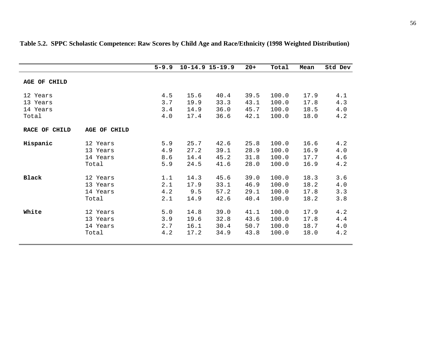|                     |              | $5 - 9.9$ |      | $10 - 14.9$ 15-19.9 | $20+$ | Total | Mean | Std Dev |
|---------------------|--------------|-----------|------|---------------------|-------|-------|------|---------|
| <b>AGE OF CHILD</b> |              |           |      |                     |       |       |      |         |
| 12 Years            |              | 4.5       | 15.6 | 40.4                | 39.5  | 100.0 | 17.9 | 4.1     |
| 13 Years            |              | 3.7       | 19.9 | 33.3                | 43.1  | 100.0 | 17.8 | 4.3     |
| 14 Years            |              | 3.4       | 14.9 | 36.0                | 45.7  | 100.0 | 18.5 | 4.0     |
| Total               |              | 4.0       | 17.4 | 36.6                | 42.1  | 100.0 | 18.0 | 4.2     |
| RACE OF CHILD       | AGE OF CHILD |           |      |                     |       |       |      |         |
| Hispanic            | 12 Years     | 5.9       | 25.7 | 42.6                | 25.8  | 100.0 | 16.6 | 4.2     |
|                     | 13 Years     | 4.9       | 27.2 | 39.1                | 28.9  | 100.0 | 16.9 | 4.0     |
|                     | 14 Years     | 8.6       | 14.4 | 45.2                | 31.8  | 100.0 | 17.7 | 4.6     |
|                     | Total        | 5.9       | 24.5 | 41.6                | 28.0  | 100.0 | 16.9 | 4.2     |
| <b>Black</b>        | 12 Years     | 1.1       | 14.3 | 45.6                | 39.0  | 100.0 | 18.3 | 3.6     |
|                     | 13 Years     | 2.1       | 17.9 | 33.1                | 46.9  | 100.0 | 18.2 | 4.0     |
|                     | 14 Years     | 4.2       | 9.5  | 57.2                | 29.1  | 100.0 | 17.8 | 3.3     |
|                     | Total        | 2.1       | 14.9 | 42.6                | 40.4  | 100.0 | 18.2 | 3.8     |
| White               | 12 Years     | 5.0       | 14.8 | 39.0                | 41.1  | 100.0 | 17.9 | 4.2     |
|                     | 13 Years     | 3.9       | 19.6 | 32.8                | 43.6  | 100.0 | 17.8 | 4.4     |
|                     | 14 Years     | 2.7       | 16.1 | 30.4                | 50.7  | 100.0 | 18.7 | $4.0$   |
|                     | Total        | 4.2       | 17.2 | 34.9                | 43.8  | 100.0 | 18.0 | 4.2     |

## **Table 5.2. SPPC Scholastic Competence: Raw Scores by Child Age and Race/Ethnicity (1998 Weighted Distribution)**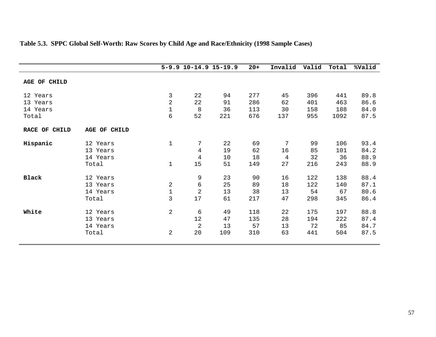|                |                                                                                                                                                     |     | $20 +$                            | Invalid   | Valid | Total | %Valid |
|----------------|-----------------------------------------------------------------------------------------------------------------------------------------------------|-----|-----------------------------------|-----------|-------|-------|--------|
|                |                                                                                                                                                     |     |                                   |           |       |       |        |
| 3              | 22                                                                                                                                                  | 94  | 277                               | 45        | 396   | 441   | 89.8   |
| $\overline{2}$ | 22                                                                                                                                                  | 91  | 286                               | 62        | 401   | 463   | 86.6   |
| 1              | 8                                                                                                                                                   | 36  | 113                               | 30        | 158   | 188   | 84.0   |
| 6              | 52                                                                                                                                                  | 221 | 676                               | 137       | 955   | 1092  | 87.5   |
|                |                                                                                                                                                     |     |                                   |           |       |       |        |
| $\mathbf 1$    | 7                                                                                                                                                   | 22  | 69                                | 7         | 99    | 106   | 93.4   |
|                | $\overline{4}$                                                                                                                                      | 19  | 62                                | 16        | 85    | 101   | 84.2   |
|                | $\overline{4}$                                                                                                                                      | 10  | 18                                | 4         | 32    | 36    | 88.9   |
| 1              | 15                                                                                                                                                  | 51  | 149                               | 27        | 216   | 243   | 88.9   |
|                |                                                                                                                                                     |     |                                   |           |       |       | 88.4   |
| 2              | 6                                                                                                                                                   | 25  | 89                                | 18        | 122   | 140   | 87.1   |
| $\mathbf 1$    | $\overline{2}$                                                                                                                                      | 13  | 38                                | 13        | 54    | 67    | 80.6   |
| 3              | 17                                                                                                                                                  | 61  | 217                               | 47        | 298   | 345   | 86.4   |
| $\overline{2}$ | 6                                                                                                                                                   | 49  | 118                               | 22        | 175   | 197   | 88.8   |
|                | 12                                                                                                                                                  | 47  |                                   | 28        | 194   | 222   | 87.4   |
|                | $\overline{2}$                                                                                                                                      | 13  | 57                                | 13        | 72    | 85    | 84.7   |
| 2              | 20                                                                                                                                                  | 109 | 310                               | 63        | 441   | 504   | 87.5   |
|                | AGE OF CHILD<br>12 Years<br>13 Years<br>14 Years<br>Total<br>12 Years<br>13 Years<br>14 Years<br>Total<br>12 Years<br>13 Years<br>14 Years<br>Total | 9   | $5-9.9$ $10-14.9$ $15-19.9$<br>23 | 90<br>135 | 16    | 122   | 138    |

## **Table 5.3. SPPC Global Self-Worth: Raw Scores by Child Age and Race/Ethnicity (1998 Sample Cases)**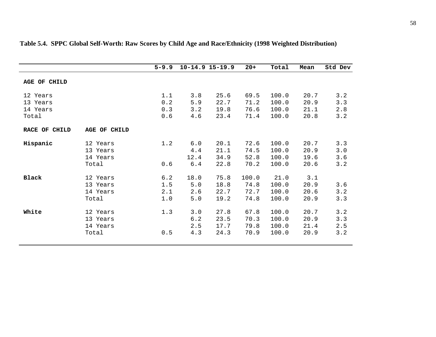|                                  |                                           | $5 - 9.9$                |                               | $10 - 14.9$ 15-19.9          | $20+$                         | Total                            | Mean                         | Std Dev                  |
|----------------------------------|-------------------------------------------|--------------------------|-------------------------------|------------------------------|-------------------------------|----------------------------------|------------------------------|--------------------------|
| AGE OF CHILD                     |                                           |                          |                               |                              |                               |                                  |                              |                          |
| 12 Years<br>13 Years<br>14 Years |                                           | 1.1<br>0.2<br>0.3        | 3.8<br>5.9<br>3.2             | 25.6<br>22.7<br>19.8         | 69.5<br>71.2<br>76.6          | 100.0<br>100.0<br>100.0          | 20.7<br>20.9<br>21.1         | 3.2<br>3.3<br>2.8        |
| Total                            |                                           | 0.6                      | 4.6                           | 23.4                         | 71.4                          | 100.0                            | 20.8                         | 3.2                      |
| RACE OF CHILD                    | <b>AGE OF CHILD</b>                       |                          |                               |                              |                               |                                  |                              |                          |
| Hispanic                         | 12 Years<br>13 Years<br>14 Years<br>Total | 1.2<br>0.6               | $6.0$<br>4.4<br>12.4<br>$6.4$ | 20.1<br>21.1<br>34.9<br>22.8 | 72.6<br>74.5<br>52.8<br>70.2  | 100.0<br>100.0<br>100.0<br>100.0 | 20.7<br>20.9<br>19.6<br>20.6 | 3.3<br>3.0<br>3.6<br>3.2 |
| <b>Black</b>                     | 12 Years<br>13 Years<br>14 Years<br>Total | 6.2<br>1.5<br>2.1<br>1.0 | 18.0<br>5.0<br>2.6<br>5.0     | 75.8<br>18.8<br>22.7<br>19.2 | 100.0<br>74.8<br>72.7<br>74.8 | 21.0<br>100.0<br>100.0<br>100.0  | 3.1<br>20.9<br>20.6<br>20.9  | 3.6<br>3.2<br>3.3        |
| White                            | 12 Years<br>13 Years<br>14 Years<br>Total | 1.3<br>0.5               | 3.0<br>6.2<br>2.5<br>4.3      | 27.8<br>23.5<br>17.7<br>24.3 | 67.8<br>70.3<br>79.8<br>70.9  | 100.0<br>100.0<br>100.0<br>100.0 | 20.7<br>20.9<br>21.4<br>20.9 | 3.2<br>3.3<br>2.5<br>3.2 |

# **Table 5.4. SPPC Global Self-Worth: Raw Scores by Child Age and Race/Ethnicity (1998 Weighted Distribution)**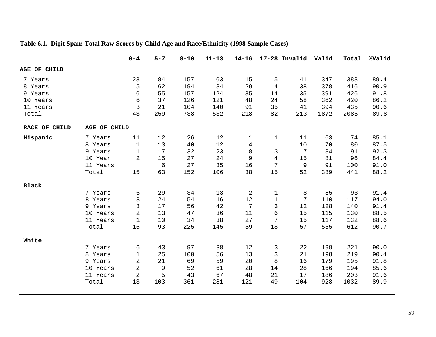|               |              | $0 - 4$        | $5 - 7$    | $8 - 10$ | $11 - 13$ | $14 - 16$      |                | 17-28 Invalid | Valid | Total | %Valid |
|---------------|--------------|----------------|------------|----------|-----------|----------------|----------------|---------------|-------|-------|--------|
| AGE OF CHILD  |              |                |            |          |           |                |                |               |       |       |        |
| 7 Years       |              | 23             | 84         | 157      | 63        | 15             | 5              | 41            | 347   | 388   | 89.4   |
| 8 Years       |              | 5              | 62         | 194      | 84        | 29             | $\overline{4}$ | 38            | 378   | 416   | 90.9   |
| 9 Years       |              | 6              | 55         | 157      | 124       | 35             | 14             | 35            | 391   | 426   | 91.8   |
| 10 Years      |              | 6              | 37         | 126      | 121       | 48             | 24             | 58            | 362   | 420   | 86.2   |
| 11 Years      |              | 3              | 21         | 104      | 140       | 91             | 35             | 41            | 394   | 435   | 90.6   |
| Total         |              | 43             | 259        | 738      | 532       | 218            | 82             | 213           | 1872  | 2085  | 89.8   |
| RACE OF CHILD | AGE OF CHILD |                |            |          |           |                |                |               |       |       |        |
| Hispanic      | 7 Years      | 11             | 12         | 26       | 12        | 1              | $\mathbf{1}$   | 11            | 63    | 74    | 85.1   |
|               | 8 Years      | $\mathbf 1$    | 13         | 40       | 12        | $\overline{4}$ |                | 10            | 70    | 80    | 87.5   |
|               | 9 Years      | 1              | 17         | 32       | 23        | 8              | 3              | 7             | 84    | 91    | 92.3   |
|               | 10 Year      | $\overline{2}$ | 15         | 27       | 24        | 9              | $\overline{4}$ | 15            | 81    | 96    | 84.4   |
|               | 11 Years     |                | $\epsilon$ | 27       | 35        | 16             | 7              | 9             | 91    | 100   | 91.0   |
|               | Total        | 15             | 63         | 152      | 106       | 38             | 15             | 52            | 389   | 441   | 88.2   |
| <b>Black</b>  |              |                |            |          |           |                |                |               |       |       |        |
|               | 7 Years      | 6              | 29         | 34       | 13        | 2              | $\mathbf 1$    | 8             | 85    | 93    | 91.4   |
|               | 8 Years      | 3              | 24         | 54       | 16        | 12             | $\mathbf 1$    | 7             | 110   | 117   | 94.0   |
|               | 9 Years      | 3              | 17         | 56       | 42        | 7              | 3              | 12            | 128   | 140   | 91.4   |
|               | 10 Years     | $\overline{2}$ | 13         | 47       | 36        | 11             | 6              | 15            | 115   | 130   | 88.5   |
|               | 11 Years     | $1\,$          | 10         | 34       | 38        | 27             | 7              | 15            | 117   | 132   | 88.6   |
|               | Total        | 15             | 93         | 225      | 145       | 59             | 18             | 57            | 555   | 612   | 90.7   |
| White         |              |                |            |          |           |                |                |               |       |       |        |
|               | 7 Years      | 6              | 43         | 97       | 38        | 12             | 3              | 22            | 199   | 221   | 90.0   |
|               | 8 Years      | $\mathbf 1$    | 25         | 100      | 56        | 13             | 3              | 21            | 198   | 219   | 90.4   |
|               | 9 Years      | $\overline{2}$ | 21         | 69       | 59        | 20             | 8              | 16            | 179   | 195   | 91.8   |
|               | 10 Years     | 2              | 9          | 52       | 61        | 28             | 14             | 28            | 166   | 194   | 85.6   |
|               | 11 Years     | $\overline{2}$ | 5          | 43       | 67        | 48             | 21             | 17            | 186   | 203   | 91.6   |
|               | Total        | 13             | 103        | 361      | 281       | 121            | 49             | 104           | 928   | 1032  | 89.9   |
|               |              |                |            |          |           |                |                |               |       |       |        |

**Table 6.1. Digit Span: Total Raw Scores by Child Age and Race/Ethnicity (1998 Sample Cases)**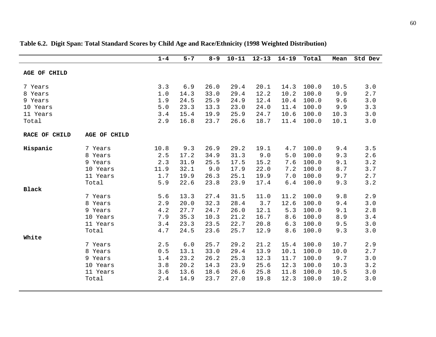|               |              | $1 - 4$ | $5 - 7$ | $8 - 9$ | $10 - 11$ | $12 - 13$ | $14 - 19$ | Total | Mean | Std Dev |
|---------------|--------------|---------|---------|---------|-----------|-----------|-----------|-------|------|---------|
|               |              |         |         |         |           |           |           |       |      |         |
| AGE OF CHILD  |              |         |         |         |           |           |           |       |      |         |
|               |              |         |         |         |           |           |           |       |      |         |
| 7 Years       |              | 3.3     | 6.9     | 26.0    | 29.4      | 20.1      | 14.3      | 100.0 | 10.5 | 3.0     |
| 8 Years       |              | 1.0     | 14.3    | 33.0    | 29.4      | 12.2      | 10.2      | 100.0 | 9.9  | 2.7     |
| 9 Years       |              | 1.9     | 24.5    | 25.9    | 24.9      | 12.4      | 10.4      | 100.0 | 9.6  | 3.0     |
| 10 Years      |              | 5.0     | 23.3    | 13.3    | 23.0      | 24.0      | 11.4      | 100.0 | 9.9  | 3.3     |
| 11 Years      |              | 3.4     | 15.4    | 19.9    | 25.9      | 24.7      | 10.6      | 100.0 | 10.3 | 3.0     |
| Total         |              | 2.9     | 16.8    | 23.7    | 26.6      | 18.7      | 11.4      | 100.0 | 10.1 | 3.0     |
| RACE OF CHILD | AGE OF CHILD |         |         |         |           |           |           |       |      |         |
| Hispanic      | 7 Years      | 10.8    | 9.3     | 26.9    | 29.2      | 19.1      | 4.7       | 100.0 | 9.4  | 3.5     |
|               | 8 Years      | 2.5     | 17.2    | 34.9    | 31.3      | 9.0       | 5.0       | 100.0 | 9.3  | 2.6     |
|               | 9 Years      | 2.3     | 31.9    | 25.5    | 17.5      | 15.2      | 7.6       | 100.0 | 9.1  | 3.2     |
|               |              |         | 32.1    | 9.0     |           | 22.0      | 7.2       | 100.0 |      | 3.7     |
|               | 10 Years     | 11.9    |         |         | 17.9      |           |           |       | 8.7  |         |
|               | 11 Years     | 1.7     | 19.9    | 26.3    | 25.1      | 19.9      | 7.0       | 100.0 | 9.7  | 2.7     |
|               | Total        | 5.9     | 22.6    | 23.8    | 23.9      | 17.4      | $6.4$     | 100.0 | 9.3  | 3.2     |
| <b>Black</b>  |              |         |         |         |           |           |           |       |      |         |
|               | 7 Years      | 5.6     | 13.3    | 27.4    | 31.5      | 11.0      | 11.2      | 100.0 | 9.8  | 2.9     |
|               | 8 Years      | 2.9     | 20.0    | 32.3    | 28.4      | 3.7       | 12.6      | 100.0 | 9.4  | 3.0     |
|               | 9 Years      | 4.2     | 27.7    | 24.7    | 26.0      | 12.1      | 5.3       | 100.0 | 9.1  | 2.8     |
|               | 10 Years     | 7.9     | 35.3    | 10.3    | 21.2      | 16.7      | 8.6       | 100.0 | 8.9  | 3.4     |
|               | 11 Years     | 3.4     | 23.3    | 23.5    | 22.7      | 20.8      | 6.3       | 100.0 | 9.5  | 3.0     |
|               | Total        | 4.7     | 24.5    | 23.6    | 25.7      | 12.9      | 8.6       | 100.0 | 9.3  | 3.0     |
| White         |              |         |         |         |           |           |           |       |      |         |
|               | 7 Years      | 2.5     | 6.0     | 25.7    | 29.2      | 21.2      | 15.4      | 100.0 | 10.7 | 2.9     |
|               | 8 Years      | 0.5     | 13.1    | 33.0    | 29.4      | 13.9      | 10.1      | 100.0 | 10.0 | 2.7     |
|               | 9 Years      | 1.4     | 23.2    | 26.2    | 25.3      | 12.3      | 11.7      | 100.0 | 9.7  | 3.0     |
|               | 10 Years     | 3.8     | 20.2    | 14.3    | 23.9      | 25.6      | 12.3      | 100.0 | 10.3 | 3.2     |
|               | 11 Years     | 3.6     | 13.6    | 18.6    | 26.6      | 25.8      | 11.8      | 100.0 | 10.5 | 3.0     |
|               | Total        | 2.4     | 14.9    | 23.7    | 27.0      | 19.8      | 12.3      | 100.0 | 10.2 | 3.0     |
|               |              |         |         |         |           |           |           |       |      |         |

## **Table 6.2. Digit Span: Total Standard Scores by Child Age and Race/Ethnicity (1998 Weighted Distribution)**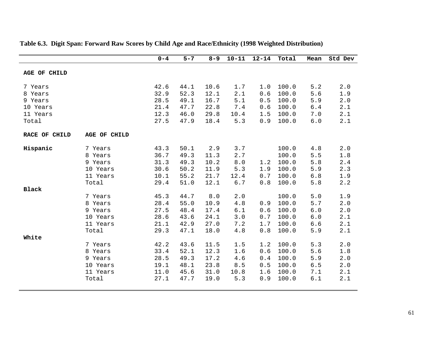|               |              | $0 - 4$ | $5 - 7$ | $8 - 9$ | $10 - 11$ | $12 - 14$ | Total | Mean  | Std Dev |
|---------------|--------------|---------|---------|---------|-----------|-----------|-------|-------|---------|
|               |              |         |         |         |           |           |       |       |         |
| AGE OF CHILD  |              |         |         |         |           |           |       |       |         |
| 7 Years       |              | 42.6    | 44.1    | 10.6    | 1.7       | 1.0       | 100.0 | 5.2   | 2.0     |
| 8 Years       |              | 32.9    | 52.3    | 12.1    | 2.1       | 0.6       | 100.0 | 5.6   | 1.9     |
| 9 Years       |              | 28.5    | 49.1    | 16.7    | 5.1       | 0.5       | 100.0 | 5.9   | 2.0     |
| 10 Years      |              | 21.4    | 47.7    | 22.8    | 7.4       | 0.6       | 100.0 | $6.4$ | 2.1     |
| 11 Years      |              | 12.3    | 46.0    | 29.8    | 10.4      | 1.5       | 100.0 | 7.0   | 2.1     |
| Total         |              | 27.5    | 47.9    | 18.4    | 5.3       | 0.9       | 100.0 | $6.0$ | 2.1     |
| RACE OF CHILD | AGE OF CHILD |         |         |         |           |           |       |       |         |
|               |              |         |         |         |           |           |       |       |         |
| Hispanic      | 7 Years      | 43.3    | 50.1    | 2.9     | 3.7       |           | 100.0 | 4.8   | 2.0     |
|               | 8 Years      | 36.7    | 49.3    | 11.3    | 2.7       |           | 100.0 | 5.5   | 1.8     |
|               | 9 Years      | 31.3    | 49.3    | 10.2    | 8.0       | 1.2       | 100.0 | 5.8   | 2.4     |
|               | 10 Years     | 30.6    | 50.2    | 11.9    | 5.3       | 1.9       | 100.0 | 5.9   | 2.3     |
|               | 11 Years     | 10.1    | 55.2    | 21.7    | 12.4      | 0.7       | 100.0 | 6.8   | 1.9     |
|               | Total        | 29.4    | 51.0    | 12.1    | $6.7$     | 0.8       | 100.0 | 5.8   | 2.2     |
| <b>Black</b>  |              |         |         |         |           |           |       |       |         |
|               | 7 Years      | 45.3    | 44.7    | $8.0\,$ | 2.0       |           | 100.0 | 5.0   | 1.9     |
|               | 8 Years      | 28.4    | 55.0    | 10.9    | 4.8       | 0.9       | 100.0 | 5.7   | 2.0     |
|               | 9 Years      | 27.5    | 48.4    | 17.4    | 6.1       | 0.6       | 100.0 | $6.0$ | 2.0     |
|               | 10 Years     | 28.6    | 43.6    | 24.1    | 3.0       | 0.7       | 100.0 | 6.0   | 2.1     |
|               | 11 Years     | 21.1    | 42.9    | 27.0    | 7.2       | 1.7       | 100.0 | 6.6   | 2.1     |
|               | Total        | 29.3    | 47.1    | 18.0    | 4.8       | 0.8       | 100.0 | 5.9   | 2.1     |
| White         |              |         |         |         |           |           |       |       |         |
|               | 7 Years      | 42.2    | 43.6    | 11.5    | 1.5       | 1.2       | 100.0 | 5.3   | 2.0     |
|               | 8 Years      | 33.4    | 52.1    | 12.3    | 1.6       | 0.6       | 100.0 | 5.6   | 1.8     |
|               | 9 Years      | 28.5    | 49.3    | 17.2    | 4.6       | 0.4       | 100.0 | 5.9   | 2.0     |
|               | 10 Years     | 19.1    | 48.1    | 23.8    | 8.5       | 0.5       | 100.0 | $6.5$ | 2.0     |
|               | 11 Years     | 11.0    | 45.6    | 31.0    | 10.8      | 1.6       | 100.0 | 7.1   | 2.1     |
|               | Total        | 27.1    | 47.7    | 19.0    | 5.3       | 0.9       | 100.0 | 6.1   | 2.1     |
|               |              |         |         |         |           |           |       |       |         |

## **Table 6.3. Digit Span: Forward Raw Scores by Child Age and Race/Ethnicity (1998 Weighted Distribution)**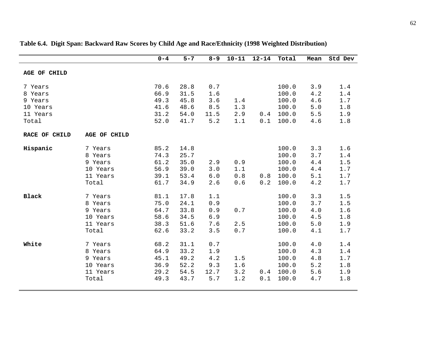|                                                                |                                                                | $0 - 4$                                      | $5 - 7$                                      | $8 - 9$                                  | $10 - 11$                | $12 - 14$  | Total                                              | Mean                                     | Std Dev                                          |
|----------------------------------------------------------------|----------------------------------------------------------------|----------------------------------------------|----------------------------------------------|------------------------------------------|--------------------------|------------|----------------------------------------------------|------------------------------------------|--------------------------------------------------|
| AGE OF CHILD                                                   |                                                                |                                              |                                              |                                          |                          |            |                                                    |                                          |                                                  |
| 7 Years<br>8 Years<br>9 Years<br>10 Years<br>11 Years<br>Total |                                                                | 70.6<br>66.9<br>49.3<br>41.6<br>31.2<br>52.0 | 28.8<br>31.5<br>45.8<br>48.6<br>54.0<br>41.7 | 0.7<br>1.6<br>3.6<br>8.5<br>11.5<br>5.2  | 1.4<br>1.3<br>2.9<br>1.1 | 0.4<br>0.1 | 100.0<br>100.0<br>100.0<br>100.0<br>100.0<br>100.0 | 3.9<br>4.2<br>4.6<br>5.0<br>5.5<br>4.6   | 1.4<br>$1.4$<br>$1.7\,$<br>1.8<br>1.9<br>1.8     |
| RACE OF CHILD                                                  | AGE OF CHILD                                                   |                                              |                                              |                                          |                          |            |                                                    |                                          |                                                  |
| Hispanic                                                       | 7 Years<br>8 Years<br>9 Years<br>10 Years<br>11 Years<br>Total | 85.2<br>74.3<br>61.2<br>56.9<br>39.1<br>61.7 | 14.8<br>25.7<br>35.0<br>39.0<br>53.4<br>34.9 | 2.9<br>3.0<br>$6.0$<br>2.6               | 0.9<br>1.1<br>0.8<br>0.6 | 0.8<br>0.2 | 100.0<br>100.0<br>100.0<br>100.0<br>100.0<br>100.0 | 3.3<br>3.7<br>$4.4$<br>4.4<br>5.1<br>4.2 | 1.6<br>1.4<br>1.5<br>$1.7\,$<br>$1.7\,$<br>$1.7$ |
| <b>Black</b>                                                   | 7 Years<br>8 Years<br>9 Years<br>10 Years<br>11 Years<br>Total | 81.1<br>75.0<br>64.7<br>58.6<br>38.3<br>62.6 | 17.8<br>24.1<br>33.8<br>34.5<br>51.6<br>33.2 | 1.1<br>$0.9$<br>0.9<br>6.9<br>7.6<br>3.5 | $0.7$<br>2.5<br>0.7      |            | 100.0<br>100.0<br>100.0<br>100.0<br>100.0<br>100.0 | 3.3<br>3.7<br>4.0<br>4.5<br>5.0<br>4.1   | 1.5<br>1.5<br>1.6<br>1.8<br>1.9<br>1.7           |
| White                                                          | 7 Years<br>8 Years<br>9 Years<br>10 Years<br>11 Years<br>Total | 68.2<br>64.9<br>45.1<br>36.9<br>29.2<br>49.3 | 31.1<br>33.2<br>49.2<br>52.2<br>54.5<br>43.7 | 0.7<br>1.9<br>4.2<br>9.3<br>12.7<br>5.7  | 1.5<br>1.6<br>3.2<br>1.2 | 0.4<br>0.1 | 100.0<br>100.0<br>100.0<br>100.0<br>100.0<br>100.0 | 4.0<br>4.3<br>4.8<br>$5.2$<br>5.6<br>4.7 | 1.4<br>$1.4$<br>1.7<br>1.8<br>1.9<br>1.8         |

## **Table 6.4. Digit Span: Backward Raw Scores by Child Age and Race/Ethnicity (1998 Weighted Distribution)**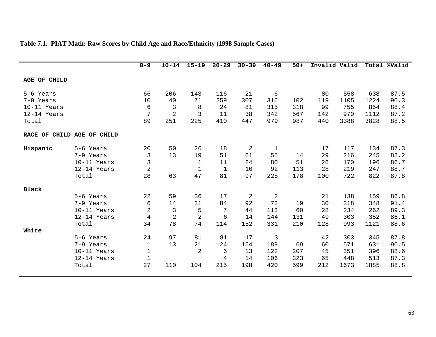|                            |             | $0 - 9$        | $10 - 14$      | $15 - 19$      | $20 - 29$    | $30 - 39$ | $40 - 49$      | $50+$ | Invalid Valid |      |      | Total %Valid |
|----------------------------|-------------|----------------|----------------|----------------|--------------|-----------|----------------|-------|---------------|------|------|--------------|
|                            |             |                |                |                |              |           |                |       |               |      |      |              |
| AGE OF CHILD               |             |                |                |                |              |           |                |       |               |      |      |              |
|                            |             |                |                |                |              |           |                |       |               |      |      |              |
| 5-6 Years                  |             | 66             | 206            | 143            | 116          | 21        | 6              |       | 80            | 558  | 638  | 87.5         |
| 7-9 Years                  |             | 10             | 40             | 71             | 259          | 307       | 316            | 102   | 119           | 1105 | 1224 | 90.3         |
| 10-11 Years                |             | 6              | 3              | 8              | 24           | 81        | 315            | 318   | 99            | 755  | 854  | 88.4         |
| 12-14 Years                |             | 7              | $\overline{2}$ | $\overline{3}$ | 11           | 38        | 342            | 567   | 142           | 970  | 1112 | 87.2         |
| Total                      |             | 89             | 251            | 225            | 410          | 447       | 979            | 987   | 440           | 3388 | 3828 | 88.5         |
| RACE OF CHILD AGE OF CHILD |             |                |                |                |              |           |                |       |               |      |      |              |
| Hispanic                   | 5-6 Years   | 20             | 50             | 26             | 18           | 2         | $\mathbf 1$    |       | 17            | 117  | 134  | 87.3         |
|                            | 7-9 Years   | 3              | 13             | 19             | 51           | 61        | 55             | 14    | 29            | 216  | 245  | 88.2         |
|                            | 10-11 Years | 3              |                | $\mathbf{1}$   | 11           | 24        | 80             | 51    | 26            | 170  | 196  | 86.7         |
|                            | 12-14 Years | $\overline{2}$ |                | $\mathbf{1}$   | $\mathbf{1}$ | 10        | 92             | 113   | 28            | 219  | 247  | 88.7         |
|                            | Total       | 28             | 63             | 47             | 81           | 97        | 228            | 178   | 100           | 722  | 822  | 87.8         |
| <b>Black</b>               |             |                |                |                |              |           |                |       |               |      |      |              |
|                            | 5-6 Years   | 22             | 59             | 36             | 17           | 2         | $\overline{2}$ |       | 21            | 138  | 159  | 86.8         |
|                            | 7-9 Years   | 6              | 14             | 31             | 84           | 92        | 72             | 19    | 30            | 318  | 348  | 91.4         |
|                            | 10-11 Years | 2              | 3              | 5              | 7            | 44        | 113            | 60    | 28            | 234  | 262  | 89.3         |
|                            | 12-14 Years | 4              | $\overline{2}$ | $\overline{2}$ | 6            | 14        | 144            | 131   | 49            | 303  | 352  | 86.1         |
|                            | Total       | 34             | 78             | 74             | 114          | 152       | 331            | 210   | 128           | 993  | 1121 | 88.6         |
| White                      |             |                |                |                |              |           |                |       |               |      |      |              |
|                            | 5-6 Years   | 24             | 97             | 81             | 81           | 17        | $\overline{3}$ |       | 42            | 303  | 345  | 87.8         |
|                            | 7-9 Years   | $\mathbf{1}$   | 13             | 21             | 124          | 154       | 189            | 69    | 60            | 571  | 631  | 90.5         |
|                            | 10-11 Years | $1\,$          |                | $\overline{2}$ | 6            | 13        | 122            | 207   | 45            | 351  | 396  | 88.6         |
|                            | 12-14 Years | $\mathbf{1}$   |                |                | 4            | 14        | 106            | 323   | 65            | 448  | 513  | 87.3         |
|                            | Total       | 27             | 110            | 104            | 215          | 198       | 420            | 599   | 212           | 1673 | 1885 | 88.8         |

## **Table 7.1. PIAT Math: Raw Scores by Child Age and Race/Ethnicity (1998 Sample Cases)**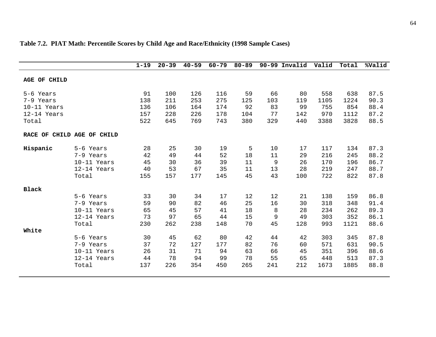|                          |                            | $1 - 19$   | $20 - 39$  | $40 - 59$  | $60 - 79$  | $80 - 89$  |           | 90-99 Invalid | Valid       | Total        | %Valid       |
|--------------------------|----------------------------|------------|------------|------------|------------|------------|-----------|---------------|-------------|--------------|--------------|
| AGE OF CHILD             |                            |            |            |            |            |            |           |               |             |              |              |
| 5-6 Years                |                            | 91         | 100        | 126        | 116        | 59         | 66        | 80            | 558         | 638          | 87.5         |
| 7-9 Years<br>10-11 Years |                            | 138<br>136 | 211<br>106 | 253<br>164 | 275<br>174 | 125<br>92  | 103<br>83 | 119<br>99     | 1105<br>755 | 1224<br>854  | 90.3<br>88.4 |
| 12-14 Years<br>Total     |                            | 157<br>522 | 228<br>645 | 226<br>769 | 178<br>743 | 104<br>380 | 77<br>329 | 142<br>440    | 970<br>3388 | 1112<br>3828 | 87.2<br>88.5 |
|                          | RACE OF CHILD AGE OF CHILD |            |            |            |            |            |           |               |             |              |              |
| Hispanic                 | 5-6 Years                  | 28         | 25         | 30         | 19         | 5          | 10        | 17            | 117         | 134          | 87.3         |
|                          | 7-9 Years                  | 42         | 49         | 44         | 52         | 18         | 11        | 29            | 216         | 245          | 88.2         |
|                          | 10-11 Years                | 45         | 30         | 36         | 39         | 11         | 9         | 26            | 170         | 196          | 86.7         |
|                          | 12-14 Years                | 40         | 53         | 67         | 35         | 11         | 13        | 28            | 219         | 247          | 88.7         |
|                          | Total                      | 155        | 157        | 177        | 145        | 45         | 43        | 100           | 722         | 822          | 87.8         |
| <b>Black</b>             |                            |            |            |            |            |            |           |               |             |              |              |
|                          | 5-6 Years                  | 33         | 30         | 34         | 17         | 12         | 12        | 21            | 138         | 159          | 86.8         |
|                          | 7-9 Years                  | 59         | 90         | 82         | 46         | 25         | 16        | 30            | 318         | 348          | 91.4         |
|                          | 10-11 Years                | 65         | 45         | 57         | 41         | 18         | 8         | 28            | 234         | 262          | 89.3         |
|                          | 12-14 Years                | 73         | 97         | 65         | 44         | 15         | 9         | 49            | 303         | 352          | 86.1         |
|                          | Total                      | 230        | 262        | 238        | 148        | 70         | 45        | 128           | 993         | 1121         | 88.6         |
| White                    |                            |            |            |            |            |            |           |               |             |              |              |
|                          | 5-6 Years                  | 30         | 45         | 62         | 80         | 42         | 44        | 42            | 303         | 345          | 87.8         |
|                          | 7-9 Years                  | 37         | 72         | 127        | 177        | 82         | 76        | 60            | 571         | 631          | 90.5         |
|                          | 10-11 Years                | 26         | 31         | 71         | 94         | 63         | 66        | 45            | 351         | 396          | 88.6         |
|                          | 12-14 Years                | 44         | 78         | 94         | 99         | 78         | 55        | 65            | 448         | 513          | 87.3         |
|                          | Total                      | 137        | 226        | 354        | 450        | 265        | 241       | 212           | 1673        | 1885         | 88.8         |
|                          |                            |            |            |            |            |            |           |               |             |              |              |

## **Table 7.2. PIAT Math: Percentile Scores by Child Age and Race/Ethnicity (1998 Sample Cases)**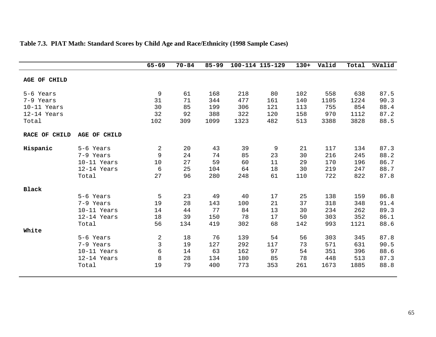|                                                               |                                                                            | $65 - 69$                                   | $70 - 84$                         | $85 - 99$                           |                                     | 100-114 115-129                  | $130+$                            | Valid                                  | Total                                   | %Valid                                       |
|---------------------------------------------------------------|----------------------------------------------------------------------------|---------------------------------------------|-----------------------------------|-------------------------------------|-------------------------------------|----------------------------------|-----------------------------------|----------------------------------------|-----------------------------------------|----------------------------------------------|
| AGE OF CHILD                                                  |                                                                            |                                             |                                   |                                     |                                     |                                  |                                   |                                        |                                         |                                              |
| 5-6 Years<br>7-9 Years<br>10-11 Years<br>12-14 Years<br>Total |                                                                            | 9<br>31<br>30<br>32<br>102                  | 61<br>71<br>85<br>92<br>309       | 168<br>344<br>199<br>388<br>1099    | 218<br>477<br>306<br>322<br>1323    | 80<br>161<br>121<br>120<br>482   | 102<br>140<br>113<br>158<br>513   | 558<br>1105<br>755<br>970<br>3388      | 638<br>1224<br>854<br>1112<br>3828      | 87.5<br>90.3<br>88.4<br>87.2<br>88.5         |
| RACE OF CHILD                                                 | AGE OF CHILD                                                               |                                             |                                   |                                     |                                     |                                  |                                   |                                        |                                         |                                              |
| Hispanic                                                      | 5-6 Years<br>7-9 Years<br>10-11 Years<br>12-14 Years<br>Total              | $\overline{2}$<br>9<br>10<br>6<br>27        | 20<br>24<br>27<br>25<br>96        | 43<br>74<br>59<br>104<br>280        | 39<br>85<br>60<br>64<br>248         | 9<br>23<br>11<br>18<br>61        | 21<br>30<br>29<br>30<br>110       | 117<br>216<br>170<br>219<br>722        | 134<br>245<br>196<br>247<br>822         | 87.3<br>88.2<br>86.7<br>88.7<br>87.8         |
| Black<br>White                                                | 5-6 Years<br>7-9 Years<br>10-11 Years<br>12-14 Years<br>Total<br>5-6 Years | 5<br>19<br>14<br>18<br>56<br>$\overline{2}$ | 23<br>28<br>44<br>39<br>134<br>18 | 49<br>143<br>77<br>150<br>419<br>76 | 40<br>100<br>84<br>78<br>302<br>139 | 17<br>21<br>13<br>17<br>68<br>54 | 25<br>37<br>30<br>50<br>142<br>56 | 138<br>318<br>234<br>303<br>993<br>303 | 159<br>348<br>262<br>352<br>1121<br>345 | 86.8<br>91.4<br>89.3<br>86.1<br>88.6<br>87.8 |
|                                                               | 7-9 Years<br>10-11 Years<br>12-14 Years<br>Total                           | 3<br>6<br>8<br>19                           | 19<br>14<br>28<br>79              | 127<br>63<br>134<br>400             | 292<br>162<br>180<br>773            | 117<br>97<br>85<br>353           | 73<br>54<br>78<br>261             | 571<br>351<br>448<br>1673              | 631<br>396<br>513<br>1885               | 90.5<br>88.6<br>87.3<br>88.8                 |

## **Table 7.3. PIAT Math: Standard Scores by Child Age and Race/Ethnicity (1998 Sample Cases)**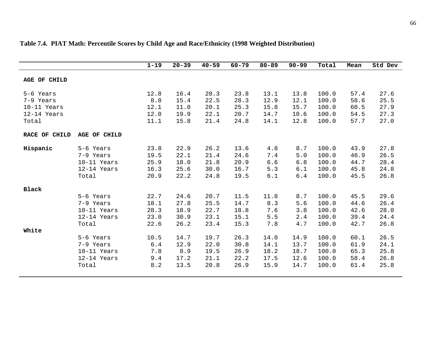|               |              | $1 - 19$ | $20 - 39$ | $40 - 59$ | $60 - 79$ | $80 - 89$ | $90 - 99$ | Total | Mean | Std Dev |
|---------------|--------------|----------|-----------|-----------|-----------|-----------|-----------|-------|------|---------|
|               |              |          |           |           |           |           |           |       |      |         |
| AGE OF CHILD  |              |          |           |           |           |           |           |       |      |         |
| 5-6 Years     |              | 12.8     | 16.4      | 20.3      | 23.8      | 13.1      | 13.8      | 100.0 | 57.4 | 27.6    |
| 7-9 Years     |              | 8.8      | 15.4      | 22.5      | 28.3      | 12.9      | 12.1      | 100.0 | 58.6 | 25.5    |
| 10-11 Years   |              | 12.1     | 11.0      | 20.1      | 25.3      | 15.8      | 15.7      | 100.0 | 60.5 | 27.9    |
| 12-14 Years   |              | 12.0     | 19.9      | 22.1      | 20.7      | 14.7      | 10.6      | 100.0 | 54.5 | 27.3    |
| Total         |              | 11.1     | 15.8      | 21.4      | 24.8      | 14.1      | 12.8      | 100.0 | 57.7 | 27.0    |
| RACE OF CHILD | AGE OF CHILD |          |           |           |           |           |           |       |      |         |
| Hispanic      | 5-6 Years    | 23.8     | 22.9      | 26.2      | 13.6      | 4.8       | 8.7       | 100.0 | 43.9 | 27.8    |
|               | 7-9 Years    | 19.5     | 22.1      | 21.4      | 24.6      | 7.4       | 5.0       | 100.0 | 46.9 | 26.5    |
|               | 10-11 Years  | 25.9     | 18.0      | 21.8      | 20.9      | 6.6       | 6.8       | 100.0 | 44.7 | 28.4    |
|               | 12-14 Years  | 16.3     | 25.6      | 30.0      | 16.7      | 5.3       | 6.1       | 100.0 | 45.8 | 24.8    |
|               | Total        | 20.9     | 22.2      | 24.8      | 19.5      | 6.1       | 6.4       | 100.0 | 45.5 | 26.8    |
| Black         |              |          |           |           |           |           |           |       |      |         |
|               | 5-6 Years    | 22.7     | 24.6      | 20.7      | 11.5      | 11.8      | 8.7       | 100.0 | 45.5 | 29.6    |
|               | 7-9 Years    | 18.1     | 27.8      | 25.5      | 14.7      | 8.3       | 5.6       | 100.0 | 44.6 | 26.4    |
|               | 10-11 Years  | 28.3     | 18.9      | 22.7      | 18.8      | 7.6       | 3.8       | 100.0 | 42.6 | 28.0    |
|               | 12-14 Years  | 23.0     | 30.9      | 23.1      | 15.1      | 5.5       | 2.4       | 100.0 | 39.4 | 24.4    |
|               | Total        | 22.6     | 26.2      | 23.4      | 15.3      | 7.8       | 4.7       | 100.0 | 42.7 | 26.8    |
| White         |              |          |           |           |           |           |           |       |      |         |
|               | 5-6 Years    | 10.5     | 14.7      | 19.7      | 26.3      | 14.0      | 14.9      | 100.0 | 60.1 | 26.5    |
|               | 7-9 Years    | 6.4      | 12.9      | 22.0      | 30.8      | 14.1      | 13.7      | 100.0 | 61.9 | 24.1    |
|               | 10-11 Years  | 7.8      | 8.9       | 19.5      | 26.9      | 18.2      | 18.7      | 100.0 | 65.3 | 25.8    |
|               | 12-14 Years  | 9.4      | 17.2      | 21.1      | 22.2      | 17.5      | 12.6      | 100.0 | 58.4 | 26.8    |
|               | Total        | 8.2      | 13.5      | 20.8      | 26.9      | 15.9      | 14.7      | 100.0 | 61.4 | 25.8    |

# **Table 7.4. PIAT Math: Percentile Scores by Child Age and Race/Ethnicity (1998 Weighted Distribution)**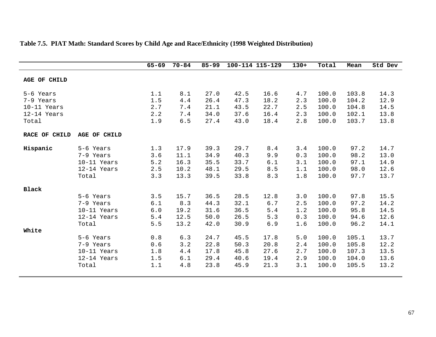|                                                                 |                                                                                                                                | $65 - 69$                                                            | $70 - 84$                                                              | $85 - 99$                                                                    |                                                                              | 100-114 115-129                                                            | $130+$                                                             | Total                                                                                  | Mean                                                                              | Std Dev                                                                      |
|-----------------------------------------------------------------|--------------------------------------------------------------------------------------------------------------------------------|----------------------------------------------------------------------|------------------------------------------------------------------------|------------------------------------------------------------------------------|------------------------------------------------------------------------------|----------------------------------------------------------------------------|--------------------------------------------------------------------|----------------------------------------------------------------------------------------|-----------------------------------------------------------------------------------|------------------------------------------------------------------------------|
| AGE OF CHILD                                                    |                                                                                                                                |                                                                      |                                                                        |                                                                              |                                                                              |                                                                            |                                                                    |                                                                                        |                                                                                   |                                                                              |
| 5-6 Years<br>7-9 Years<br>10-11 Years<br>$12-14$ Years<br>Total |                                                                                                                                | 1.1<br>1.5<br>2.7<br>2.2<br>1.9                                      | 8.1<br>4.4<br>7.4<br>7.4<br>6.5                                        | 27.0<br>26.4<br>21.1<br>34.0<br>27.4                                         | 42.5<br>47.3<br>43.5<br>37.6<br>43.0                                         | 16.6<br>18.2<br>22.7<br>16.4<br>18.4                                       | 4.7<br>2.3<br>2.5<br>2.3<br>2.8                                    | 100.0<br>100.0<br>100.0<br>100.0<br>100.0                                              | 103.8<br>104.2<br>104.8<br>102.1<br>103.7                                         | 14.3<br>12.9<br>14.5<br>13.8<br>13.8                                         |
| RACE OF CHILD                                                   | AGE OF CHILD                                                                                                                   |                                                                      |                                                                        |                                                                              |                                                                              |                                                                            |                                                                    |                                                                                        |                                                                                   |                                                                              |
| Hispanic                                                        | 5-6 Years<br>7-9 Years<br>10-11 Years<br>12-14 Years<br>Total                                                                  | 1.3<br>3.6<br>5.2<br>2.5<br>3.3                                      | 17.9<br>11.1<br>16.3<br>10.2<br>13.3                                   | 39.3<br>34.9<br>35.5<br>48.1<br>39.5                                         | 29.7<br>40.3<br>33.7<br>29.5<br>33.8                                         | 8.4<br>9.9<br>6.1<br>$8.5$<br>8.3                                          | 3.4<br>0.3<br>3.1<br>1.1<br>1.8                                    | 100.0<br>100.0<br>100.0<br>100.0<br>100.0                                              | 97.2<br>98.2<br>97.1<br>98.0<br>97.7                                              | 14.7<br>13.0<br>14.9<br>12.6<br>13.7                                         |
| <b>Black</b><br>White                                           | 5-6 Years<br>7-9 Years<br>10-11 Years<br>12-14 Years<br>Total<br>5-6 Years<br>7-9 Years<br>10-11 Years<br>12-14 Years<br>Total | 3.5<br>6.1<br>$6.0$<br>5.4<br>5.5<br>0.8<br>0.6<br>1.8<br>1.5<br>1.1 | 15.7<br>8.3<br>19.2<br>12.5<br>13.2<br>6.3<br>3.2<br>4.4<br>6.1<br>4.8 | 36.5<br>44.3<br>31.6<br>50.0<br>42.0<br>24.7<br>22.8<br>17.8<br>29.4<br>23.8 | 28.5<br>32.1<br>36.5<br>26.5<br>30.9<br>45.5<br>50.3<br>45.8<br>40.6<br>45.9 | 12.8<br>$6.7$<br>5.4<br>5.3<br>6.9<br>17.8<br>20.8<br>27.6<br>19.4<br>21.3 | 3.0<br>2.5<br>1.2<br>0.3<br>1.6<br>5.0<br>2.4<br>2.7<br>2.9<br>3.1 | 100.0<br>100.0<br>100.0<br>100.0<br>100.0<br>100.0<br>100.0<br>100.0<br>100.0<br>100.0 | 97.8<br>97.2<br>95.8<br>94.6<br>96.2<br>105.1<br>105.8<br>107.3<br>104.0<br>105.5 | 15.5<br>14.2<br>14.5<br>12.6<br>14.1<br>13.7<br>12.2<br>13.5<br>13.6<br>13.2 |

# **Table 7.5. PIAT Math: Standard Scores by Child Age and Race/Ethnicity (1998 Weighted Distribution)**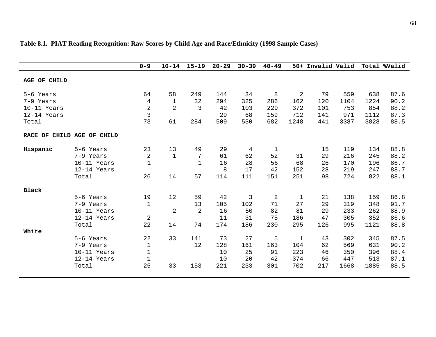|              |                            | $0 - 9$        | $10 - 14$      | $15 - 19$    | $20 - 29$ | $30 - 39$      | $40 - 49$      |                | 50+ Invalid Valid |      |      | Total %Valid |
|--------------|----------------------------|----------------|----------------|--------------|-----------|----------------|----------------|----------------|-------------------|------|------|--------------|
| AGE OF CHILD |                            |                |                |              |           |                |                |                |                   |      |      |              |
| 5-6 Years    |                            | 64             | 58             | 249          | 144       | 34             | 8              | $\overline{2}$ | 79                | 559  | 638  | 87.6         |
| 7-9 Years    |                            | 4              | $\mathbf{1}$   | 32           | 294       | 325            | 286            | 162            | 120               | 1104 | 1224 | 90.2         |
| 10-11 Years  |                            | 2              | $\overline{2}$ | 3            | 42        | 103            | 229            | 372            | 101               | 753  | 854  | 88.2         |
| 12-14 Years  |                            | $\overline{3}$ |                |              | 29        | 68             | 159            | 712            | 141               | 971  | 1112 | 87.3         |
| Total        |                            | 73             | 61             | 284          | 509       | 530            | 682            | 1248           | 441               | 3387 | 3828 | 88.5         |
|              | RACE OF CHILD AGE OF CHILD |                |                |              |           |                |                |                |                   |      |      |              |
| Hispanic     | 5-6 Years                  | 23             | 13             | 49           | 29        | 4              | 1              |                | 15                | 119  | 134  | 88.8         |
|              | 7-9 Years                  | $\sqrt{2}$     | $\mathbf{1}$   | 7            | 61        | 62             | 52             | 31             | 29                | 216  | 245  | 88.2         |
|              | 10-11 Years                | $\mathbf{1}$   |                | $\mathbf{1}$ | 16        | 28             | 56             | 68             | 26                | 170  | 196  | 86.7         |
|              | 12-14 Years                |                |                |              | 8         | 17             | 42             | 152            | 28                | 219  | 247  | 88.7         |
|              | Total                      | 26             | 14             | 57           | 114       | 111            | 151            | 251            | 98                | 724  | 822  | 88.1         |
| <b>Black</b> |                            |                |                |              |           |                |                |                |                   |      |      |              |
|              | 5-6 Years                  | 19             | 12             | 59           | 42        | $\mathfrak{Z}$ | $\overline{2}$ | $\mathbf 1$    | 21                | 138  | 159  | 86.8         |
|              | 7-9 Years                  | 1              |                | 13           | 105       | 102            | 71             | 27             | 29                | 319  | 348  | 91.7         |
|              | 10-11 Years                |                | $\overline{2}$ | 2            | 16        | 50             | 82             | 81             | 29                | 233  | 262  | 88.9         |
|              | 12-14 Years                | $\overline{2}$ |                |              | 11        | 31             | 75             | 186            | 47                | 305  | 352  | 86.6         |
|              | Total                      | 22             | 14             | 74           | 174       | 186            | 230            | 295            | 126               | 995  | 1121 | 88.8         |
| White        |                            |                |                |              |           |                |                |                |                   |      |      |              |
|              | 5-6 Years                  | 22             | 33             | 141          | 73        | 27             | 5              | $\mathbf 1$    | 43                | 302  | 345  | 87.5         |
|              | 7-9 Years                  | $\mathbf{1}$   |                | 12           | 128       | 161            | 163            | 104            | 62                | 569  | 631  | 90.2         |
|              | 10-11 Years                | $\mathbf{1}$   |                |              | 10        | 25             | 91             | 223            | 46                | 350  | 396  | 88.4         |
|              | 12-14 Years                | $\mathbf{1}$   |                |              | 10        | 20             | 42             | 374            | 66                | 447  | 513  | 87.1         |
|              | Total                      | 25             | 33             | 153          | 221       | 233            | 301            | 702            | 217               | 1668 | 1885 | 88.5         |

## **Table 8.1. PIAT Reading Recognition: Raw Scores by Child Age and Race/Ethnicity (1998 Sample Cases)**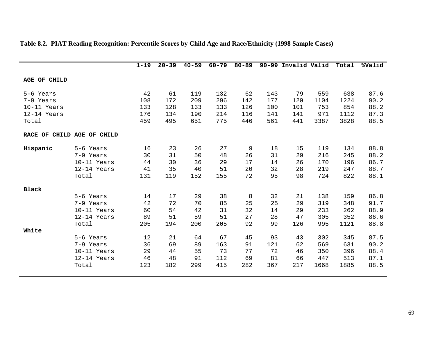|               |                    | $1 - 19$ | $20 - 39$ | $40 - 59$ | $60 - 79$ | $80 - 89$ |     | 90-99 Invalid Valid |      | Total | %Valid |
|---------------|--------------------|----------|-----------|-----------|-----------|-----------|-----|---------------------|------|-------|--------|
| AGE OF CHILD  |                    |          |           |           |           |           |     |                     |      |       |        |
| 5-6 Years     |                    | 42       | 61        | 119       | 132       | 62        | 143 | 79                  | 559  | 638   | 87.6   |
| 7-9 Years     |                    | 108      | 172       | 209       | 296       | 142       | 177 | 120                 | 1104 | 1224  | 90.2   |
| $10-11$ Years |                    | 133      | 128       | 133       | 133       | 126       | 100 | 101                 | 753  | 854   | 88.2   |
| $12-14$ Years |                    | 176      | 134       | 190       | 214       | 116       | 141 | 141                 | 971  | 1112  | 87.3   |
| Total         |                    | 459      | 495       | 651       | 775       | 446       | 561 | 441                 | 3387 | 3828  | 88.5   |
| RACE OF       | CHILD AGE OF CHILD |          |           |           |           |           |     |                     |      |       |        |
| Hispanic      | 5-6 Years          | 16       | 23        | 26        | 27        | 9         | 18  | 15                  | 119  | 134   | 88.8   |
|               | 7-9 Years          | 30       | 31        | 50        | 48        | 26        | 31  | 29                  | 216  | 245   | 88.2   |
|               | 10-11 Years        | 44       | 30        | 36        | 29        | 17        | 14  | 26                  | 170  | 196   | 86.7   |
|               | 12-14 Years        | 41       | 35        | 40        | 51        | 20        | 32  | 28                  | 219  | 247   | 88.7   |
|               | Total              | 131      | 119       | 152       | 155       | 72        | 95  | 98                  | 724  | 822   | 88.1   |
| <b>Black</b>  |                    |          |           |           |           |           |     |                     |      |       |        |
|               | 5-6 Years          | 14       | 17        | 29        | 38        | 8         | 32  | 21                  | 138  | 159   | 86.8   |
|               | 7-9 Years          | 42       | 72        | 70        | 85        | 25        | 25  | 29                  | 319  | 348   | 91.7   |
|               | 10-11 Years        | 60       | 54        | 42        | 31        | 32        | 14  | 29                  | 233  | 262   | 88.9   |
|               | 12-14 Years        | 89       | 51        | 59        | 51        | 27        | 28  | 47                  | 305  | 352   | 86.6   |
|               | Total              | 205      | 194       | 200       | 205       | 92        | 99  | 126                 | 995  | 1121  | 88.8   |
| White         |                    |          |           |           |           |           |     |                     |      |       |        |
|               | 5-6 Years          | 12       | 21        | 64        | 67        | 45        | 93  | 43                  | 302  | 345   | 87.5   |
|               | 7-9 Years          | 36       | 69        | 89        | 163       | 91        | 121 | 62                  | 569  | 631   | 90.2   |
|               | 10-11 Years        | 29       | 44        | 55        | 73        | 77        | 72  | 46                  | 350  | 396   | 88.4   |
|               | 12-14 Years        | 46       | 48        | 91        | 112       | 69        | 81  | 66                  | 447  | 513   | 87.1   |
|               | Total              | 123      | 182       | 299       | 415       | 282       | 367 | 217                 | 1668 | 1885  | 88.5   |
|               |                    |          |           |           |           |           |     |                     |      |       |        |

# **Table 8.2. PIAT Reading Recognition: Percentile Scores by Child Age and Race/Ethnicity (1998 Sample Cases)**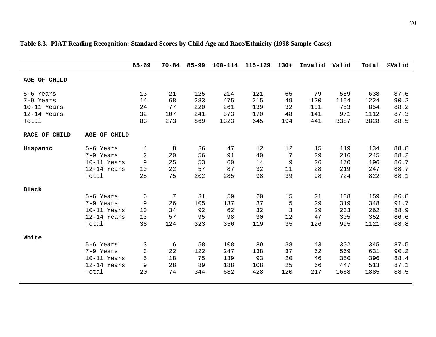|               |              | $65 - 69$   | $70 - 84$ | $85 - 99$ | $100 - 114$ | 115-129 | $130+$      | Invalid | Valid | Total | %Valid |
|---------------|--------------|-------------|-----------|-----------|-------------|---------|-------------|---------|-------|-------|--------|
| AGE OF CHILD  |              |             |           |           |             |         |             |         |       |       |        |
| 5-6 Years     |              | 13          | 21        | 125       | 214         | 121     | 65          | 79      | 559   | 638   | 87.6   |
| 7-9 Years     |              | 14          | 68        | 283       | 475         | 215     | 49          | 120     | 1104  | 1224  | 90.2   |
| 10-11 Years   |              | 24          | 77        | 220       | 261         | 139     | 32          | 101     | 753   | 854   | 88.2   |
| 12-14 Years   |              | 32          | 107       | 241       | 373         | 170     | 48          | 141     | 971   | 1112  | 87.3   |
| Total         |              | 83          | 273       | 869       | 1323        | 645     | 194         | 441     | 3387  | 3828  | 88.5   |
| RACE OF CHILD | AGE OF CHILD |             |           |           |             |         |             |         |       |       |        |
| Hispanic      | 5-6 Years    | 4           | 8         | 36        | 47          | 12      | 12          | 15      | 119   | 134   | 88.8   |
|               | 7-9 Years    | 2           | 20        | 56        | 91          | 40      | 7           | 29      | 216   | 245   | 88.2   |
|               | 10-11 Years  | $\mathsf 9$ | 25        | 53        | 60          | 14      | $\mathsf 9$ | 26      | 170   | 196   | 86.7   |
|               | 12-14 Years  | 10          | 22        | 57        | 87          | 32      | 11          | 28      | 219   | 247   | 88.7   |
|               | Total        | 25          | 75        | 202       | 285         | 98      | 39          | 98      | 724   | 822   | 88.1   |
| <b>Black</b>  |              |             |           |           |             |         |             |         |       |       |        |
|               | 5-6 Years    | 6           | 7         | 31        | 59          | 20      | 15          | 21      | 138   | 159   | 86.8   |
|               | 7-9 Years    | 9           | 26        | 105       | 137         | 37      | 5           | 29      | 319   | 348   | 91.7   |
|               | 10-11 Years  | 10          | 34        | 92        | 62          | 32      | 3           | 29      | 233   | 262   | 88.9   |
|               | 12-14 Years  | 13          | 57        | 95        | 98          | 30      | 12          | 47      | 305   | 352   | 86.6   |
|               | Total        | 38          | 124       | 323       | 356         | 119     | 35          | 126     | 995   | 1121  | 88.8   |
| White         |              |             |           |           |             |         |             |         |       |       |        |
|               | 5-6 Years    | 3           | 6         | 58        | 108         | 89      | 38          | 43      | 302   | 345   | 87.5   |
|               | 7-9 Years    | 3           | 22        | 122       | 247         | 138     | 37          | 62      | 569   | 631   | 90.2   |
|               | 10-11 Years  | 5           | 18        | 75        | 139         | 93      | 20          | 46      | 350   | 396   | 88.4   |
|               | 12-14 Years  | 9           | 28        | 89        | 188         | 108     | 25          | 66      | 447   | 513   | 87.1   |
|               | Total        | 20          | 74        | 344       | 682         | 428     | 120         | 217     | 1668  | 1885  | 88.5   |

## **Table 8.3. PIAT Reading Recognition: Standard Scores by Child Age and Race/Ethnicity (1998 Sample Cases)**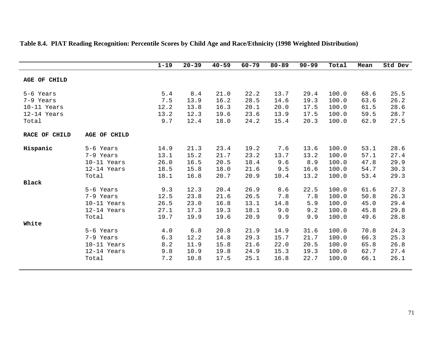|               |               | $1 - 19$ | $20 - 39$ | $40 - 59$ | $60 - 79$ | $80 - 89$ | $90 - 99$ | Total | Mean | Std Dev |
|---------------|---------------|----------|-----------|-----------|-----------|-----------|-----------|-------|------|---------|
| AGE OF CHILD  |               |          |           |           |           |           |           |       |      |         |
| 5-6 Years     |               | 5.4      | 8.4       | 21.0      | 22.2      | 13.7      | 29.4      | 100.0 | 68.6 | 25.5    |
| 7-9 Years     |               | 7.5      | 13.9      | 16.2      | 28.5      | 14.6      | 19.3      | 100.0 | 63.6 | 26.2    |
| 10-11 Years   |               | 12.2     | 13.8      | 16.3      | 20.1      | 20.0      | 17.5      | 100.0 | 61.5 | 28.6    |
| 12-14 Years   |               | 13.2     | 12.3      | 19.6      | 23.6      | 13.9      | 17.5      | 100.0 | 59.5 | 28.7    |
| Total         |               | 9.7      | 12.4      | 18.0      | 24.2      | 15.4      | 20.3      | 100.0 | 62.9 | 27.5    |
| RACE OF CHILD | AGE OF CHILD  |          |           |           |           |           |           |       |      |         |
| Hispanic      | 5-6 Years     | 14.9     | 21.3      | 23.4      | 19.2      | 7.6       | 13.6      | 100.0 | 53.1 | 28.6    |
|               | 7-9 Years     | 13.1     | 15.2      | 21.7      | 23.2      | 13.7      | 13.2      | 100.0 | 57.1 | 27.4    |
|               | 10-11 Years   | 26.0     | 16.5      | 20.5      | 18.4      | 9.6       | 8.9       | 100.0 | 47.8 | 29.9    |
|               | 12-14 Years   | 18.5     | 15.8      | 18.0      | 21.6      | 9.5       | 16.6      | 100.0 | 54.7 | 30.3    |
|               | Total         | 18.1     | 16.8      | 20.7      | 20.9      | 10.4      | 13.2      | 100.0 | 53.4 | 29.3    |
| <b>Black</b>  |               |          |           |           |           |           |           |       |      |         |
|               | 5-6 Years     | 9.3      | 12.3      | 20.4      | 26.9      | 8.6       | 22.5      | 100.0 | 61.6 | 27.3    |
|               | 7-9 Years     | 12.5     | 23.8      | 21.6      | 26.5      | 7.8       | 7.8       | 100.0 | 50.8 | 26.3    |
|               | 10-11 Years   | 26.5     | 23.0      | 16.8      | 13.1      | 14.8      | 5.9       | 100.0 | 45.0 | 29.4    |
|               | 12-14 Years   | 27.1     | 17.3      | 19.3      | 18.1      | 9.0       | 9.2       | 100.0 | 45.8 | 29.8    |
|               | Total         | 19.7     | 19.9      | 19.6      | 20.9      | 9.9       | 9.9       | 100.0 | 49.6 | 28.8    |
| White         |               |          |           |           |           |           |           |       |      |         |
|               | 5-6 Years     | 4.0      | 6.8       | 20.8      | 21.9      | 14.9      | 31.6      | 100.0 | 70.8 | 24.3    |
|               | 7-9 Years     | 6.3      | 12.2      | 14.8      | 29.3      | 15.7      | 21.7      | 100.0 | 66.3 | 25.3    |
|               | 10-11 Years   | 8.2      | 11.9      | 15.8      | 21.6      | 22.0      | 20.5      | 100.0 | 65.8 | 26.8    |
|               | $12-14$ Years | 9.8      | 10.9      | 19.8      | 24.9      | 15.3      | 19.3      | 100.0 | 62.7 | 27.4    |
|               | Total         | 7.2      | 10.8      | 17.5      | 25.1      | 16.8      | 22.7      | 100.0 | 66.1 | 26.1    |

# **Table 8.4. PIAT Reading Recognition: Percentile Scores by Child Age and Race/Ethnicity (1998 Weighted Distribution)**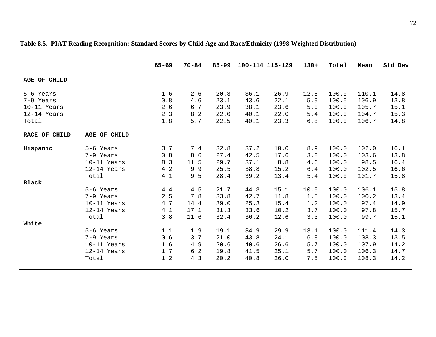|               |              | $65 - 69$ | $70 - 84$ | $85 - 99$ |      | 100-114 115-129 | $130+$ | Total | Mean  | Std Dev |
|---------------|--------------|-----------|-----------|-----------|------|-----------------|--------|-------|-------|---------|
| AGE OF CHILD  |              |           |           |           |      |                 |        |       |       |         |
| 5-6 Years     |              | 1.6       | 2.6       | 20.3      | 36.1 | 26.9            | 12.5   | 100.0 | 110.1 | 14.8    |
| 7-9 Years     |              | $0.8\,$   | 4.6       | 23.1      | 43.6 | 22.1            | 5.9    | 100.0 | 106.9 | 13.8    |
| 10-11 Years   |              | 2.6       | 6.7       | 23.9      | 38.1 | 23.6            | 5.0    | 100.0 | 105.7 | 15.1    |
| 12-14 Years   |              | 2.3       | 8.2       | 22.0      | 40.1 | 22.0            | 5.4    | 100.0 | 104.7 | 15.3    |
| Total         |              | 1.8       | 5.7       | 22.5      | 40.1 | 23.3            | 6.8    | 100.0 | 106.7 | 14.8    |
| RACE OF CHILD | AGE OF CHILD |           |           |           |      |                 |        |       |       |         |
| Hispanic      | 5-6 Years    | 3.7       | 7.4       | 32.8      | 37.2 | 10.0            | 8.9    | 100.0 | 102.0 | 16.1    |
|               | 7-9 Years    | 0.8       | 8.6       | 27.4      | 42.5 | 17.6            | 3.0    | 100.0 | 103.6 | 13.8    |
|               | 10-11 Years  | 8.3       | 11.5      | 29.7      | 37.1 | 8.8             | 4.6    | 100.0 | 98.5  | 16.4    |
|               | 12-14 Years  | 4.2       | 9.9       | 25.5      | 38.8 | 15.2            | 6.4    | 100.0 | 102.5 | 16.6    |
|               | Total        | 4.1       | 9.5       | 28.4      | 39.2 | 13.4            | 5.4    | 100.0 | 101.7 | 15.8    |
| <b>Black</b>  |              |           |           |           |      |                 |        |       |       |         |
|               | 5-6 Years    | 4.4       | 4.5       | 21.7      | 44.3 | 15.1            | 10.0   | 100.0 | 106.1 | 15.8    |
|               | 7-9 Years    | 2.5       | 7.8       | 33.8      | 42.7 | 11.8            | 1.5    | 100.0 | 100.2 | 13.4    |
|               | 10-11 Years  | 4.7       | 14.4      | 39.0      | 25.3 | 15.4            | 1.2    | 100.0 | 97.4  | 14.9    |
|               | 12-14 Years  | 4.1       | 17.1      | 31.3      | 33.6 | 10.2            | 3.7    | 100.0 | 97.8  | 15.7    |
|               | Total        | 3.8       | 11.6      | 32.4      | 36.2 | 12.6            | 3.3    | 100.0 | 99.7  | 15.1    |
| White         |              |           |           |           |      |                 |        |       |       |         |
|               | 5-6 Years    | 1.1       | 1.9       | 19.1      | 34.9 | 29.9            | 13.1   | 100.0 | 111.4 | 14.3    |
|               | 7-9 Years    | 0.6       | 3.7       | 21.0      | 43.8 | 24.1            | 6.8    | 100.0 | 108.3 | 13.5    |
|               | 10-11 Years  | 1.6       | 4.9       | 20.6      | 40.6 | 26.6            | 5.7    | 100.0 | 107.9 | 14.2    |
|               | 12-14 Years  | 1.7       | 6.2       | 19.8      | 41.5 | 25.1            | 5.7    | 100.0 | 106.3 | 14.7    |
|               | Total        | 1.2       | 4.3       | 20.2      | 40.8 | 26.0            | 7.5    | 100.0 | 108.3 | 14.2    |

### **Table 8.5. PIAT Reading Recognition: Standard Scores by Child Age and Race/Ethnicity (1998 Weighted Distribution)**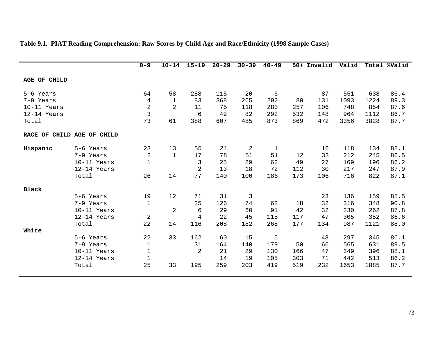|                            |             | $0 - 9$        | $10 - 14$      | $15 - 19$      | $20 - 29$ | $30 - 39$ | $40 - 49$    |     | 50+ Invalid | Valid |      | Total %Valid |
|----------------------------|-------------|----------------|----------------|----------------|-----------|-----------|--------------|-----|-------------|-------|------|--------------|
| AGE OF CHILD               |             |                |                |                |           |           |              |     |             |       |      |              |
| 5-6 Years                  |             | 64             | 58             | 288            | 115       | 20        | 6            |     | 87          | 551   | 638  | 86.4         |
| 7-9 Years                  |             | 4              | 1              | 83             | 368       | 265       | 292          | 80  | 131         | 1093  | 1224 | 89.3         |
| 10-11 Years                |             | $\sqrt{2}$     | $\overline{2}$ | 11             | 75        | 118       | 283          | 257 | 106         | 748   | 854  | 87.6         |
| 12-14 Years                |             | $\overline{3}$ |                | 6              | 49        | 82        | 292          | 532 | 148         | 964   | 1112 | 86.7         |
| Total                      |             | 73             | 61             | 388            | 607       | 485       | 873          | 869 | 472         | 3356  | 3828 | 87.7         |
| RACE OF CHILD AGE OF CHILD |             |                |                |                |           |           |              |     |             |       |      |              |
| Hispanic                   | 5-6 Years   | 23             | 13             | 55             | 24        | 2         | $\mathbf{1}$ |     | 16          | 118   | 134  | 88.1         |
|                            | 7-9 Years   | $\overline{2}$ | $\mathbf{1}$   | 17             | 78        | 51        | 51           | 12  | 33          | 212   | 245  | 86.5         |
|                            | 10-11 Years | $\mathbf 1$    |                | $\mathfrak{Z}$ | 25        | 29        | 62           | 49  | 27          | 169   | 196  | 86.2         |
|                            | 12-14 Years |                |                | $\overline{2}$ | 13        | 18        | 72           | 112 | 30          | 217   | 247  | 87.9         |
|                            | Total       | 26             | 14             | 77             | 140       | 100       | 186          | 173 | 106         | 716   | 822  | 87.1         |
| <b>Black</b>               |             |                |                |                |           |           |              |     |             |       |      |              |
|                            | 5-6 Years   | 19             | 12             | 71             | 31        | 3         |              |     | 23          | 136   | 159  | 85.5         |
|                            | 7-9 Years   | $\mathbf 1$    |                | 35             | 126       | 74        | 62           | 18  | 32          | 316   | 348  | 90.8         |
|                            | 10-11 Years |                | $\overline{a}$ | 6              | 29        | 60        | 91           | 42  | 32          | 230   | 262  | 87.8         |
|                            | 12-14 Years | $\overline{2}$ |                | 4              | 22        | 45        | 115          | 117 | 47          | 305   | 352  | 86.6         |
|                            | Total       | 22             | 14             | 116            | 208       | 182       | 268          | 177 | 134         | 987   | 1121 | 88.0         |
| White                      |             |                |                |                |           |           |              |     |             |       |      |              |
|                            | 5-6 Years   | 22             | 33             | 162            | 60        | 15        | 5            |     | 48          | 297   | 345  | 86.1         |
|                            | 7-9 Years   | $\mathbf{1}$   |                | 31             | 164       | 140       | 179          | 50  | 66          | 565   | 631  | 89.5         |
|                            | 10-11 Years | $1\,$          |                | $\overline{2}$ | 21        | 29        | 130          | 166 | 47          | 349   | 396  | 88.1         |
|                            | 12-14 Years | $\mathbf{1}$   |                |                | 14        | 19        | 105          | 303 | 71          | 442   | 513  | 86.2         |
|                            | Total       | 25             | 33             | 195            | 259       | 203       | 419          | 519 | 232         | 1653  | 1885 | 87.7         |

# **Table 9.1. PIAT Reading Comprehension: Raw Scores by Child Age and Race/Ethnicity (1998 Sample Cases)**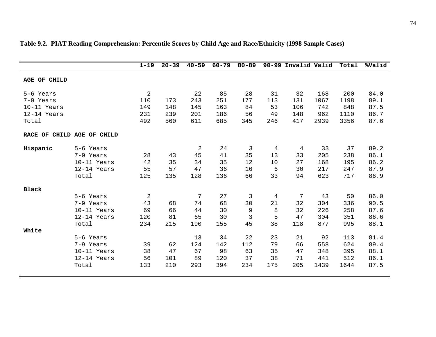|                            |             | $1 - 19$   | $20 - 39$ | $40 - 59$      | $60 - 79$ | $80 - 89$ |     | 90-99 Invalid Valid |      | Total | %Valid |
|----------------------------|-------------|------------|-----------|----------------|-----------|-----------|-----|---------------------|------|-------|--------|
| AGE OF CHILD               |             |            |           |                |           |           |     |                     |      |       |        |
| 5-6 Years                  |             | $\sqrt{2}$ |           | 22             | 85        | 28        | 31  | 32                  | 168  | 200   | 84.0   |
| 7-9 Years                  |             | 110        | 173       | 243            | 251       | 177       | 113 | 131                 | 1067 | 1198  | 89.1   |
| 10-11 Years                |             | 149        | 148       | 145            | 163       | 84        | 53  | 106                 | 742  | 848   | 87.5   |
| 12-14 Years                |             | 231        | 239       | 201            | 186       | 56        | 49  | 148                 | 962  | 1110  | 86.7   |
| Total                      |             | 492        | 560       | 611            | 685       | 345       | 246 | 417                 | 2939 | 3356  | 87.6   |
| RACE OF CHILD AGE OF CHILD |             |            |           |                |           |           |     |                     |      |       |        |
| Hispanic                   | 5-6 Years   |            |           | $\overline{2}$ | 24        | 3         | 4   | 4                   | 33   | 37    | 89.2   |
|                            | 7-9 Years   | 28         | 43        | 45             | 41        | 35        | 13  | 33                  | 205  | 238   | 86.1   |
|                            | 10-11 Years | 42         | 35        | 34             | 35        | 12        | 10  | 27                  | 168  | 195   | 86.2   |
|                            | 12-14 Years | 55         | 57        | 47             | 36        | 16        | 6   | 30                  | 217  | 247   | 87.9   |
|                            | Total       | 125        | 135       | 128            | 136       | 66        | 33  | 94                  | 623  | 717   | 86.9   |
| <b>Black</b>               |             |            |           |                |           |           |     |                     |      |       |        |
|                            | 5-6 Years   | $\sqrt{2}$ |           | 7              | 27        | 3         | 4   | 7                   | 43   | 50    | 86.0   |
|                            | 7-9 Years   | 43         | 68        | 74             | 68        | 30        | 21  | 32                  | 304  | 336   | 90.5   |
|                            | 10-11 Years | 69         | 66        | 44             | 30        | 9         | 8   | 32                  | 226  | 258   | 87.6   |
|                            | 12-14 Years | 120        | 81        | 65             | 30        | 3         | 5   | 47                  | 304  | 351   | 86.6   |
|                            | Total       | 234        | 215       | 190            | 155       | 45        | 38  | 118                 | 877  | 995   | 88.1   |
| White                      |             |            |           |                |           |           |     |                     |      |       |        |
|                            | 5-6 Years   |            |           | 13             | 34        | 22        | 23  | 21                  | 92   | 113   | 81.4   |
|                            | 7-9 Years   | 39         | 62        | 124            | 142       | 112       | 79  | 66                  | 558  | 624   | 89.4   |
|                            | 10-11 Years | 38         | 47        | 67             | 98        | 63        | 35  | 47                  | 348  | 395   | 88.1   |
|                            | 12-14 Years | 56         | 101       | 89             | 120       | 37        | 38  | 71                  | 441  | 512   | 86.1   |
|                            | Total       | 133        | 210       | 293            | 394       | 234       | 175 | 205                 | 1439 | 1644  | 87.5   |
|                            |             |            |           |                |           |           |     |                     |      |       |        |

# **Table 9.2. PIAT Reading Comprehension: Percentile Scores by Child Age and Race/Ethnicity (1998 Sample Cases)**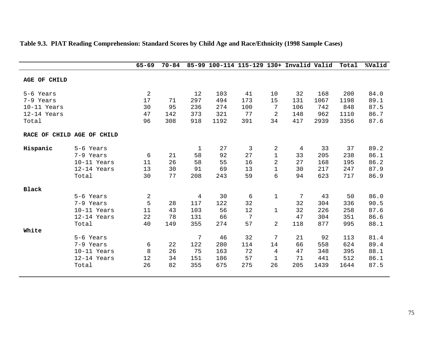|                            |             | $65 - 69$      | $70 - 84$ |             |      | 85-99 100-114 115-129 130+ Invalid Valid |                |     |      | Total | %Valid |
|----------------------------|-------------|----------------|-----------|-------------|------|------------------------------------------|----------------|-----|------|-------|--------|
| AGE OF CHILD               |             |                |           |             |      |                                          |                |     |      |       |        |
| 5-6 Years                  |             | $\overline{2}$ |           | 12          | 103  | 41                                       | 10             | 32  | 168  | 200   | 84.0   |
| 7-9 Years                  |             | 17             | 71        | 297         | 494  | 173                                      | 15             | 131 | 1067 | 1198  | 89.1   |
| 10-11 Years                |             | 30             | 95        | 236         | 274  | 100                                      | 7              | 106 | 742  | 848   | 87.5   |
| 12-14 Years                |             | 47             | 142       | 373         | 321  | 77                                       | $\overline{2}$ | 148 | 962  | 1110  | 86.7   |
| Total                      |             | 96             | 308       | 918         | 1192 | 391                                      | 34             | 417 | 2939 | 3356  | 87.6   |
| RACE OF CHILD AGE OF CHILD |             |                |           |             |      |                                          |                |     |      |       |        |
| Hispanic                   | 5-6 Years   |                |           | $\mathbf 1$ | 27   | 3                                        | 2              | 4   | 33   | 37    | 89.2   |
|                            | 7-9 Years   | 6              | 21        | 58          | 92   | 27                                       | $\mathbf{1}$   | 33  | 205  | 238   | 86.1   |
|                            | 10-11 Years | 11             | 26        | 58          | 55   | 16                                       | $\overline{2}$ | 27  | 168  | 195   | 86.2   |
|                            | 12-14 Years | 13             | 30        | 91          | 69   | 13                                       | $\mathbf 1$    | 30  | 217  | 247   | 87.9   |
|                            | Total       | 30             | 77        | 208         | 243  | 59                                       | 6              | 94  | 623  | 717   | 86.9   |
| <b>Black</b>               |             |                |           |             |      |                                          |                |     |      |       |        |
|                            | 5-6 Years   | 2              |           | 4           | 30   | 6                                        | $\mathbf 1$    | 7   | 43   | 50    | 86.0   |
|                            | 7-9 Years   | 5              | 28        | 117         | 122  | 32                                       |                | 32  | 304  | 336   | 90.5   |
|                            | 10-11 Years | 11             | 43        | 103         | 56   | 12                                       | 1              | 32  | 226  | 258   | 87.6   |
|                            | 12-14 Years | 22             | 78        | 131         | 66   | 7                                        |                | 47  | 304  | 351   | 86.6   |
|                            | Total       | 40             | 149       | 355         | 274  | 57                                       | $\overline{a}$ | 118 | 877  | 995   | 88.1   |
| White                      |             |                |           |             |      |                                          |                |     |      |       |        |
|                            | 5-6 Years   |                |           | 7           | 46   | 32                                       | 7              | 21  | 92   | 113   | 81.4   |
|                            | 7-9 Years   | 6              | 22        | 122         | 280  | 114                                      | 14             | 66  | 558  | 624   | 89.4   |
|                            | 10-11 Years | 8              | 26        | 75          | 163  | 72                                       | 4              | 47  | 348  | 395   | 88.1   |
|                            | 12-14 Years | 12             | 34        | 151         | 186  | 57                                       | $\mathbf{1}$   | 71  | 441  | 512   | 86.1   |
|                            | Total       | 26             | 82        | 355         | 675  | 275                                      | 26             | 205 | 1439 | 1644  | 87.5   |
|                            |             |                |           |             |      |                                          |                |     |      |       |        |

# **Table 9.3. PIAT Reading Comprehension: Standard Scores by Child Age and Race/Ethnicity (1998 Sample Cases)**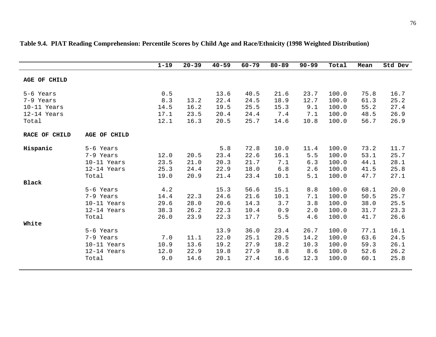|               |              | $1 - 19$ | $20 - 39$ | $40 - 59$ | $60 - 79$ | $80 - 89$ | $90 - 99$ | Total | Mean | Std Dev |
|---------------|--------------|----------|-----------|-----------|-----------|-----------|-----------|-------|------|---------|
| AGE OF CHILD  |              |          |           |           |           |           |           |       |      |         |
| 5-6 Years     |              | 0.5      |           | 13.6      | 40.5      | 21.6      | 23.7      | 100.0 | 75.8 | 16.7    |
| 7-9 Years     |              | 8.3      | 13.2      | 22.4      | 24.5      | 18.9      | 12.7      | 100.0 | 61.3 | 25.2    |
| 10-11 Years   |              | 14.5     | 16.2      | 19.5      | 25.5      | 15.3      | 9.1       | 100.0 | 55.2 | 27.4    |
| 12-14 Years   |              | 17.1     | 23.5      | 20.4      | 24.4      | 7.4       | 7.1       | 100.0 | 48.5 | 26.9    |
| Total         |              | 12.1     | 16.3      | 20.5      | 25.7      | 14.6      | 10.8      | 100.0 | 56.7 | 26.9    |
| RACE OF CHILD | AGE OF CHILD |          |           |           |           |           |           |       |      |         |
| Hispanic      | 5-6 Years    |          |           | 5.8       | 72.8      | 10.0      | 11.4      | 100.0 | 73.2 | 11.7    |
|               | 7-9 Years    | 12.0     | 20.5      | 23.4      | 22.6      | 16.1      | 5.5       | 100.0 | 53.1 | 25.7    |
|               | 10-11 Years  | 23.5     | 21.0      | 20.3      | 21.7      | 7.1       | 6.3       | 100.0 | 44.1 | 28.1    |
|               | 12-14 Years  | 25.3     | 24.4      | 22.9      | 18.0      | 6.8       | 2.6       | 100.0 | 41.5 | 25.8    |
|               | Total        | 19.0     | 20.9      | 21.4      | 23.4      | 10.1      | 5.1       | 100.0 | 47.7 | 27.1    |
| Black         |              |          |           |           |           |           |           |       |      |         |
|               | 5-6 Years    | 4.2      |           | 15.3      | 56.6      | 15.1      | 8.8       | 100.0 | 68.1 | 20.0    |
|               | 7-9 Years    | 14.4     | 22.3      | 24.6      | 21.6      | 10.1      | 7.1       | 100.0 | 50.5 | 25.7    |
|               | 10-11 Years  | 29.6     | 28.0      | 20.6      | 14.3      | 3.7       | 3.8       | 100.0 | 38.0 | 25.5    |
|               | 12-14 Years  | 38.3     | 26.2      | 22.3      | 10.4      | 0.9       | 2.0       | 100.0 | 31.7 | 23.3    |
|               | Total        | 26.0     | 23.9      | 22.3      | 17.7      | 5.5       | 4.6       | 100.0 | 41.7 | 26.6    |
| White         |              |          |           |           |           |           |           |       |      |         |
|               | 5-6 Years    |          |           | 13.9      | 36.0      | 23.4      | 26.7      | 100.0 | 77.1 | 16.1    |
|               | 7-9 Years    | 7.0      | 11.1      | 22.0      | 25.1      | 20.5      | 14.2      | 100.0 | 63.6 | 24.5    |
|               | 10-11 Years  | 10.9     | 13.6      | 19.2      | 27.9      | 18.2      | 10.3      | 100.0 | 59.3 | 26.1    |
|               | 12-14 Years  | 12.0     | 22.9      | 19.8      | 27.9      | 8.8       | 8.6       | 100.0 | 52.6 | 26.2    |
|               | Total        | 9.0      | 14.6      | 20.1      | 27.4      | 16.6      | 12.3      | 100.0 | 60.1 | 25.8    |

### **Table 9.4. PIAT Reading Comprehension: Percentile Scores by Child Age and Race/Ethnicity (1998 Weighted Distribution)**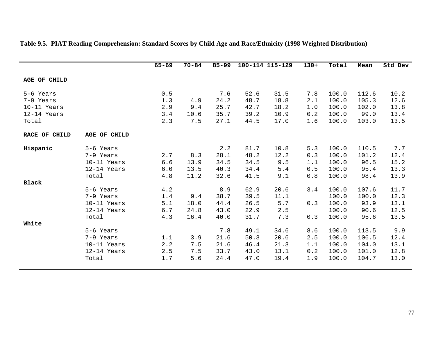|               |              | $65 - 69$ | $70 - 84$ | $85 - 99$ |      | 100-114 115-129 | $130+$ | Total | Mean  | Std Dev |
|---------------|--------------|-----------|-----------|-----------|------|-----------------|--------|-------|-------|---------|
| AGE OF CHILD  |              |           |           |           |      |                 |        |       |       |         |
| 5-6 Years     |              | 0.5       |           | 7.6       | 52.6 | 31.5            | 7.8    | 100.0 | 112.6 | 10.2    |
| 7-9 Years     |              | 1.3       | 4.9       | 24.2      | 48.7 | 18.8            | 2.1    | 100.0 | 105.3 | 12.6    |
| 10-11 Years   |              | 2.9       | 9.4       | 25.7      | 42.7 | 18.2            | 1.0    | 100.0 | 102.0 | 13.8    |
| 12-14 Years   |              | 3.4       | 10.6      | 35.7      | 39.2 | 10.9            | 0.2    | 100.0 | 99.0  | 13.4    |
| Total         |              | 2.3       | 7.5       | 27.1      | 44.5 | 17.0            | 1.6    | 100.0 | 103.0 | 13.5    |
| RACE OF CHILD | AGE OF CHILD |           |           |           |      |                 |        |       |       |         |
| Hispanic      | 5-6 Years    |           |           | 2.2       | 81.7 | 10.8            | 5.3    | 100.0 | 110.5 | 7.7     |
|               | 7-9 Years    | 2.7       | 8.3       | 28.1      | 48.2 | 12.2            | 0.3    | 100.0 | 101.2 | 12.4    |
|               | 10-11 Years  | 6.6       | 13.9      | 34.5      | 34.5 | 9.5             | 1.1    | 100.0 | 96.5  | 15.2    |
|               | 12-14 Years  | 6.0       | 13.5      | 40.3      | 34.4 | 5.4             | 0.5    | 100.0 | 95.4  | 13.3    |
|               | Total        | 4.8       | 11.2      | 32.6      | 41.5 | 9.1             | 0.8    | 100.0 | 98.4  | 13.9    |
| <b>Black</b>  |              |           |           |           |      |                 |        |       |       |         |
|               | 5-6 Years    | 4.2       |           | 8.9       | 62.9 | 20.6            | 3.4    | 100.0 | 107.6 | 11.7    |
|               | 7-9 Years    | 1.4       | 9.4       | 38.7      | 39.5 | 11.1            |        | 100.0 | 100.0 | 12.3    |
|               | 10-11 Years  | 5.1       | 18.0      | 44.4      | 26.5 | 5.7             | 0.3    | 100.0 | 93.9  | 13.1    |
|               | 12-14 Years  | 6.7       | 24.8      | 43.0      | 22.9 | 2.5             |        | 100.0 | 90.6  | 12.5    |
|               | Total        | 4.3       | 16.4      | 40.0      | 31.7 | 7.3             | 0.3    | 100.0 | 95.6  | 13.5    |
| White         |              |           |           |           |      |                 |        |       |       |         |
|               | 5-6 Years    |           |           | 7.8       | 49.1 | 34.6            | 8.6    | 100.0 | 113.5 | 9.9     |
|               | 7-9 Years    | 1.1       | 3.9       | 21.6      | 50.3 | 20.6            | 2.5    | 100.0 | 106.5 | 12.4    |
|               | 10-11 Years  | 2.2       | 7.5       | 21.6      | 46.4 | 21.3            | 1.1    | 100.0 | 104.0 | 13.1    |
|               | 12-14 Years  | 2.5       | 7.5       | 33.7      | 43.0 | 13.1            | 0.2    | 100.0 | 101.0 | 12.8    |
|               | Total        | 1.7       | 5.6       | 24.4      | 47.0 | 19.4            | 1.9    | 100.0 | 104.7 | 13.0    |

# **Table 9.5. PIAT Reading Comprehension: Standard Scores by Child Age and Race/Ethnicity (1998 Weighted Distribution)**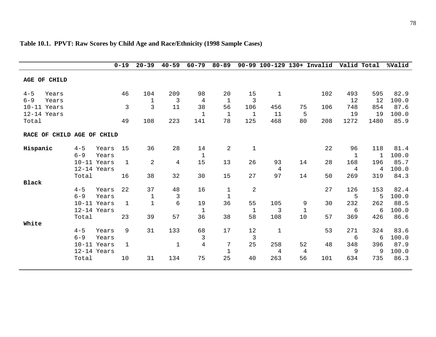|                            |         |             | $0 - 19$     | $20 - 39$      | $40 - 59$ | $60 - 79$      | $80 - 89$    |                | 90-99 100-129 130+ Invalid Valid Total |                |     |      |              | %Valid |
|----------------------------|---------|-------------|--------------|----------------|-----------|----------------|--------------|----------------|----------------------------------------|----------------|-----|------|--------------|--------|
| AGE OF CHILD               |         |             |              |                |           |                |              |                |                                        |                |     |      |              |        |
| $4 - 5$<br>Years           |         |             | 46           | 104            | 209       | 98             | 20           | 15             | $\mathbf 1$                            |                | 102 | 493  | 595          | 82.9   |
| $6 - 9$<br>Years           |         |             |              | $\mathbf 1$    | 3         | $\overline{4}$ | $\mathbf{1}$ | 3              |                                        |                |     | 12   | 12           | 100.0  |
| 10-11 Years                |         |             | 3            | $\overline{3}$ | 11        | 38             | 56           | 106            | 456                                    | 75             | 106 | 748  | 854          | 87.6   |
| 12-14 Years                |         |             |              |                |           | $\mathbf{1}$   | $\mathbf 1$  | $\mathbf{1}$   | 11                                     | 5              |     | 19   | 19           | 100.0  |
| Total                      |         |             | 49           | 108            | 223       | 141            | 78           | 125            | 468                                    | 80             | 208 | 1272 | 1480         | 85.9   |
| RACE OF CHILD AGE OF CHILD |         |             |              |                |           |                |              |                |                                        |                |     |      |              |        |
| Hispanic                   | $4 - 5$ | Years       | 15           | 36             | 28        | 14             | 2            | $\mathbf{1}$   |                                        |                | 22  | 96   | 118          | 81.4   |
|                            | $6 - 9$ | Years       |              |                |           | $\mathbf{1}$   |              |                |                                        |                |     | 1    | $\mathbf{1}$ | 100.0  |
|                            |         | 10-11 Years | $\mathbf{1}$ | $\overline{2}$ | 4         | 15             | 13           | 26             | 93                                     | 14             | 28  | 168  | 196          | 85.7   |
|                            |         | 12-14 Years |              |                |           |                |              |                | 4                                      |                |     | 4    | 4            | 100.0  |
|                            | Total   |             | 16           | 38             | 32        | 30             | 15           | 27             | 97                                     | 14             | 50  | 269  | 319          | 84.3   |
| <b>Black</b>               |         |             |              |                |           |                |              |                |                                        |                |     |      |              |        |
|                            | $4 - 5$ | Years       | 22           | 37             | 48        | 16             | $\mathbf{1}$ | $\overline{2}$ |                                        |                | 27  | 126  | 153          | 82.4   |
|                            | $6 - 9$ | Years       |              | 1              | 3         |                | $\mathbf 1$  |                |                                        |                |     | 5    | 5            | 100.0  |
|                            |         | 10-11 Years | $\mathbf{1}$ | $1\,$          | 6         | 19             | 36           | 55             | 105                                    | 9              | 30  | 232  | 262          | 88.5   |
|                            |         | 12-14 Years |              |                |           | $\mathbf 1$    |              | $\mathbf{1}$   | 3                                      | $\mathbf 1$    |     | 6    | 6            | 100.0  |
|                            | Total   |             | 23           | 39             | 57        | 36             | 38           | 58             | 108                                    | 10             | 57  | 369  | 426          | 86.6   |
| White                      |         |             |              |                |           |                |              |                |                                        |                |     |      |              |        |
|                            | $4 - 5$ | Years       | 9            | 31             | 133       | 68             | 17           | 12             | $1\,$                                  |                | 53  | 271  | 324          | 83.6   |
|                            | $6 - 9$ | Years       |              |                |           | $\mathbf{3}$   |              | $\mathbf{3}$   |                                        |                |     | 6    | 6            | 100.0  |
|                            |         | 10-11 Years | $\mathbf{1}$ |                | 1         | $\overline{4}$ | 7            | 25             | 258                                    | 52             | 48  | 348  | 396          | 87.9   |
|                            |         | 12-14 Years |              |                |           |                | $\mathbf{1}$ |                | $\overline{4}$                         | $\overline{4}$ |     | 9    | 9            | 100.0  |
|                            | Total   |             | 10           | 31             | 134       | 75             | 25           | 40             | 263                                    | 56             | 101 | 634  | 735          | 86.3   |

**Table 10.1. PPVT: Raw Scores by Child Age and Race/Ethnicity (1998 Sample Cases)**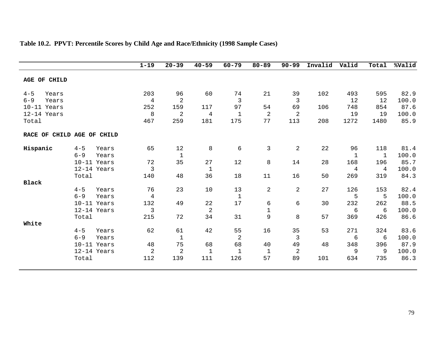|                            |         |             | $1 - 19$       | $20 - 39$      | $40 - 59$      | $60 - 79$      | $80 - 89$    | $90 - 99$      | Invalid | Valid       | Total | %Valid |
|----------------------------|---------|-------------|----------------|----------------|----------------|----------------|--------------|----------------|---------|-------------|-------|--------|
| AGE OF CHILD               |         |             |                |                |                |                |              |                |         |             |       |        |
| $4 - 5$<br>Years           |         |             | 203            | 96             | 60             | 74             | 21           | 39             | 102     | 493         | 595   | 82.9   |
| $6 - 9$<br>Years           |         |             | $\overline{4}$ | $\overline{2}$ |                | $\overline{3}$ |              | $\mathbf{3}$   |         | 12          | 12    | 100.0  |
| 10-11 Years                |         |             | 252            | 159            | 117            | 97             | 54           | 69             | 106     | 748         | 854   | 87.6   |
| 12-14 Years                |         |             | 8              | $\overline{2}$ | $\overline{4}$ | $\mathbf{1}$   | 2            | $\overline{2}$ |         | 19          | 19    | 100.0  |
| Total                      |         |             | 467            | 259            | 181            | 175            | 77           | 113            | 208     | 1272        | 1480  | 85.9   |
| RACE OF CHILD AGE OF CHILD |         |             |                |                |                |                |              |                |         |             |       |        |
| Hispanic                   | $4 - 5$ | Years       | 65             | 12             | 8              | 6              | 3            | $\overline{2}$ | 22      | 96          | 118   | 81.4   |
|                            | $6 - 9$ | Years       |                | $\mathbf 1$    |                |                |              |                |         | $\mathbf 1$ | 1     | 100.0  |
|                            |         | 10-11 Years | 72             | 35             | 27             | 12             | 8            | 14             | 28      | 168         | 196   | 85.7   |
|                            |         | 12-14 Years | 3              |                | $\mathbf{1}$   |                |              |                |         | 4           | 4     | 100.0  |
|                            | Total   |             | 140            | 48             | 36             | 18             | 11           | 16             | 50      | 269         | 319   | 84.3   |
| <b>Black</b>               |         |             |                |                |                |                |              |                |         |             |       |        |
|                            | $4 - 5$ | Years       | 76             | 23             | 10             | 13             | 2            | $\overline{a}$ | 27      | 126         | 153   | 82.4   |
|                            | $6 - 9$ | Years       | $\overline{4}$ |                |                | $1\,$          |              |                |         | 5           | 5     | 100.0  |
|                            |         | 10-11 Years | 132            | 49             | 22             | 17             | 6            | 6              | 30      | 232         | 262   | 88.5   |
|                            |         | 12-14 Years | $\mathbf{3}$   |                | $\overline{2}$ |                | $1\,$        |                |         | $\epsilon$  | 6     | 100.0  |
|                            | Total   |             | 215            | 72             | 34             | 31             | 9            | 8              | 57      | 369         | 426   | 86.6   |
| White                      |         |             |                |                |                |                |              |                |         |             |       |        |
|                            | $4 - 5$ | Years       | 62             | 61             | 42             | 55             | 16           | 35             | 53      | 271         | 324   | 83.6   |
|                            | $6 - 9$ | Years       |                | $\mathbf 1$    |                | $\sqrt{2}$     |              | $\mathbf{3}$   |         | $\epsilon$  | 6     | 100.0  |
|                            |         | 10-11 Years | 48             | 75             | 68             | 68             | 40           | 49             | 48      | 348         | 396   | 87.9   |
|                            |         | 12-14 Years | $\overline{2}$ | $\sqrt{2}$     | $\mathbf{1}$   | $\mathbf{1}$   | $\mathbf{1}$ | $\overline{2}$ |         | 9           | 9     | 100.0  |
|                            | Total   |             | 112            | 139            | 111            | 126            | 57           | 89             | 101     | 634         | 735   | 86.3   |

# **Table 10.2. PPVT: Percentile Scores by Child Age and Race/Ethnicity (1998 Sample Cases)**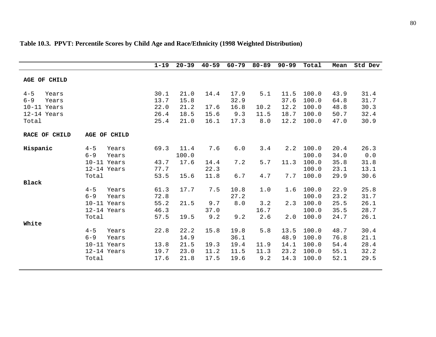|                  |                     |       | $1 - 19$ | $20 - 39$ | $40 - 59$ | $60 - 79$ | $80 - 89$ | $90 - 99$ | Total | Mean | Std Dev |
|------------------|---------------------|-------|----------|-----------|-----------|-----------|-----------|-----------|-------|------|---------|
|                  |                     |       |          |           |           |           |           |           |       |      |         |
| AGE OF CHILD     |                     |       |          |           |           |           |           |           |       |      |         |
|                  |                     |       |          |           |           |           |           |           |       |      |         |
| $4 - 5$<br>Years |                     |       | 30.1     | 21.0      | 14.4      | 17.9      | 5.1       | 11.5      | 100.0 | 43.9 | 31.4    |
| $6 - 9$<br>Years |                     |       | 13.7     | 15.8      |           | 32.9      |           | 37.6      | 100.0 | 64.8 | 31.7    |
| $10-11$ Years    |                     |       | 22.0     | 21.2      | 17.6      | 16.8      | 10.2      | 12.2      | 100.0 | 48.8 | 30.3    |
| 12-14 Years      |                     |       | 26.4     | 18.5      | 15.6      | 9.3       | 11.5      | 18.7      | 100.0 | 50.7 | 32.4    |
| Total            |                     |       | 25.4     | 21.0      | 16.1      | 17.3      | 8.0       | 12.2      | 100.0 | 47.0 | 30.9    |
|                  |                     |       |          |           |           |           |           |           |       |      |         |
| RACE OF CHILD    | <b>AGE OF CHILD</b> |       |          |           |           |           |           |           |       |      |         |
|                  |                     |       |          |           |           |           |           |           |       |      |         |
| Hispanic         | $4 - 5$             | Years | 69.3     | 11.4      | 7.6       | 6.0       | 3.4       | 2.2       | 100.0 | 20.4 | 26.3    |
|                  | $6 - 9$             | Years |          | 100.0     |           |           |           |           | 100.0 | 34.0 | 0.0     |
|                  | 10-11 Years         |       | 43.7     | 17.6      | 14.4      | 7.2       | 5.7       | 11.3      | 100.0 | 35.8 | 31.8    |
|                  | 12-14 Years         |       | 77.7     |           | 22.3      |           |           |           | 100.0 | 23.1 | 13.1    |
|                  | Total               |       | 53.5     | 15.6      | 11.8      | 6.7       | 4.7       | 7.7       | 100.0 | 29.9 | 30.6    |
| <b>Black</b>     |                     |       |          |           |           |           |           |           |       |      |         |
|                  | $4 - 5$             | Years | 61.3     | 17.7      | 7.5       | 10.8      | 1.0       | 1.6       | 100.0 | 22.9 | 25.8    |
|                  | $6 - 9$             | Years | 72.8     |           |           | 27.2      |           |           | 100.0 | 23.2 | 31.7    |
|                  | 10-11 Years         |       | 55.2     | 21.5      | 9.7       | 8.0       | 3.2       | 2.3       | 100.0 | 25.5 | 26.1    |
|                  | 12-14 Years         |       | 46.3     |           | 37.0      |           | 16.7      |           | 100.0 | 35.5 | 28.7    |
|                  | Total               |       | 57.5     | 19.5      | 9.2       | 9.2       | 2.6       | 2.0       | 100.0 | 24.7 | 26.1    |
| White            |                     |       |          |           |           |           |           |           |       |      |         |
|                  | $4 - 5$             | Years | 22.8     | 22.2      | 15.8      | 19.8      | 5.8       | 13.5      | 100.0 | 48.7 | 30.4    |
|                  | $6 - 9$             | Years |          | 14.9      |           | 36.1      |           | 48.9      | 100.0 | 76.8 | 21.1    |
|                  | 10-11 Years         |       | 13.8     | 21.5      | 19.3      | 19.4      | 11.9      | 14.1      | 100.0 | 54.4 | 28.4    |
|                  | 12-14 Years         |       | 19.7     | 23.0      | 11.2      | 11.5      | 11.3      | 23.2      | 100.0 | 55.1 | 32.2    |
|                  | Total               |       | 17.6     | 21.8      | 17.5      | 19.6      | 9.2       | 14.3      | 100.0 | 52.1 | 29.5    |
|                  |                     |       |          |           |           |           |           |           |       |      |         |

# **Table 10.3. PPVT: Percentile Scores by Child Age and Race/Ethnicity (1998 Weighted Distribution)**